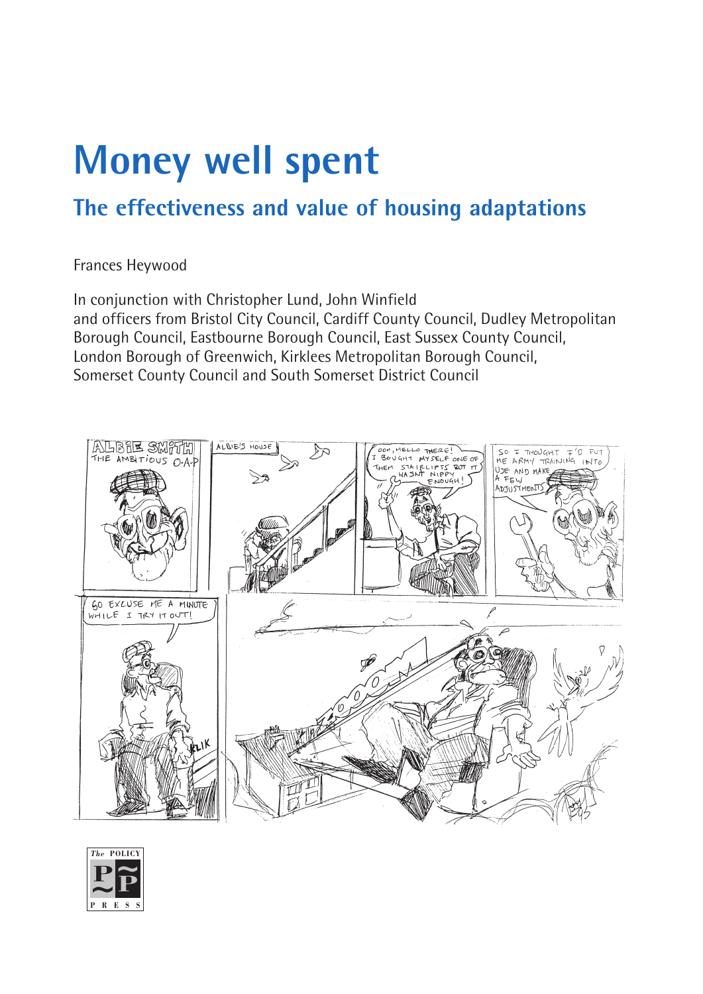# **Money well spent**

# **The effectiveness and value of housing adaptations**

Frances Heywood

In conjunction with Christopher Lund, John Winfield and officers from Bristol City Council, Cardiff County Council, Dudley Metropolitan Borough Council, Eastbourne Borough Council, East Sussex County Council, London Borough of Greenwich, Kirklees Metropolitan Borough Council, Somerset County Council and South Somerset District Council



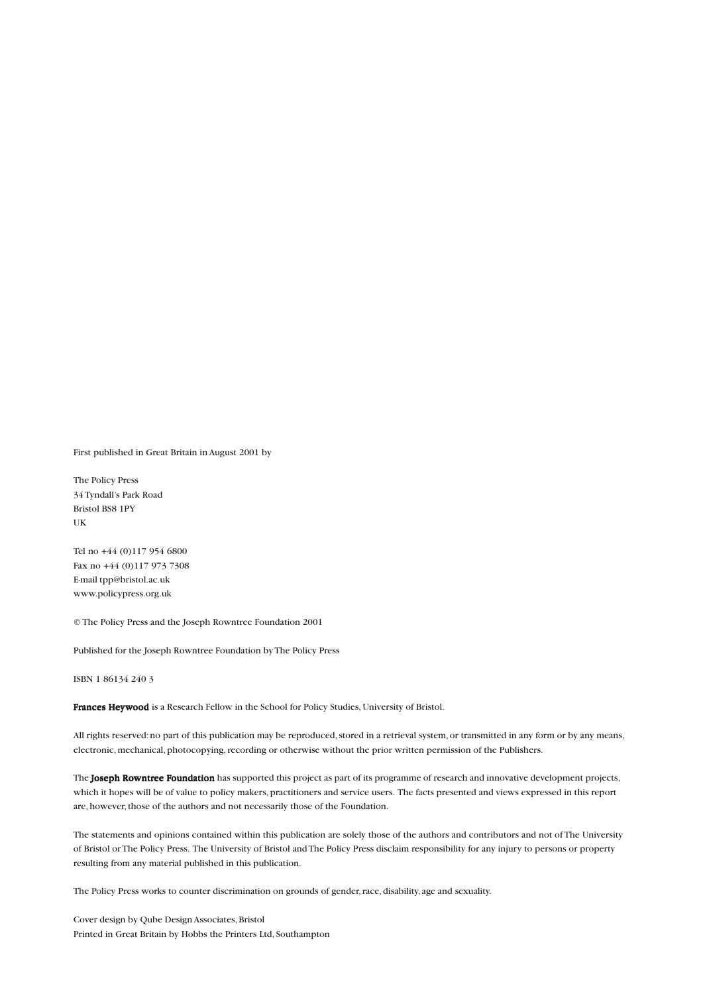First published in Great Britain in August 2001 by

The Policy Press 34 Tyndall's Park Road Bristol BS8 1PY UK

Tel no +44 (0)117 954 6800 Fax no +44 (0)117 973 7308 E-mail tpp@bristol.ac.uk www.policypress.org.uk

© The Policy Press and the Joseph Rowntree Foundation 2001

Published for the Joseph Rowntree Foundation by The Policy Press

ISBN 1 86134 240 3

Frances Heywood is a Research Fellow in the School for Policy Studies, University of Bristol.

All rights reserved: no part of this publication may be reproduced, stored in a retrieval system, or transmitted in any form or by any means, electronic, mechanical, photocopying, recording or otherwise without the prior written permission of the Publishers.

The Joseph Rowntree Foundation has supported this project as part of its programme of research and innovative development projects, which it hopes will be of value to policy makers, practitioners and service users. The facts presented and views expressed in this report are, however, those of the authors and not necessarily those of the Foundation.

The statements and opinions contained within this publication are solely those of the authors and contributors and not of The University of Bristol or The Policy Press. The University of Bristol and The Policy Press disclaim responsibility for any injury to persons or property resulting from any material published in this publication.

The Policy Press works to counter discrimination on grounds of gender, race, disability, age and sexuality.

Cover design by Qube Design Associates, Bristol Printed in Great Britain by Hobbs the Printers Ltd, Southampton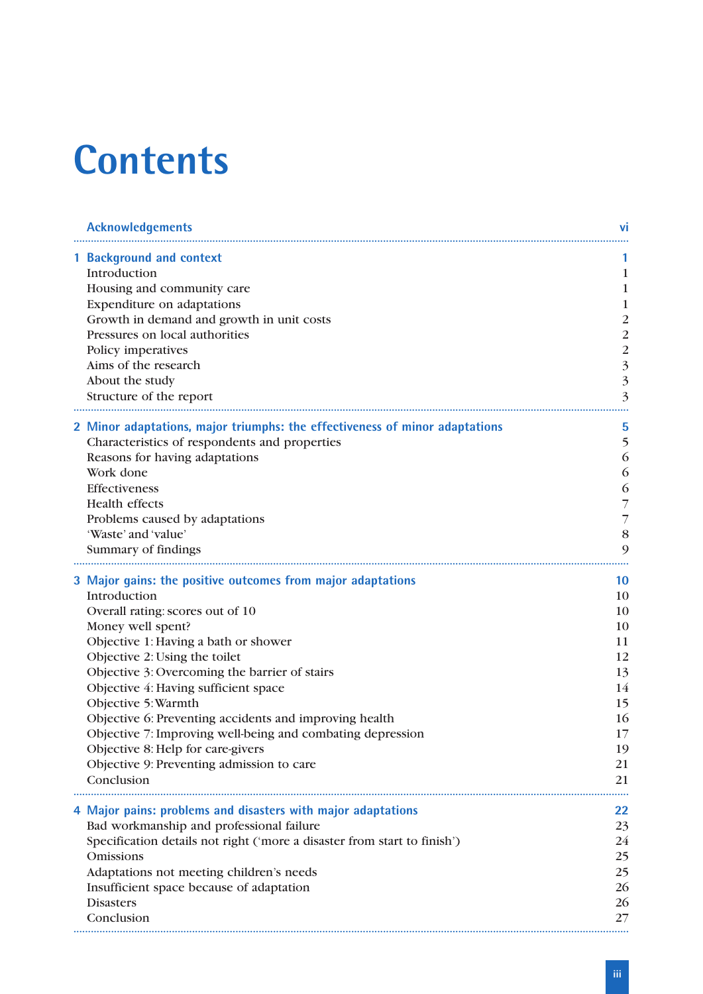# **Contents**

| <b>Acknowledgements</b>                                                     | Vİ                      |
|-----------------------------------------------------------------------------|-------------------------|
| 1 Background and context                                                    |                         |
| Introduction                                                                | $\mathbf{1}$            |
| Housing and community care                                                  | $\mathbf 1$             |
| Expenditure on adaptations                                                  | $\mathbf{1}$            |
| Growth in demand and growth in unit costs                                   | $\overline{c}$          |
| Pressures on local authorities                                              | $\overline{\mathbf{c}}$ |
| Policy imperatives                                                          | $\overline{c}$          |
| Aims of the research                                                        | $\overline{3}$          |
| About the study                                                             | $\overline{\mathbf{3}}$ |
| Structure of the report                                                     | $\overline{3}$          |
| 2 Minor adaptations, major triumphs: the effectiveness of minor adaptations | 5                       |
| Characteristics of respondents and properties                               | 5                       |
| Reasons for having adaptations                                              | 6                       |
| Work done                                                                   | 6                       |
| Effectiveness                                                               | 6                       |
| <b>Health effects</b>                                                       | $\overline{7}$          |
| Problems caused by adaptations                                              | $\overline{7}$          |
| 'Waste' and 'value'                                                         | 8                       |
| Summary of findings                                                         | 9                       |
| 3 Major gains: the positive outcomes from major adaptations                 | 10                      |
| Introduction                                                                | 10                      |
| Overall rating: scores out of 10                                            | 10                      |
| Money well spent?                                                           | 10                      |
| Objective 1: Having a bath or shower                                        | 11                      |
| Objective 2: Using the toilet                                               | 12                      |
| Objective 3: Overcoming the barrier of stairs                               | 13                      |
| Objective 4: Having sufficient space                                        | 14                      |
| Objective 5: Warmth                                                         | 15                      |
| Objective 6: Preventing accidents and improving health                      | 16                      |
| Objective 7: Improving well-being and combating depression                  | 17                      |
| Objective 8: Help for care-givers                                           | 19                      |
| Objective 9: Preventing admission to care                                   | 21                      |
| Conclusion                                                                  | 21                      |
| 4 Major pains: problems and disasters with major adaptations                | 22                      |
| Bad workmanship and professional failure                                    | 23                      |
| Specification details not right ('more a disaster from start to finish')    | 24                      |
| <b>Omissions</b>                                                            | 25                      |
| Adaptations not meeting children's needs                                    | 25                      |
| Insufficient space because of adaptation                                    | 26                      |
| <b>Disasters</b>                                                            | 26                      |
| Conclusion                                                                  | 27                      |
|                                                                             |                         |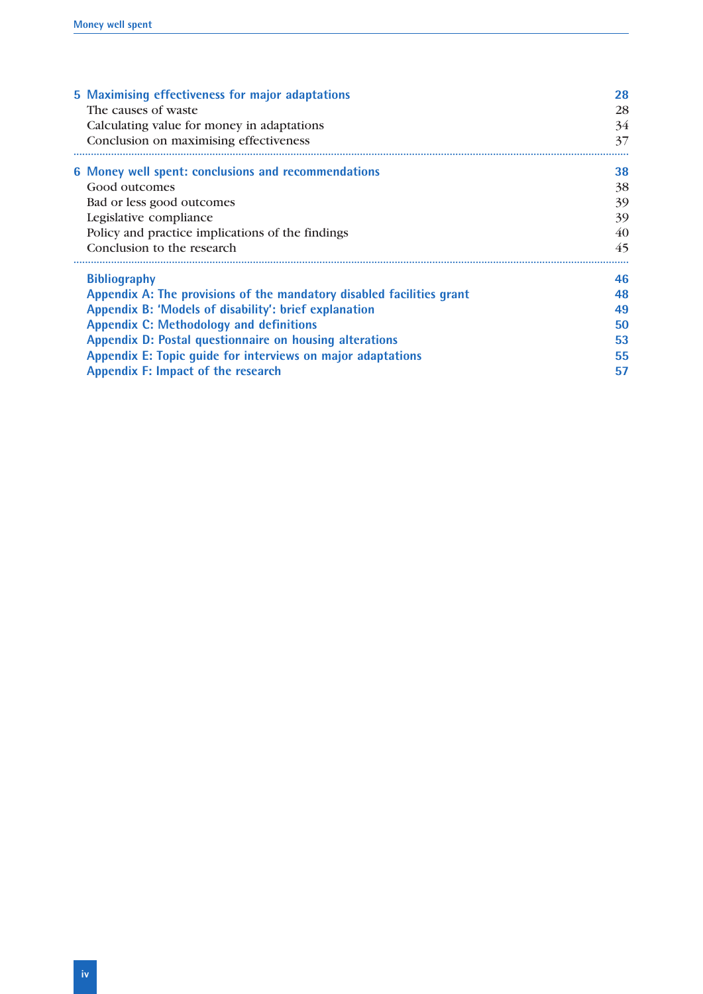| 5 Maximising effectiveness for major adaptations                      | 28 |
|-----------------------------------------------------------------------|----|
| The causes of waste                                                   | 28 |
| Calculating value for money in adaptations                            | 34 |
| Conclusion on maximising effectiveness                                | 37 |
| 6 Money well spent: conclusions and recommendations                   | 38 |
| Good outcomes                                                         | 38 |
| Bad or less good outcomes                                             | 39 |
| Legislative compliance                                                | 39 |
| Policy and practice implications of the findings                      | 40 |
| Conclusion to the research                                            | 45 |
| <b>Bibliography</b>                                                   | 46 |
| Appendix A: The provisions of the mandatory disabled facilities grant | 48 |
| Appendix B: 'Models of disability': brief explanation                 | 49 |
| <b>Appendix C: Methodology and definitions</b>                        | 50 |
| Appendix D: Postal questionnaire on housing alterations               | 53 |
| Appendix E: Topic quide for interviews on major adaptations           | 55 |
| <b>Appendix F: Impact of the research</b>                             | 57 |
|                                                                       |    |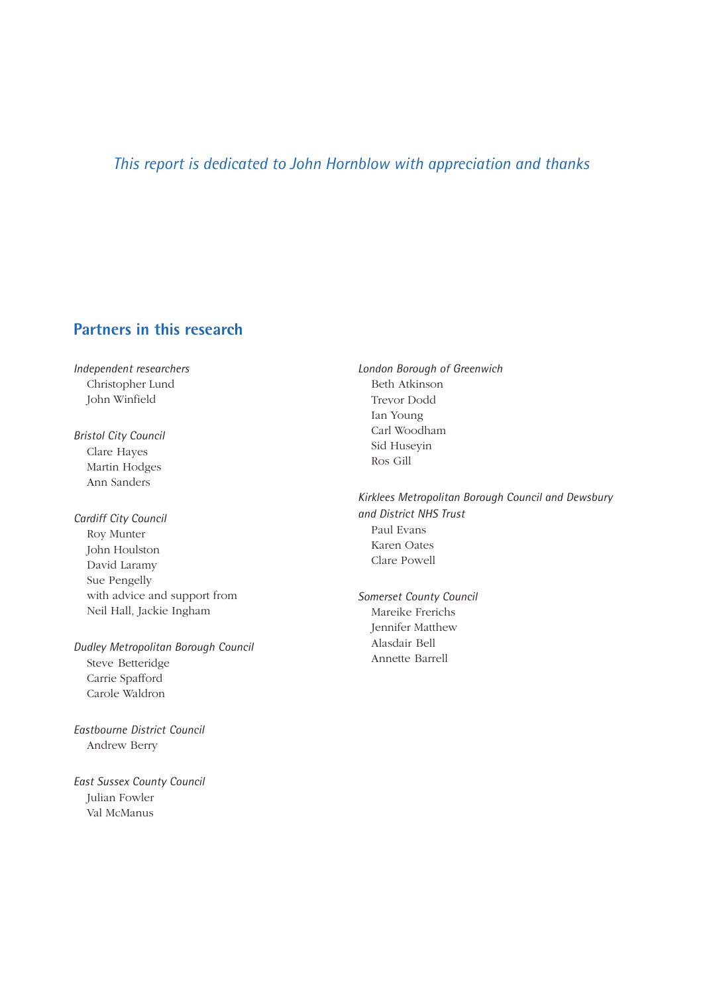# *This report is dedicated to John Hornblow with appreciation and thanks*

# **Partners in this research**

*Independent researchers* Christopher Lund John Winfield

*Bristol City Council* Clare Hayes Martin Hodges Ann Sanders

*Cardiff City Council* Roy Munter John Houlston David Laramy Sue Pengelly with advice and support from Neil Hall, Jackie Ingham

*Dudley Metropolitan Borough Council* Steve Betteridge Carrie Spafford Carole Waldron

*Eastbourne District Council* Andrew Berry

*East Sussex County Council* Julian Fowler Val McManus

*London Borough of Greenwich* Beth Atkinson Trevor Dodd Ian Young Carl Woodham Sid Huseyin Ros Gill

*Kirklees Metropolitan Borough Council and Dewsbury and District NHS Trust* Paul Evans Karen Oates Clare Powell

*Somerset County Council*

Mareike Frerichs Jennifer Matthew Alasdair Bell Annette Barrell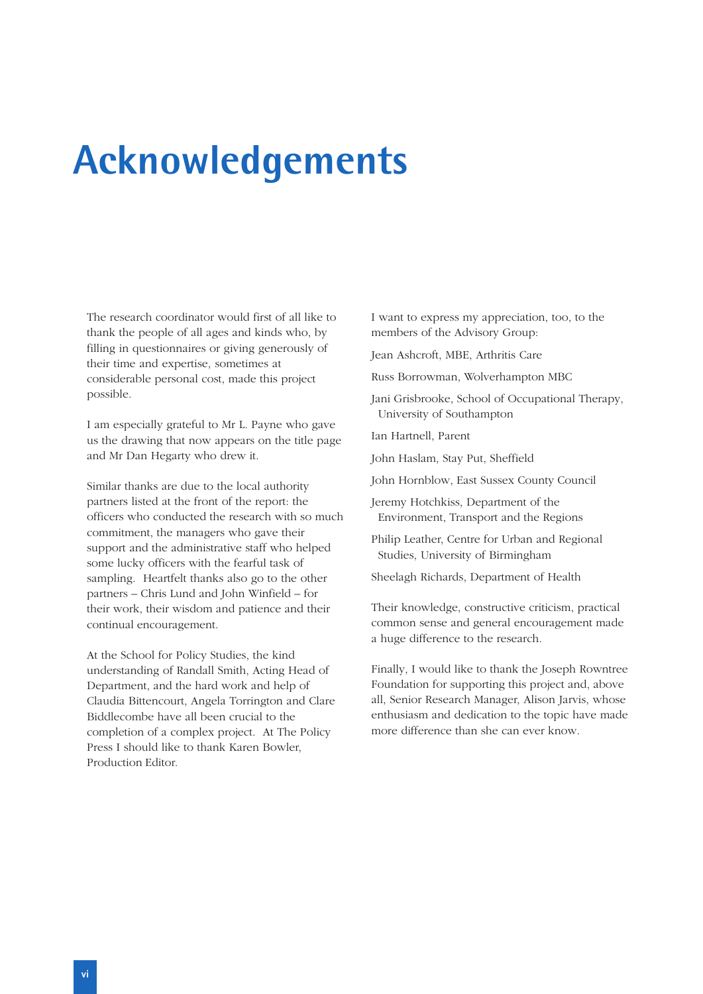# **Acknowledgements**

The research coordinator would first of all like to thank the people of all ages and kinds who, by filling in questionnaires or giving generously of their time and expertise, sometimes at considerable personal cost, made this project possible.

I am especially grateful to Mr L. Payne who gave us the drawing that now appears on the title page and Mr Dan Hegarty who drew it.

Similar thanks are due to the local authority partners listed at the front of the report: the officers who conducted the research with so much commitment, the managers who gave their support and the administrative staff who helped some lucky officers with the fearful task of sampling. Heartfelt thanks also go to the other partners – Chris Lund and John Winfield – for their work, their wisdom and patience and their continual encouragement.

At the School for Policy Studies, the kind understanding of Randall Smith, Acting Head of Department, and the hard work and help of Claudia Bittencourt, Angela Torrington and Clare Biddlecombe have all been crucial to the completion of a complex project. At The Policy Press I should like to thank Karen Bowler, Production Editor.

I want to express my appreciation, too, to the members of the Advisory Group:

Jean Ashcroft, MBE, Arthritis Care

Russ Borrowman, Wolverhampton MBC

Jani Grisbrooke, School of Occupational Therapy, University of Southampton

Ian Hartnell, Parent

John Haslam, Stay Put, Sheffield

John Hornblow, East Sussex County Council

Jeremy Hotchkiss, Department of the Environment, Transport and the Regions

Philip Leather, Centre for Urban and Regional Studies, University of Birmingham

Sheelagh Richards, Department of Health

Their knowledge, constructive criticism, practical common sense and general encouragement made a huge difference to the research.

Finally, I would like to thank the Joseph Rowntree Foundation for supporting this project and, above all, Senior Research Manager, Alison Jarvis, whose enthusiasm and dedication to the topic have made more difference than she can ever know.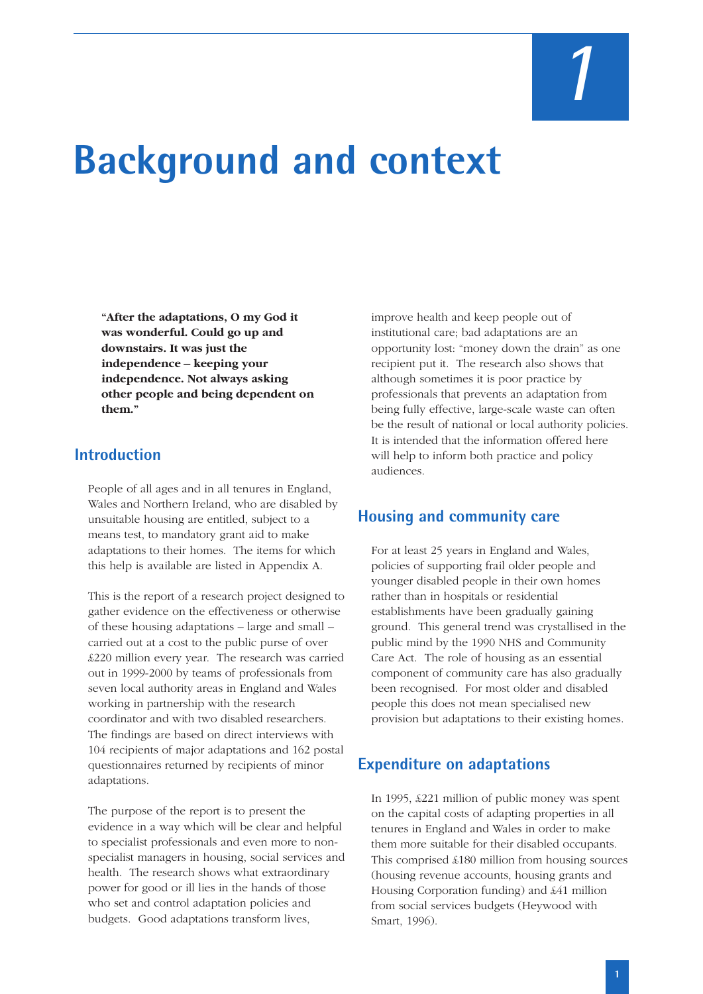# **Background and context**

**"After the adaptations, O my God it was wonderful. Could go up and downstairs. It was just the independence – keeping your independence. Not always asking other people and being dependent on them."**

# **Introduction**

People of all ages and in all tenures in England, Wales and Northern Ireland, who are disabled by unsuitable housing are entitled, subject to a means test, to mandatory grant aid to make adaptations to their homes. The items for which this help is available are listed in Appendix A.

This is the report of a research project designed to gather evidence on the effectiveness or otherwise of these housing adaptations – large and small – carried out at a cost to the public purse of over £220 million every year. The research was carried out in 1999-2000 by teams of professionals from seven local authority areas in England and Wales working in partnership with the research coordinator and with two disabled researchers. The findings are based on direct interviews with 104 recipients of major adaptations and 162 postal questionnaires returned by recipients of minor adaptations.

The purpose of the report is to present the evidence in a way which will be clear and helpful to specialist professionals and even more to nonspecialist managers in housing, social services and health. The research shows what extraordinary power for good or ill lies in the hands of those who set and control adaptation policies and budgets. Good adaptations transform lives,

improve health and keep people out of institutional care; bad adaptations are an opportunity lost: "money down the drain" as one recipient put it. The research also shows that although sometimes it is poor practice by professionals that prevents an adaptation from being fully effective, large-scale waste can often be the result of national or local authority policies. It is intended that the information offered here will help to inform both practice and policy audiences.

# **Housing and community care**

For at least 25 years in England and Wales, policies of supporting frail older people and younger disabled people in their own homes rather than in hospitals or residential establishments have been gradually gaining ground. This general trend was crystallised in the public mind by the 1990 NHS and Community Care Act. The role of housing as an essential component of community care has also gradually been recognised. For most older and disabled people this does not mean specialised new provision but adaptations to their existing homes.

# **Expenditure on adaptations**

In 1995, £221 million of public money was spent on the capital costs of adapting properties in all tenures in England and Wales in order to make them more suitable for their disabled occupants. This comprised £180 million from housing sources (housing revenue accounts, housing grants and Housing Corporation funding) and £41 million from social services budgets (Heywood with Smart, 1996).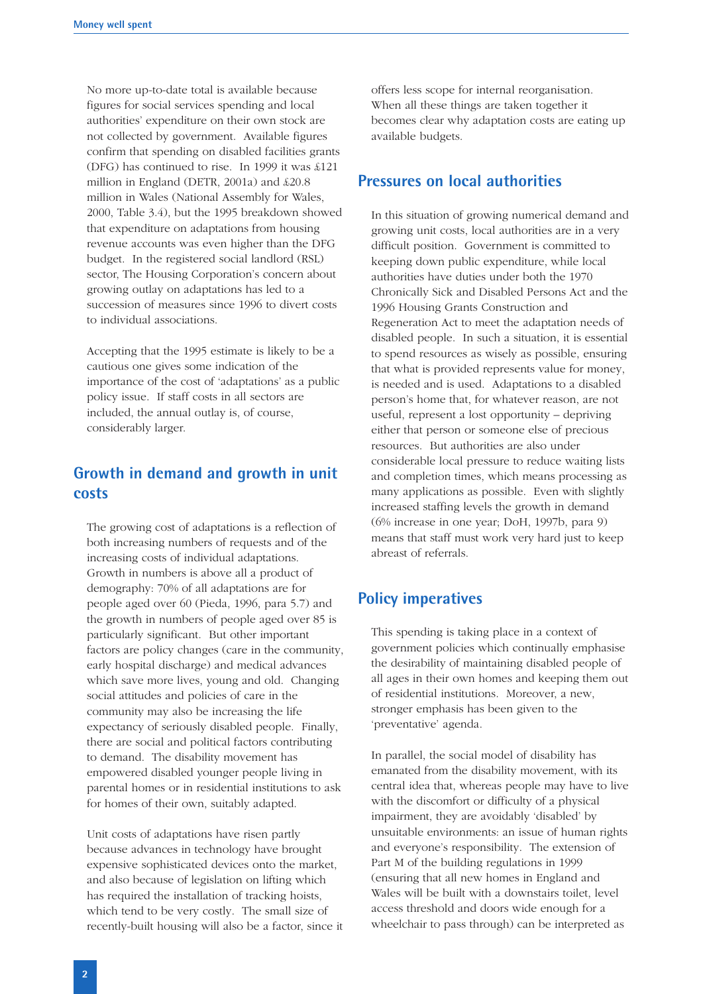No more up-to-date total is available because figures for social services spending and local authorities' expenditure on their own stock are not collected by government. Available figures confirm that spending on disabled facilities grants (DFG) has continued to rise. In 1999 it was £121 million in England (DETR, 2001a) and £20.8 million in Wales (National Assembly for Wales, 2000, Table 3.4), but the 1995 breakdown showed that expenditure on adaptations from housing revenue accounts was even higher than the DFG budget. In the registered social landlord (RSL) sector, The Housing Corporation's concern about growing outlay on adaptations has led to a succession of measures since 1996 to divert costs to individual associations.

Accepting that the 1995 estimate is likely to be a cautious one gives some indication of the importance of the cost of 'adaptations' as a public policy issue. If staff costs in all sectors are included, the annual outlay is, of course, considerably larger.

# **Growth in demand and growth in unit costs**

The growing cost of adaptations is a reflection of both increasing numbers of requests and of the increasing costs of individual adaptations. Growth in numbers is above all a product of demography: 70% of all adaptations are for people aged over 60 (Pieda, 1996, para 5.7) and the growth in numbers of people aged over 85 is particularly significant. But other important factors are policy changes (care in the community, early hospital discharge) and medical advances which save more lives, young and old. Changing social attitudes and policies of care in the community may also be increasing the life expectancy of seriously disabled people. Finally, there are social and political factors contributing to demand. The disability movement has empowered disabled younger people living in parental homes or in residential institutions to ask for homes of their own, suitably adapted.

Unit costs of adaptations have risen partly because advances in technology have brought expensive sophisticated devices onto the market, and also because of legislation on lifting which has required the installation of tracking hoists, which tend to be very costly. The small size of recently-built housing will also be a factor, since it offers less scope for internal reorganisation. When all these things are taken together it becomes clear why adaptation costs are eating up available budgets.

# **Pressures on local authorities**

In this situation of growing numerical demand and growing unit costs, local authorities are in a very difficult position. Government is committed to keeping down public expenditure, while local authorities have duties under both the 1970 Chronically Sick and Disabled Persons Act and the 1996 Housing Grants Construction and Regeneration Act to meet the adaptation needs of disabled people. In such a situation, it is essential to spend resources as wisely as possible, ensuring that what is provided represents value for money, is needed and is used. Adaptations to a disabled person's home that, for whatever reason, are not useful, represent a lost opportunity – depriving either that person or someone else of precious resources. But authorities are also under considerable local pressure to reduce waiting lists and completion times, which means processing as many applications as possible. Even with slightly increased staffing levels the growth in demand (6% increase in one year; DoH, 1997b, para 9) means that staff must work very hard just to keep abreast of referrals.

# **Policy imperatives**

This spending is taking place in a context of government policies which continually emphasise the desirability of maintaining disabled people of all ages in their own homes and keeping them out of residential institutions. Moreover, a new, stronger emphasis has been given to the 'preventative' agenda.

In parallel, the social model of disability has emanated from the disability movement, with its central idea that, whereas people may have to live with the discomfort or difficulty of a physical impairment, they are avoidably 'disabled' by unsuitable environments: an issue of human rights and everyone's responsibility. The extension of Part M of the building regulations in 1999 (ensuring that all new homes in England and Wales will be built with a downstairs toilet, level access threshold and doors wide enough for a wheelchair to pass through) can be interpreted as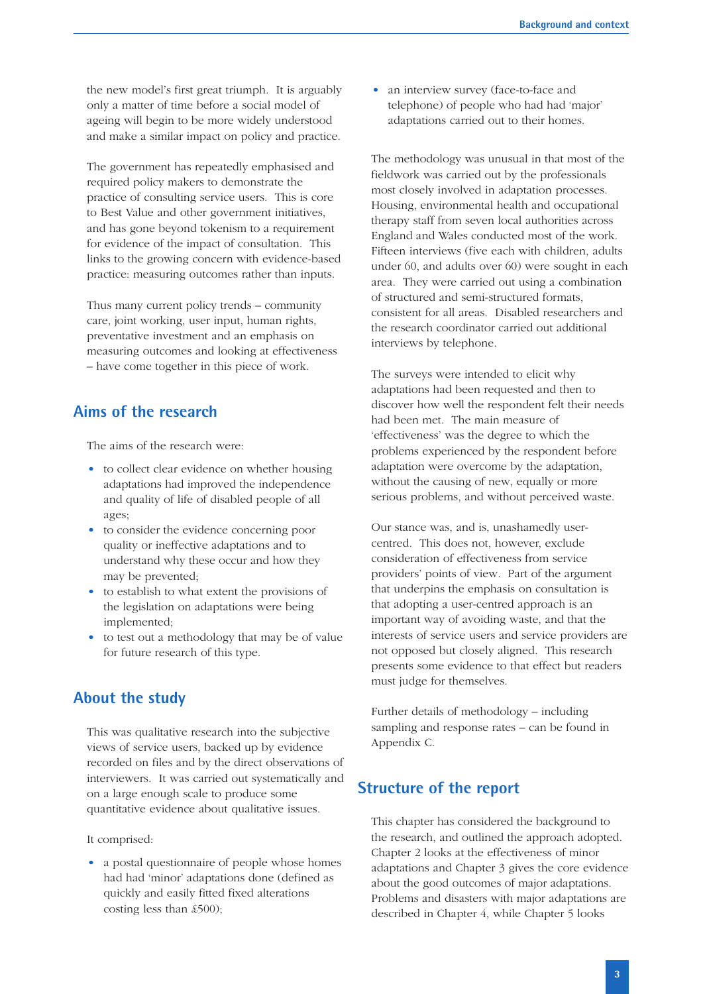the new model's first great triumph. It is arguably only a matter of time before a social model of ageing will begin to be more widely understood and make a similar impact on policy and practice.

The government has repeatedly emphasised and required policy makers to demonstrate the practice of consulting service users. This is core to Best Value and other government initiatives, and has gone beyond tokenism to a requirement for evidence of the impact of consultation. This links to the growing concern with evidence-based practice: measuring outcomes rather than inputs.

Thus many current policy trends – community care, joint working, user input, human rights, preventative investment and an emphasis on measuring outcomes and looking at effectiveness – have come together in this piece of work.

# **Aims of the research**

The aims of the research were:

- to collect clear evidence on whether housing adaptations had improved the independence and quality of life of disabled people of all ages;
- to consider the evidence concerning poor quality or ineffective adaptations and to understand why these occur and how they may be prevented;
- to establish to what extent the provisions of the legislation on adaptations were being implemented;
- to test out a methodology that may be of value for future research of this type.

# **About the study**

This was qualitative research into the subjective views of service users, backed up by evidence recorded on files and by the direct observations of interviewers. It was carried out systematically and on a large enough scale to produce some quantitative evidence about qualitative issues.

#### It comprised:

• a postal questionnaire of people whose homes had had 'minor' adaptations done (defined as quickly and easily fitted fixed alterations costing less than £500);

• an interview survey (face-to-face and telephone) of people who had had 'major' adaptations carried out to their homes.

The methodology was unusual in that most of the fieldwork was carried out by the professionals most closely involved in adaptation processes. Housing, environmental health and occupational therapy staff from seven local authorities across England and Wales conducted most of the work. Fifteen interviews (five each with children, adults under 60, and adults over 60) were sought in each area. They were carried out using a combination of structured and semi-structured formats, consistent for all areas. Disabled researchers and the research coordinator carried out additional interviews by telephone.

The surveys were intended to elicit why adaptations had been requested and then to discover how well the respondent felt their needs had been met. The main measure of 'effectiveness' was the degree to which the problems experienced by the respondent before adaptation were overcome by the adaptation, without the causing of new, equally or more serious problems, and without perceived waste.

Our stance was, and is, unashamedly usercentred. This does not, however, exclude consideration of effectiveness from service providers' points of view. Part of the argument that underpins the emphasis on consultation is that adopting a user-centred approach is an important way of avoiding waste, and that the interests of service users and service providers are not opposed but closely aligned. This research presents some evidence to that effect but readers must judge for themselves.

Further details of methodology – including sampling and response rates – can be found in Appendix C.

## **Structure of the report**

This chapter has considered the background to the research, and outlined the approach adopted. Chapter 2 looks at the effectiveness of minor adaptations and Chapter 3 gives the core evidence about the good outcomes of major adaptations. Problems and disasters with major adaptations are described in Chapter 4, while Chapter 5 looks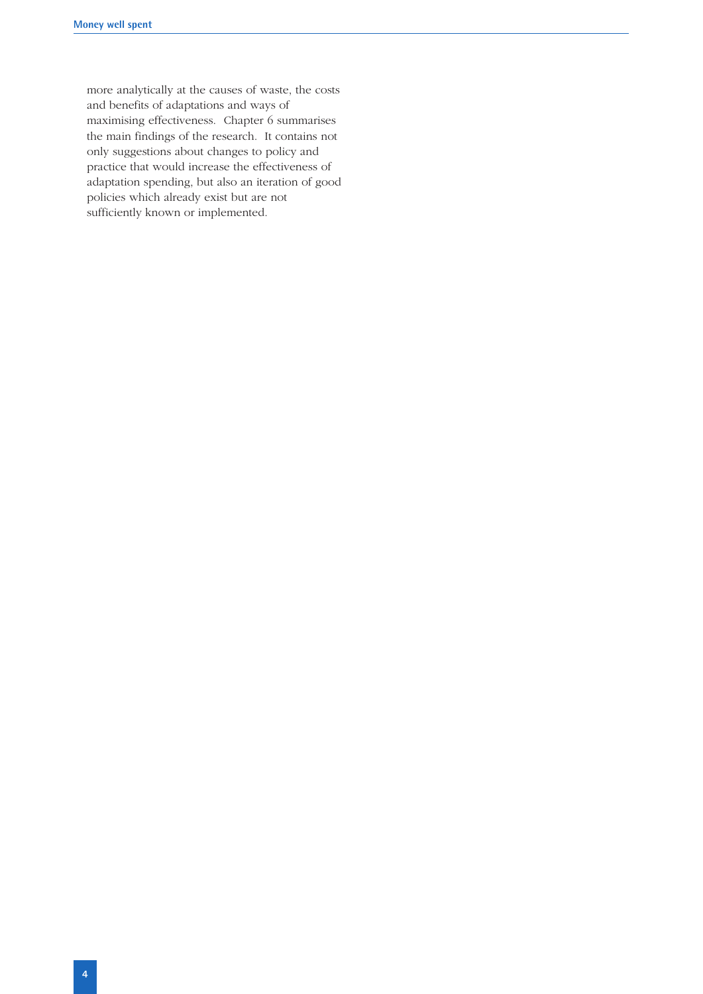more analytically at the causes of waste, the costs and benefits of adaptations and ways of maximising effectiveness. Chapter 6 summarises the main findings of the research. It contains not only suggestions about changes to policy and practice that would increase the effectiveness of adaptation spending, but also an iteration of good policies which already exist but are not sufficiently known or implemented.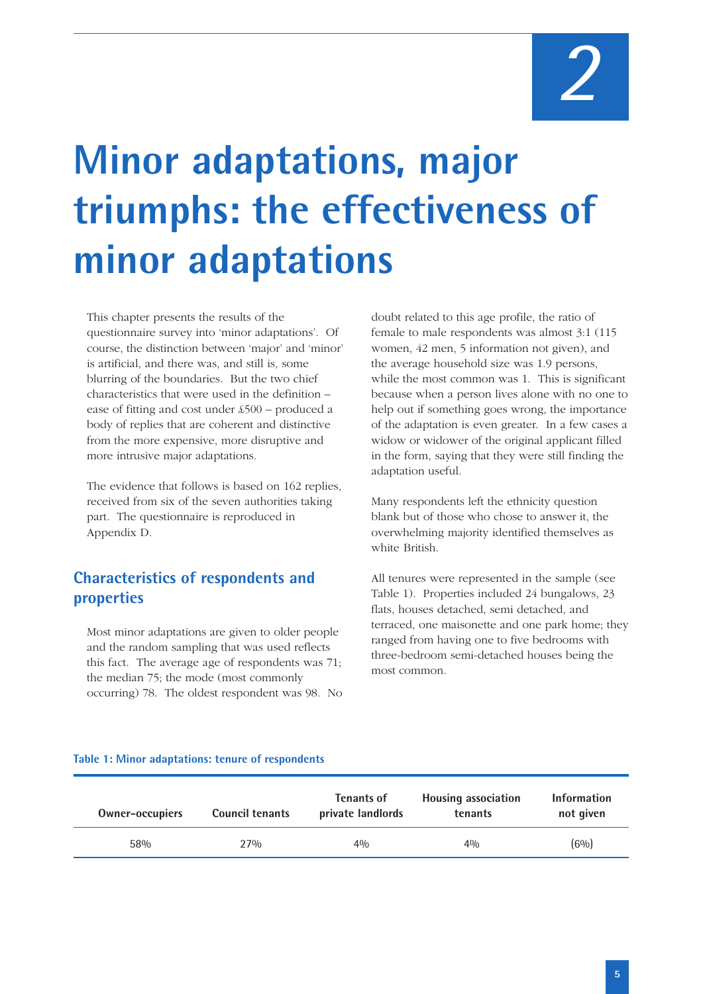# **Minor adaptations, major triumphs: the effectiveness of minor adaptations**

This chapter presents the results of the questionnaire survey into 'minor adaptations'. Of course, the distinction between 'major' and 'minor' is artificial, and there was, and still is, some blurring of the boundaries. But the two chief characteristics that were used in the definition – ease of fitting and cost under £500 – produced a body of replies that are coherent and distinctive from the more expensive, more disruptive and more intrusive major adaptations.

The evidence that follows is based on 162 replies, received from six of the seven authorities taking part. The questionnaire is reproduced in Appendix D.

# **Characteristics of respondents and properties**

Most minor adaptations are given to older people and the random sampling that was used reflects this fact. The average age of respondents was 71; the median 75; the mode (most commonly occurring) 78. The oldest respondent was 98. No doubt related to this age profile, the ratio of female to male respondents was almost 3:1 (115 women, 42 men, 5 information not given), and the average household size was 1.9 persons, while the most common was 1. This is significant because when a person lives alone with no one to help out if something goes wrong, the importance of the adaptation is even greater. In a few cases a widow or widower of the original applicant filled in the form, saying that they were still finding the adaptation useful.

Many respondents left the ethnicity question blank but of those who chose to answer it, the overwhelming majority identified themselves as white British.

All tenures were represented in the sample (see Table 1). Properties included 24 bungalows, 23 flats, houses detached, semi detached, and terraced, one maisonette and one park home; they ranged from having one to five bedrooms with three-bedroom semi-detached houses being the most common.

#### **Table 1: Minor adaptations: tenure of respondents**

| Owner-occupiers | <b>Council tenants</b> | <b>Tenants of</b><br>private landlords | Housing association<br><b>tenants</b> | <b>Information</b><br>not given |
|-----------------|------------------------|----------------------------------------|---------------------------------------|---------------------------------|
| 58%             | 27%                    | 40/0                                   | 40/0                                  | $(6\%)$                         |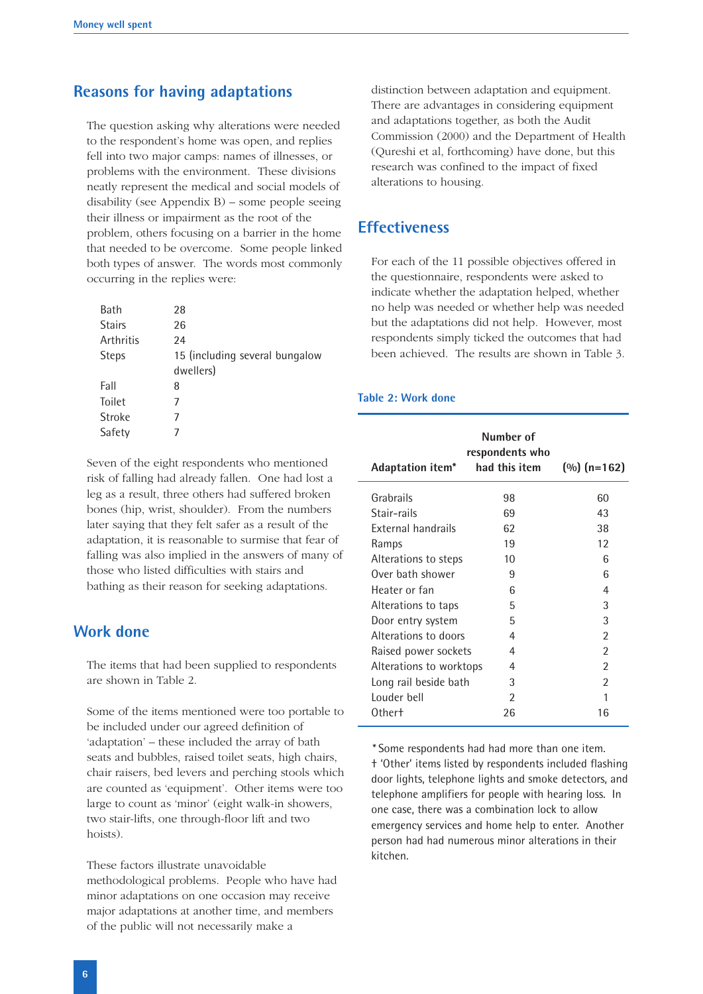## **Reasons for having adaptations**

The question asking why alterations were needed to the respondent's home was open, and replies fell into two major camps: names of illnesses, or problems with the environment. These divisions neatly represent the medical and social models of disability (see Appendix B) – some people seeing their illness or impairment as the root of the problem, others focusing on a barrier in the home that needed to be overcome. Some people linked both types of answer. The words most commonly occurring in the replies were:

| Bath          | 28                             |
|---------------|--------------------------------|
| <b>Stairs</b> | 26                             |
| Arthritis     | 24                             |
| <b>Steps</b>  | 15 (including several bungalow |
|               | dwellers)                      |
| Fall          | 8                              |
| Toilet        | 7                              |
| Stroke        | 7                              |
| Safety        | 7                              |

Seven of the eight respondents who mentioned risk of falling had already fallen. One had lost a leg as a result, three others had suffered broken bones (hip, wrist, shoulder). From the numbers later saying that they felt safer as a result of the adaptation, it is reasonable to surmise that fear of falling was also implied in the answers of many of those who listed difficulties with stairs and bathing as their reason for seeking adaptations.

## **Work done**

The items that had been supplied to respondents are shown in Table 2.

Some of the items mentioned were too portable to be included under our agreed definition of 'adaptation' – these included the array of bath seats and bubbles, raised toilet seats, high chairs, chair raisers, bed levers and perching stools which are counted as 'equipment'. Other items were too large to count as 'minor' (eight walk-in showers, two stair-lifts, one through-floor lift and two hoists).

These factors illustrate unavoidable methodological problems. People who have had minor adaptations on one occasion may receive major adaptations at another time, and members of the public will not necessarily make a

distinction between adaptation and equipment. There are advantages in considering equipment and adaptations together, as both the Audit Commission (2000) and the Department of Health (Qureshi et al, forthcoming) have done, but this research was confined to the impact of fixed alterations to housing.

# **Effectiveness**

For each of the 11 possible objectives offered in the questionnaire, respondents were asked to indicate whether the adaptation helped, whether no help was needed or whether help was needed but the adaptations did not help. However, most respondents simply ticked the outcomes that had been achieved. The results are shown in Table 3.

#### **Table 2: Work done**

| <b>Adaptation item<sup>*</sup></b> | Number of<br>respondents who<br>had this item | $(\frac{0}{0})$ (n=162) |
|------------------------------------|-----------------------------------------------|-------------------------|
| Grabrails                          | 98                                            | 60                      |
| Stair-rails                        | 69                                            | 43                      |
| External handrails                 | 62                                            | 38                      |
| Ramps                              | 19                                            | 12                      |
| Alterations to steps               | 10                                            | 6                       |
| Over bath shower                   | 9                                             | 6                       |
| Heater or fan                      | 6                                             | 4                       |
| Alterations to taps                | 5                                             | 3                       |
| Door entry system                  | 5                                             | 3                       |
| Alterations to doors               | 4                                             | 2                       |
| Raised power sockets               | 4                                             | 2                       |
| Alterations to worktops            | 4                                             | 2                       |
| Long rail beside bath              | 3                                             | 2                       |
| Louder bell                        | $\mathfrak{p}$                                | 1                       |
| Other+                             | 26                                            | 16                      |

*\** Some respondents had had more than one item. † 'Other' items listed by respondents included flashing door lights, telephone lights and smoke detectors, and telephone amplifiers for people with hearing loss. In one case, there was a combination lock to allow emergency services and home help to enter. Another person had had numerous minor alterations in their kitchen.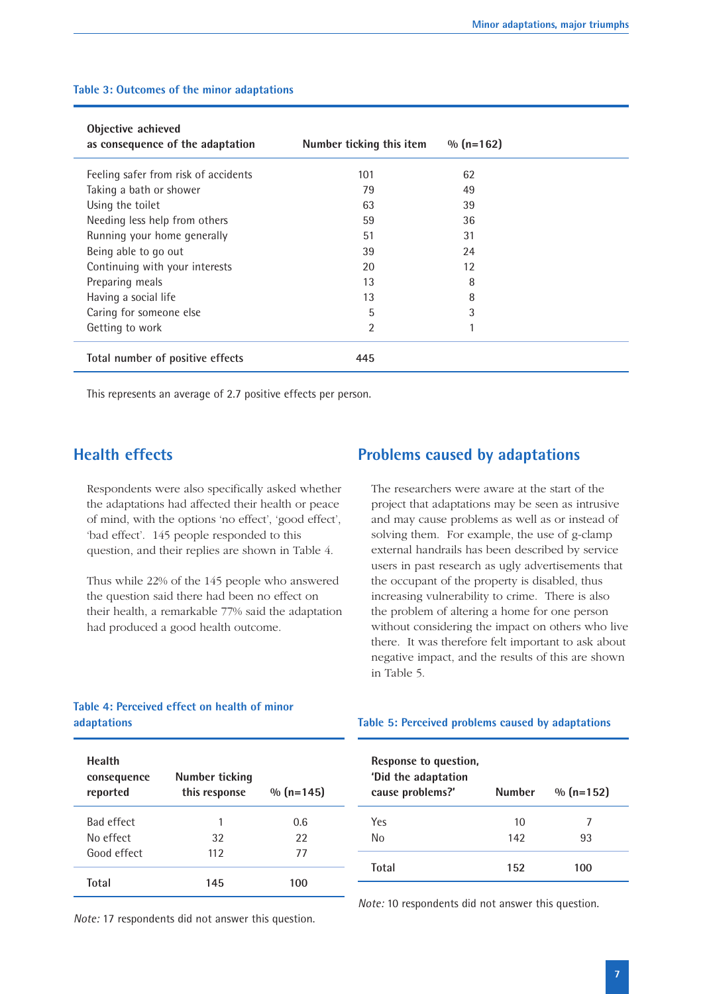| Objective achieved<br>as consequence of the adaptation | Number ticking this item | $\%$ (n=162) |  |
|--------------------------------------------------------|--------------------------|--------------|--|
| Feeling safer from risk of accidents                   | 101                      | 62           |  |
| Taking a bath or shower                                | 79                       | 49           |  |
| Using the toilet                                       | 63                       | 39           |  |
| Needing less help from others                          | 59                       | 36           |  |
| Running your home generally                            | 51                       | 31           |  |
| Being able to go out                                   | 39                       | 24           |  |
| Continuing with your interests                         | 20                       | 12           |  |
| Preparing meals                                        | 13                       | 8            |  |
| Having a social life                                   | 13                       | 8            |  |
| Caring for someone else                                | 5                        | 3            |  |
| Getting to work                                        | 2                        |              |  |
| Total number of positive effects                       | 445                      |              |  |

#### **Table 3: Outcomes of the minor adaptations**

This represents an average of 2.7 positive effects per person.

# **Health effects**

Respondents were also specifically asked whether the adaptations had affected their health or peace of mind, with the options 'no effect', 'good effect', 'bad effect'. 145 people responded to this question, and their replies are shown in Table 4.

Thus while 22% of the 145 people who answered the question said there had been no effect on their health, a remarkable 77% said the adaptation had produced a good health outcome.

## **Problems caused by adaptations**

The researchers were aware at the start of the project that adaptations may be seen as intrusive and may cause problems as well as or instead of solving them. For example, the use of g-clamp external handrails has been described by service users in past research as ugly advertisements that the occupant of the property is disabled, thus increasing vulnerability to crime. There is also the problem of altering a home for one person without considering the impact on others who live there. It was therefore felt important to ask about negative impact, and the results of this are shown in Table 5.

#### **Table 4: Perceived effect on health of minor adaptations**

| <b>Health</b><br>consequence<br>reported | <b>Number ticking</b><br>this response | $\%$ (n=145)    |
|------------------------------------------|----------------------------------------|-----------------|
| Bad effect<br>No effect<br>Good effect   | 1<br>32<br>112                         | 0.6<br>22<br>77 |
| Total                                    | 145                                    | 100             |

*Note:* 17 respondents did not answer this question.

#### **Table 5: Perceived problems caused by adaptations**

| Response to question,<br>'Did the adaptation<br>cause problems?' | <b>Number</b> | $\%$ (n=152) |
|------------------------------------------------------------------|---------------|--------------|
| Yes                                                              | 10            | 7            |
| No                                                               | 142           | 93           |
| Total                                                            | 152           | 100          |

*Note:* 10 respondents did not answer this question.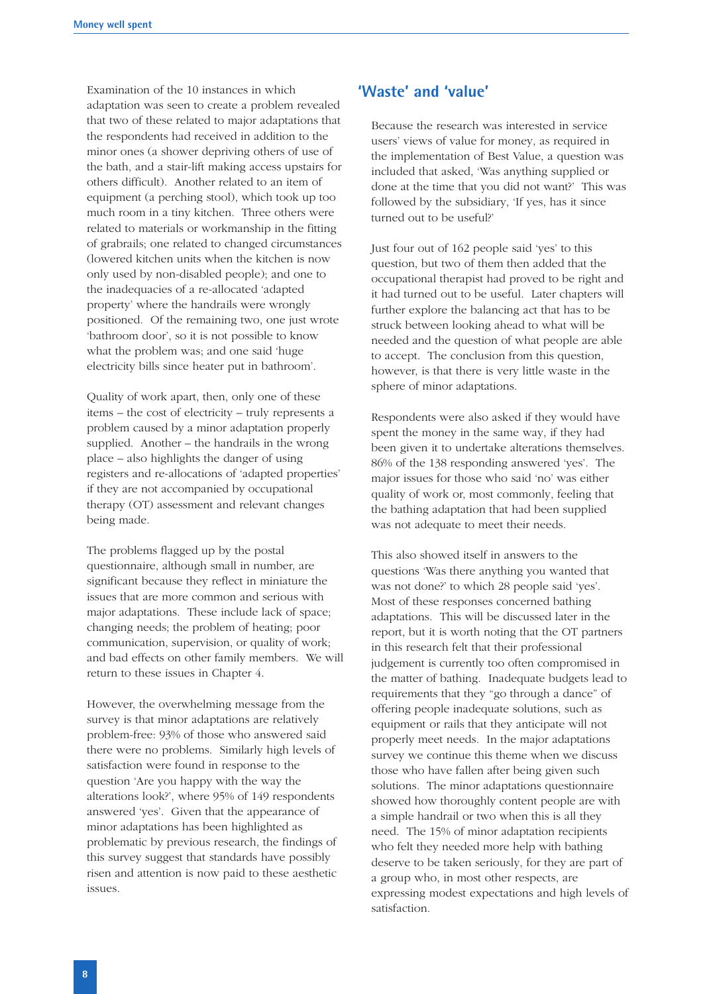Examination of the 10 instances in which adaptation was seen to create a problem revealed that two of these related to major adaptations that the respondents had received in addition to the minor ones (a shower depriving others of use of the bath, and a stair-lift making access upstairs for others difficult). Another related to an item of equipment (a perching stool), which took up too much room in a tiny kitchen. Three others were related to materials or workmanship in the fitting of grabrails; one related to changed circumstances (lowered kitchen units when the kitchen is now only used by non-disabled people); and one to the inadequacies of a re-allocated 'adapted property' where the handrails were wrongly positioned. Of the remaining two, one just wrote 'bathroom door', so it is not possible to know what the problem was; and one said 'huge electricity bills since heater put in bathroom'.

Quality of work apart, then, only one of these items – the cost of electricity – truly represents a problem caused by a minor adaptation properly supplied. Another – the handrails in the wrong place – also highlights the danger of using registers and re-allocations of 'adapted properties' if they are not accompanied by occupational therapy (OT) assessment and relevant changes being made.

The problems flagged up by the postal questionnaire, although small in number, are significant because they reflect in miniature the issues that are more common and serious with major adaptations. These include lack of space; changing needs; the problem of heating; poor communication, supervision, or quality of work; and bad effects on other family members. We will return to these issues in Chapter 4.

However, the overwhelming message from the survey is that minor adaptations are relatively problem-free: 93% of those who answered said there were no problems. Similarly high levels of satisfaction were found in response to the question 'Are you happy with the way the alterations look?', where 95% of 149 respondents answered 'yes'. Given that the appearance of minor adaptations has been highlighted as problematic by previous research, the findings of this survey suggest that standards have possibly risen and attention is now paid to these aesthetic issues.

## **'Waste' and 'value'**

Because the research was interested in service users' views of value for money, as required in the implementation of Best Value, a question was included that asked, 'Was anything supplied or done at the time that you did not want?' This was followed by the subsidiary, 'If yes, has it since turned out to be useful?'

Just four out of 162 people said 'yes' to this question, but two of them then added that the occupational therapist had proved to be right and it had turned out to be useful. Later chapters will further explore the balancing act that has to be struck between looking ahead to what will be needed and the question of what people are able to accept. The conclusion from this question, however, is that there is very little waste in the sphere of minor adaptations.

Respondents were also asked if they would have spent the money in the same way, if they had been given it to undertake alterations themselves. 86% of the 138 responding answered 'yes'. The major issues for those who said 'no' was either quality of work or, most commonly, feeling that the bathing adaptation that had been supplied was not adequate to meet their needs.

This also showed itself in answers to the questions 'Was there anything you wanted that was not done?' to which 28 people said 'yes'. Most of these responses concerned bathing adaptations. This will be discussed later in the report, but it is worth noting that the OT partners in this research felt that their professional judgement is currently too often compromised in the matter of bathing. Inadequate budgets lead to requirements that they "go through a dance" of offering people inadequate solutions, such as equipment or rails that they anticipate will not properly meet needs. In the major adaptations survey we continue this theme when we discuss those who have fallen after being given such solutions. The minor adaptations questionnaire showed how thoroughly content people are with a simple handrail or two when this is all they need. The 15% of minor adaptation recipients who felt they needed more help with bathing deserve to be taken seriously, for they are part of a group who, in most other respects, are expressing modest expectations and high levels of satisfaction.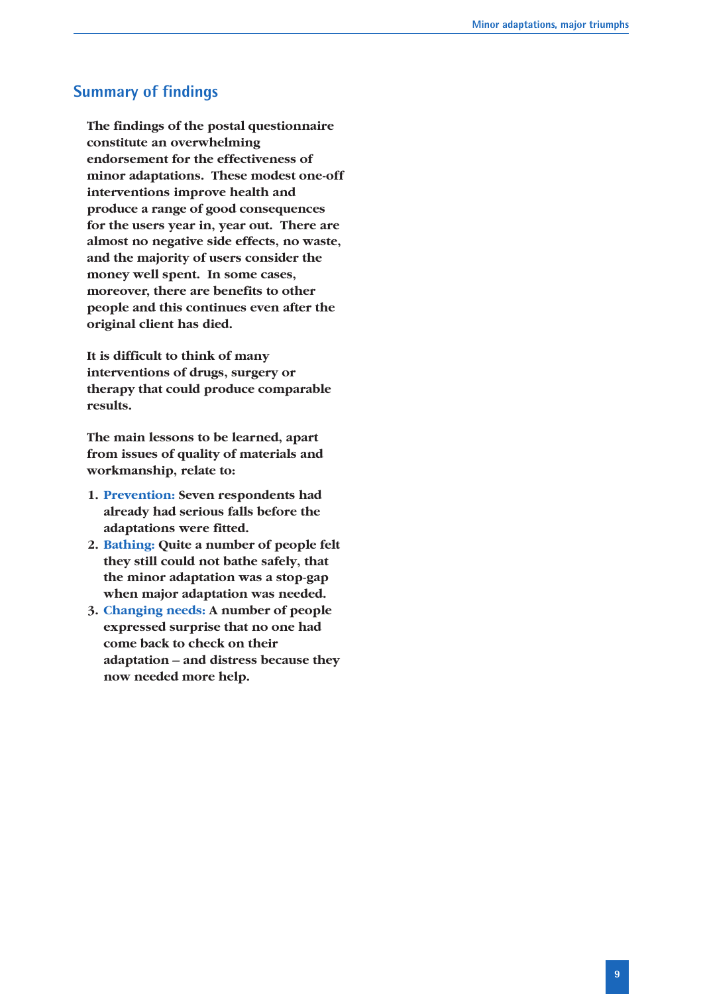#### **Summary of findings**

**The findings of the postal questionnaire constitute an overwhelming endorsement for the effectiveness of minor adaptations. These modest one-off interventions improve health and produce a range of good consequences for the users year in, year out. There are almost no negative side effects, no waste, and the majority of users consider the money well spent. In some cases, moreover, there are benefits to other people and this continues even after the original client has died.**

**It is difficult to think of many interventions of drugs, surgery or therapy that could produce comparable results.**

**The main lessons to be learned, apart from issues of quality of materials and workmanship, relate to:**

- **1. Prevention: Seven respondents had already had serious falls before the adaptations were fitted.**
- **2. Bathing: Quite a number of people felt they still could not bathe safely, that the minor adaptation was a stop-gap when major adaptation was needed.**
- **3. Changing needs: A number of people expressed surprise that no one had come back to check on their adaptation – and distress because they now needed more help.**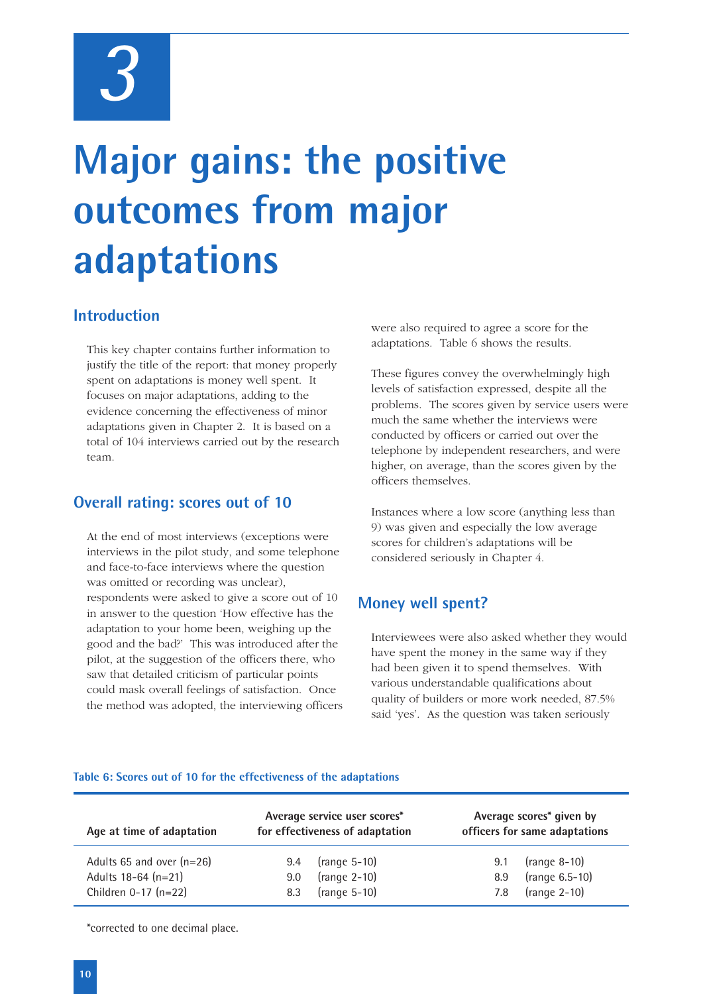*3*

# **Major gains: the positive outcomes from major adaptations**

# **Introduction**

This key chapter contains further information to justify the title of the report: that money properly spent on adaptations is money well spent. It focuses on major adaptations, adding to the evidence concerning the effectiveness of minor adaptations given in Chapter 2. It is based on a total of 104 interviews carried out by the research team.

# **Overall rating: scores out of 10**

At the end of most interviews (exceptions were interviews in the pilot study, and some telephone and face-to-face interviews where the question was omitted or recording was unclear), respondents were asked to give a score out of 10 in answer to the question 'How effective has the adaptation to your home been, weighing up the good and the bad?' This was introduced after the pilot, at the suggestion of the officers there, who saw that detailed criticism of particular points could mask overall feelings of satisfaction. Once the method was adopted, the interviewing officers were also required to agree a score for the adaptations. Table 6 shows the results.

These figures convey the overwhelmingly high levels of satisfaction expressed, despite all the problems. The scores given by service users were much the same whether the interviews were conducted by officers or carried out over the telephone by independent researchers, and were higher, on average, than the scores given by the officers themselves.

Instances where a low score (anything less than 9) was given and especially the low average scores for children's adaptations will be considered seriously in Chapter 4.

# **Money well spent?**

Interviewees were also asked whether they would have spent the money in the same way if they had been given it to spend themselves. With various understandable qualifications about quality of builders or more work needed, 87.5% said 'yes'. As the question was taken seriously

#### **Table 6: Scores out of 10 for the effectiveness of the adaptations**

| Age at time of adaptation   |     | Average service user scores*<br>for effectiveness of adaptation |     | Average scores* given by<br>officers for same adaptations |
|-----------------------------|-----|-----------------------------------------------------------------|-----|-----------------------------------------------------------|
| Adults 65 and over $(n=26)$ | 9.4 | $(range 5-10)$                                                  | 9.1 | $(range 8-10)$                                            |
| Adults 18-64 (n=21)         | 9.0 | $(range 2-10)$                                                  | 8.9 | (range 6.5-10)                                            |
| Children $0-17$ (n=22)      | 8.3 | (range 5-10)                                                    | 7.8 | $(range 2-10)$                                            |

\*corrected to one decimal place.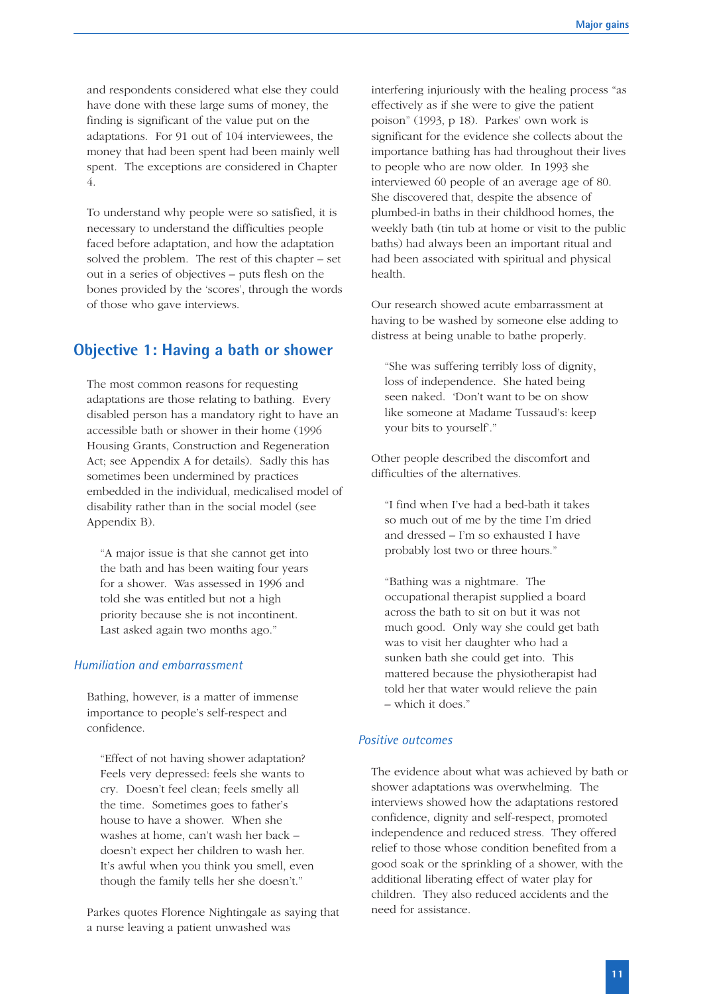and respondents considered what else they could have done with these large sums of money, the finding is significant of the value put on the adaptations. For 91 out of 104 interviewees, the money that had been spent had been mainly well spent. The exceptions are considered in Chapter 4.

To understand why people were so satisfied, it is necessary to understand the difficulties people faced before adaptation, and how the adaptation solved the problem. The rest of this chapter – set out in a series of objectives – puts flesh on the bones provided by the 'scores', through the words of those who gave interviews.

## **Objective 1: Having a bath or shower**

The most common reasons for requesting adaptations are those relating to bathing. Every disabled person has a mandatory right to have an accessible bath or shower in their home (1996 Housing Grants, Construction and Regeneration Act; see Appendix A for details). Sadly this has sometimes been undermined by practices embedded in the individual, medicalised model of disability rather than in the social model (see Appendix B).

"A major issue is that she cannot get into the bath and has been waiting four years for a shower. Was assessed in 1996 and told she was entitled but not a high priority because she is not incontinent. Last asked again two months ago."

#### *Humiliation and embarrassment*

Bathing, however, is a matter of immense importance to people's self-respect and confidence.

"Effect of not having shower adaptation? Feels very depressed: feels she wants to cry. Doesn't feel clean; feels smelly all the time. Sometimes goes to father's house to have a shower. When she washes at home, can't wash her back – doesn't expect her children to wash her. It's awful when you think you smell, even though the family tells her she doesn't."

Parkes quotes Florence Nightingale as saying that a nurse leaving a patient unwashed was

interfering injuriously with the healing process "as effectively as if she were to give the patient poison" (1993, p 18). Parkes' own work is significant for the evidence she collects about the importance bathing has had throughout their lives to people who are now older. In 1993 she interviewed 60 people of an average age of 80. She discovered that, despite the absence of plumbed-in baths in their childhood homes, the weekly bath (tin tub at home or visit to the public baths) had always been an important ritual and had been associated with spiritual and physical health.

Our research showed acute embarrassment at having to be washed by someone else adding to distress at being unable to bathe properly.

"She was suffering terribly loss of dignity, loss of independence. She hated being seen naked. 'Don't want to be on show like someone at Madame Tussaud's: keep your bits to yourself'."

Other people described the discomfort and difficulties of the alternatives.

"I find when I've had a bed-bath it takes so much out of me by the time I'm dried and dressed – I'm so exhausted I have probably lost two or three hours."

"Bathing was a nightmare. The occupational therapist supplied a board across the bath to sit on but it was not much good. Only way she could get bath was to visit her daughter who had a sunken bath she could get into. This mattered because the physiotherapist had told her that water would relieve the pain – which it does."

#### *Positive outcomes*

The evidence about what was achieved by bath or shower adaptations was overwhelming. The interviews showed how the adaptations restored confidence, dignity and self-respect, promoted independence and reduced stress. They offered relief to those whose condition benefited from a good soak or the sprinkling of a shower, with the additional liberating effect of water play for children. They also reduced accidents and the need for assistance.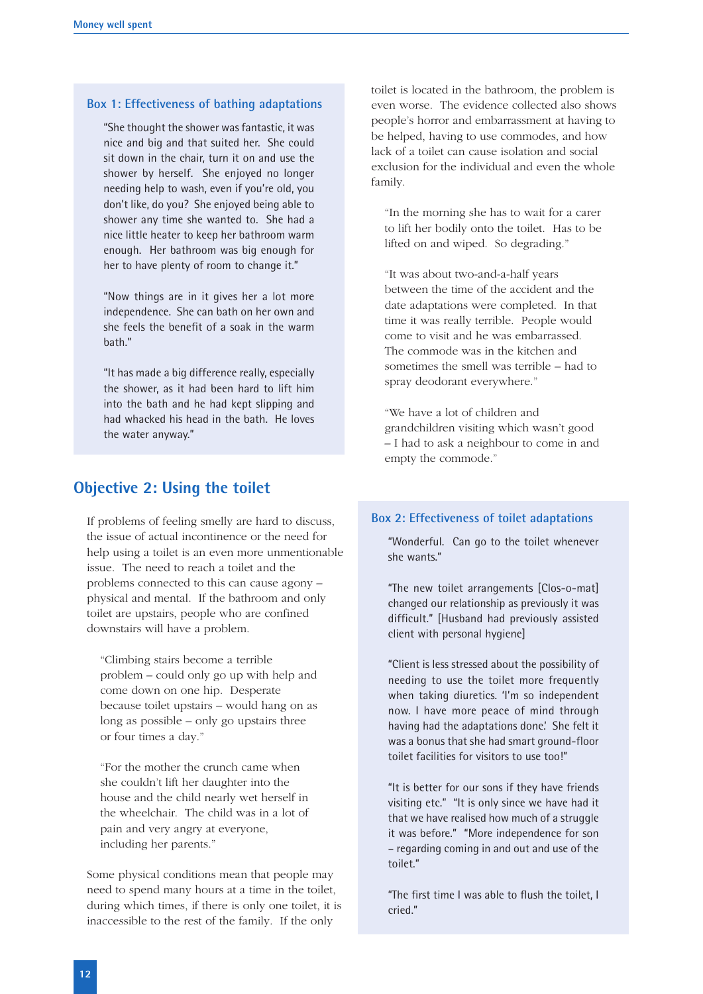#### **Box 1: Effectiveness of bathing adaptations**

"She thought the shower was fantastic, it was nice and big and that suited her. She could sit down in the chair, turn it on and use the shower by herself. She enjoyed no longer needing help to wash, even if you're old, you don't like, do you? She enjoyed being able to shower any time she wanted to. She had a nice little heater to keep her bathroom warm enough. Her bathroom was big enough for her to have plenty of room to change it."

"Now things are in it gives her a lot more independence. She can bath on her own and she feels the benefit of a soak in the warm bath."

"It has made a big difference really, especially the shower, as it had been hard to lift him into the bath and he had kept slipping and had whacked his head in the bath. He loves the water anyway."

## **Objective 2: Using the toilet**

If problems of feeling smelly are hard to discuss, the issue of actual incontinence or the need for help using a toilet is an even more unmentionable issue. The need to reach a toilet and the problems connected to this can cause agony – physical and mental. If the bathroom and only toilet are upstairs, people who are confined downstairs will have a problem.

"Climbing stairs become a terrible problem – could only go up with help and come down on one hip. Desperate because toilet upstairs – would hang on as long as possible – only go upstairs three or four times a day."

"For the mother the crunch came when she couldn't lift her daughter into the house and the child nearly wet herself in the wheelchair. The child was in a lot of pain and very angry at everyone, including her parents."

Some physical conditions mean that people may need to spend many hours at a time in the toilet, during which times, if there is only one toilet, it is inaccessible to the rest of the family. If the only

toilet is located in the bathroom, the problem is even worse. The evidence collected also shows people's horror and embarrassment at having to be helped, having to use commodes, and how lack of a toilet can cause isolation and social exclusion for the individual and even the whole family.

"In the morning she has to wait for a carer to lift her bodily onto the toilet. Has to be lifted on and wiped. So degrading."

"It was about two-and-a-half years between the time of the accident and the date adaptations were completed. In that time it was really terrible. People would come to visit and he was embarrassed. The commode was in the kitchen and sometimes the smell was terrible – had to spray deodorant everywhere."

"We have a lot of children and grandchildren visiting which wasn't good – I had to ask a neighbour to come in and empty the commode."

#### **Box 2: Effectiveness of toilet adaptations**

"Wonderful. Can go to the toilet whenever she wants."

"The new toilet arrangements [Clos-o-mat] changed our relationship as previously it was difficult." [Husband had previously assisted client with personal hygiene]

"Client is less stressed about the possibility of needing to use the toilet more frequently when taking diuretics. 'I'm so independent now. I have more peace of mind through having had the adaptations done.' She felt it was a bonus that she had smart ground-floor toilet facilities for visitors to use too!"

"It is better for our sons if they have friends visiting etc." "It is only since we have had it that we have realised how much of a struggle it was before." "More independence for son – regarding coming in and out and use of the toilet."

"The first time I was able to flush the toilet, I cried."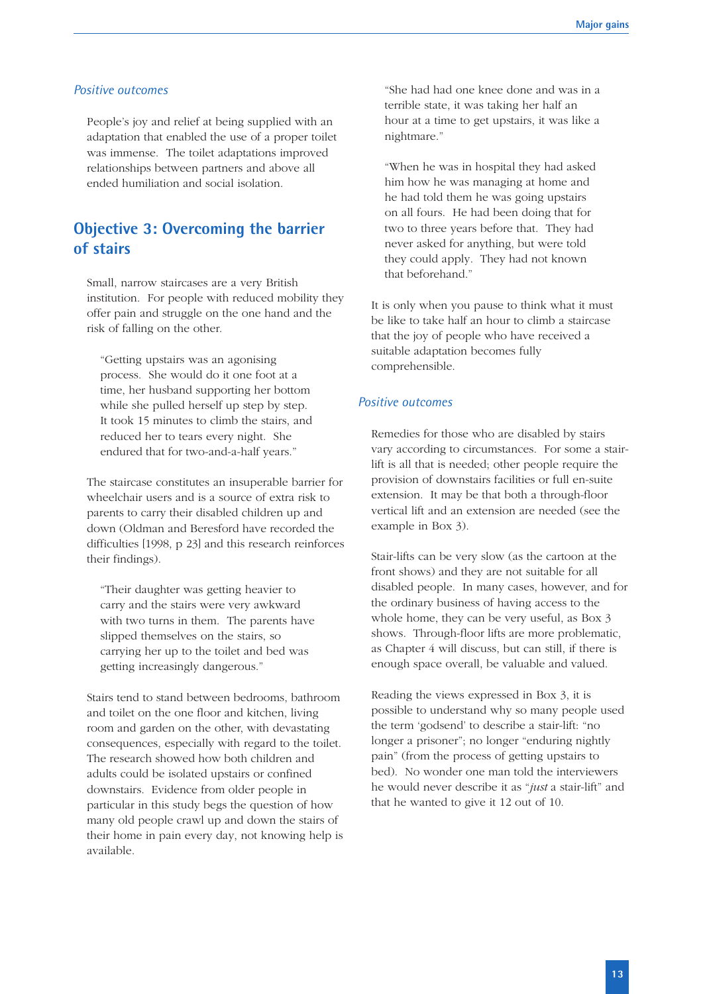#### *Positive outcomes*

People's joy and relief at being supplied with an adaptation that enabled the use of a proper toilet was immense. The toilet adaptations improved relationships between partners and above all ended humiliation and social isolation.

# **Objective 3: Overcoming the barrier of stairs**

Small, narrow staircases are a very British institution. For people with reduced mobility they offer pain and struggle on the one hand and the risk of falling on the other.

"Getting upstairs was an agonising process. She would do it one foot at a time, her husband supporting her bottom while she pulled herself up step by step. It took 15 minutes to climb the stairs, and reduced her to tears every night. She endured that for two-and-a-half years."

The staircase constitutes an insuperable barrier for wheelchair users and is a source of extra risk to parents to carry their disabled children up and down (Oldman and Beresford have recorded the difficulties [1998, p 23] and this research reinforces their findings).

"Their daughter was getting heavier to carry and the stairs were very awkward with two turns in them. The parents have slipped themselves on the stairs, so carrying her up to the toilet and bed was getting increasingly dangerous."

Stairs tend to stand between bedrooms, bathroom and toilet on the one floor and kitchen, living room and garden on the other, with devastating consequences, especially with regard to the toilet. The research showed how both children and adults could be isolated upstairs or confined downstairs. Evidence from older people in particular in this study begs the question of how many old people crawl up and down the stairs of their home in pain every day, not knowing help is available.

"She had had one knee done and was in a terrible state, it was taking her half an hour at a time to get upstairs, it was like a nightmare."

"When he was in hospital they had asked him how he was managing at home and he had told them he was going upstairs on all fours. He had been doing that for two to three years before that. They had never asked for anything, but were told they could apply. They had not known that beforehand."

It is only when you pause to think what it must be like to take half an hour to climb a staircase that the joy of people who have received a suitable adaptation becomes fully comprehensible.

#### *Positive outcomes*

Remedies for those who are disabled by stairs vary according to circumstances. For some a stairlift is all that is needed; other people require the provision of downstairs facilities or full en-suite extension. It may be that both a through-floor vertical lift and an extension are needed (see the example in Box 3).

Stair-lifts can be very slow (as the cartoon at the front shows) and they are not suitable for all disabled people. In many cases, however, and for the ordinary business of having access to the whole home, they can be very useful, as Box 3 shows. Through-floor lifts are more problematic, as Chapter 4 will discuss, but can still, if there is enough space overall, be valuable and valued.

Reading the views expressed in Box 3, it is possible to understand why so many people used the term 'godsend' to describe a stair-lift: "no longer a prisoner"; no longer "enduring nightly pain" (from the process of getting upstairs to bed). No wonder one man told the interviewers he would never describe it as "*just* a stair-lift" and that he wanted to give it 12 out of 10.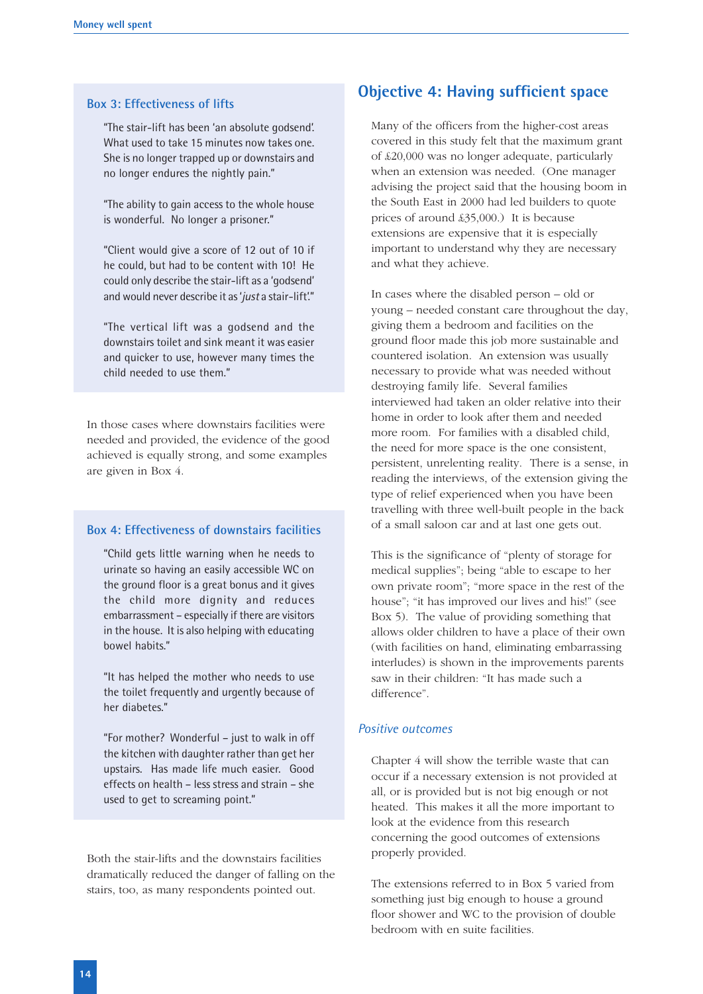#### **Box 3: Effectiveness of lifts**

"The stair-lift has been 'an absolute godsend'. What used to take 15 minutes now takes one. She is no longer trapped up or downstairs and no longer endures the nightly pain."

"The ability to gain access to the whole house is wonderful. No longer a prisoner."

"Client would give a score of 12 out of 10 if he could, but had to be content with 10! He could only describe the stair-lift as a 'godsend' and would never describe it as '*just* a stair-lift'."

"The vertical lift was a godsend and the downstairs toilet and sink meant it was easier and quicker to use, however many times the child needed to use them."

In those cases where downstairs facilities were needed and provided, the evidence of the good achieved is equally strong, and some examples are given in Box 4.

#### **Box 4: Effectiveness of downstairs facilities**

"Child gets little warning when he needs to urinate so having an easily accessible WC on the ground floor is a great bonus and it gives the child more dignity and reduces embarrassment – especially if there are visitors in the house. It is also helping with educating bowel habits."

"It has helped the mother who needs to use the toilet frequently and urgently because of her diabetes."

"For mother? Wonderful – just to walk in off the kitchen with daughter rather than get her upstairs. Has made life much easier. Good effects on health – less stress and strain – she used to get to screaming point."

Both the stair-lifts and the downstairs facilities dramatically reduced the danger of falling on the stairs, too, as many respondents pointed out.

#### **Objective 4: Having sufficient space**

Many of the officers from the higher-cost areas covered in this study felt that the maximum grant of £20,000 was no longer adequate, particularly when an extension was needed. (One manager advising the project said that the housing boom in the South East in 2000 had led builders to quote prices of around £35,000.) It is because extensions are expensive that it is especially important to understand why they are necessary and what they achieve.

In cases where the disabled person – old or young – needed constant care throughout the day, giving them a bedroom and facilities on the ground floor made this job more sustainable and countered isolation. An extension was usually necessary to provide what was needed without destroying family life. Several families interviewed had taken an older relative into their home in order to look after them and needed more room. For families with a disabled child, the need for more space is the one consistent, persistent, unrelenting reality. There is a sense, in reading the interviews, of the extension giving the type of relief experienced when you have been travelling with three well-built people in the back of a small saloon car and at last one gets out.

This is the significance of "plenty of storage for medical supplies"; being "able to escape to her own private room"; "more space in the rest of the house"; "it has improved our lives and his!" (see Box 5). The value of providing something that allows older children to have a place of their own (with facilities on hand, eliminating embarrassing interludes) is shown in the improvements parents saw in their children: "It has made such a difference".

#### *Positive outcomes*

Chapter 4 will show the terrible waste that can occur if a necessary extension is not provided at all, or is provided but is not big enough or not heated. This makes it all the more important to look at the evidence from this research concerning the good outcomes of extensions properly provided.

The extensions referred to in Box 5 varied from something just big enough to house a ground floor shower and WC to the provision of double bedroom with en suite facilities.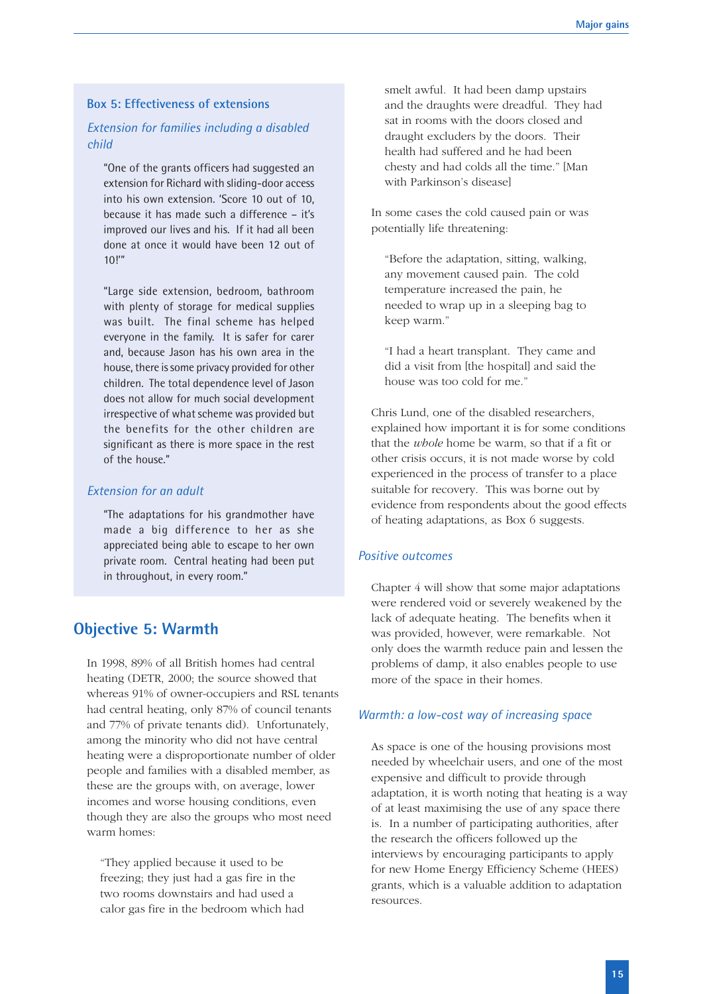#### **Box 5: Effectiveness of extensions**

#### *Extension for families including a disabled child*

"One of the grants officers had suggested an extension for Richard with sliding-door access into his own extension. 'Score 10 out of 10, because it has made such a difference – it's improved our lives and his. If it had all been done at once it would have been 12 out of 10!'"

"Large side extension, bedroom, bathroom with plenty of storage for medical supplies was built. The final scheme has helped everyone in the family. It is safer for carer and, because Jason has his own area in the house, there is some privacy provided for other children. The total dependence level of Jason does not allow for much social development irrespective of what scheme was provided but the benefits for the other children are significant as there is more space in the rest of the house."

#### *Extension for an adult*

"The adaptations for his grandmother have made a big difference to her as she appreciated being able to escape to her own private room. Central heating had been put in throughout, in every room."

#### **Objective 5: Warmth**

In 1998, 89% of all British homes had central heating (DETR, 2000; the source showed that whereas 91% of owner-occupiers and RSL tenants had central heating, only 87% of council tenants and 77% of private tenants did). Unfortunately, among the minority who did not have central heating were a disproportionate number of older people and families with a disabled member, as these are the groups with, on average, lower incomes and worse housing conditions, even though they are also the groups who most need warm homes:

"They applied because it used to be freezing; they just had a gas fire in the two rooms downstairs and had used a calor gas fire in the bedroom which had smelt awful. It had been damp upstairs and the draughts were dreadful. They had sat in rooms with the doors closed and draught excluders by the doors. Their health had suffered and he had been chesty and had colds all the time." [Man with Parkinson's disease]

In some cases the cold caused pain or was potentially life threatening:

"Before the adaptation, sitting, walking, any movement caused pain. The cold temperature increased the pain, he needed to wrap up in a sleeping bag to keep warm."

"I had a heart transplant. They came and did a visit from [the hospital] and said the house was too cold for me."

Chris Lund, one of the disabled researchers, explained how important it is for some conditions that the *whole* home be warm, so that if a fit or other crisis occurs, it is not made worse by cold experienced in the process of transfer to a place suitable for recovery. This was borne out by evidence from respondents about the good effects of heating adaptations, as Box 6 suggests.

#### *Positive outcomes*

Chapter 4 will show that some major adaptations were rendered void or severely weakened by the lack of adequate heating. The benefits when it was provided, however, were remarkable. Not only does the warmth reduce pain and lessen the problems of damp, it also enables people to use more of the space in their homes.

#### *Warmth: a low-cost way of increasing space*

As space is one of the housing provisions most needed by wheelchair users, and one of the most expensive and difficult to provide through adaptation, it is worth noting that heating is a way of at least maximising the use of any space there is. In a number of participating authorities, after the research the officers followed up the interviews by encouraging participants to apply for new Home Energy Efficiency Scheme (HEES) grants, which is a valuable addition to adaptation resources.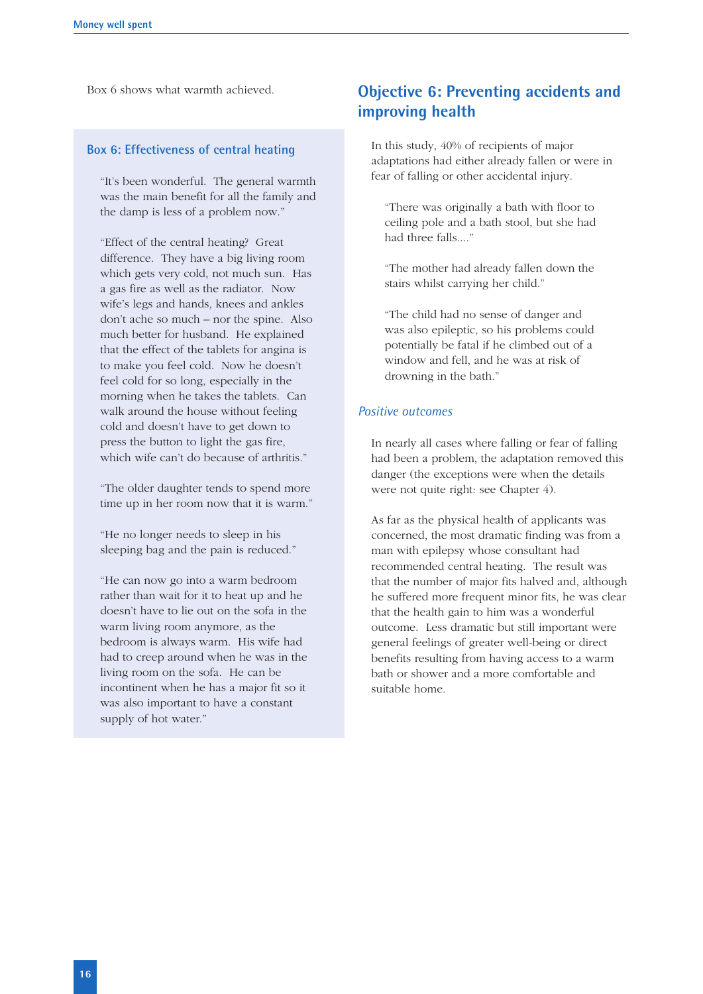Box 6 shows what warmth achieved.

#### **Box 6: Effectiveness of central heating**

"It's been wonderful. The general warmth was the main benefit for all the family and the damp is less of a problem now."

"Effect of the central heating? Great difference. They have a big living room which gets very cold, not much sun. Has a gas fire as well as the radiator. Now wife's legs and hands, knees and ankles don't ache so much – nor the spine. Also much better for husband. He explained that the effect of the tablets for angina is to make you feel cold. Now he doesn't feel cold for so long, especially in the morning when he takes the tablets. Can walk around the house without feeling cold and doesn't have to get down to press the button to light the gas fire, which wife can't do because of arthritis."

"The older daughter tends to spend more time up in her room now that it is warm."

"He no longer needs to sleep in his sleeping bag and the pain is reduced."

"He can now go into a warm bedroom rather than wait for it to heat up and he doesn't have to lie out on the sofa in the warm living room anymore, as the bedroom is always warm. His wife had had to creep around when he was in the living room on the sofa. He can be incontinent when he has a major fit so it was also important to have a constant supply of hot water."

# **Objective 6: Preventing accidents and improving health**

In this study, 40% of recipients of major adaptations had either already fallen or were in fear of falling or other accidental injury.

"There was originally a bath with floor to ceiling pole and a bath stool, but she had had three falls...."

"The mother had already fallen down the stairs whilst carrying her child."

"The child had no sense of danger and was also epileptic, so his problems could potentially be fatal if he climbed out of a window and fell, and he was at risk of drowning in the bath."

#### *Positive outcomes*

In nearly all cases where falling or fear of falling had been a problem, the adaptation removed this danger (the exceptions were when the details were not quite right: see Chapter 4).

As far as the physical health of applicants was concerned, the most dramatic finding was from a man with epilepsy whose consultant had recommended central heating. The result was that the number of major fits halved and, although he suffered more frequent minor fits, he was clear that the health gain to him was a wonderful outcome. Less dramatic but still important were general feelings of greater well-being or direct benefits resulting from having access to a warm bath or shower and a more comfortable and suitable home.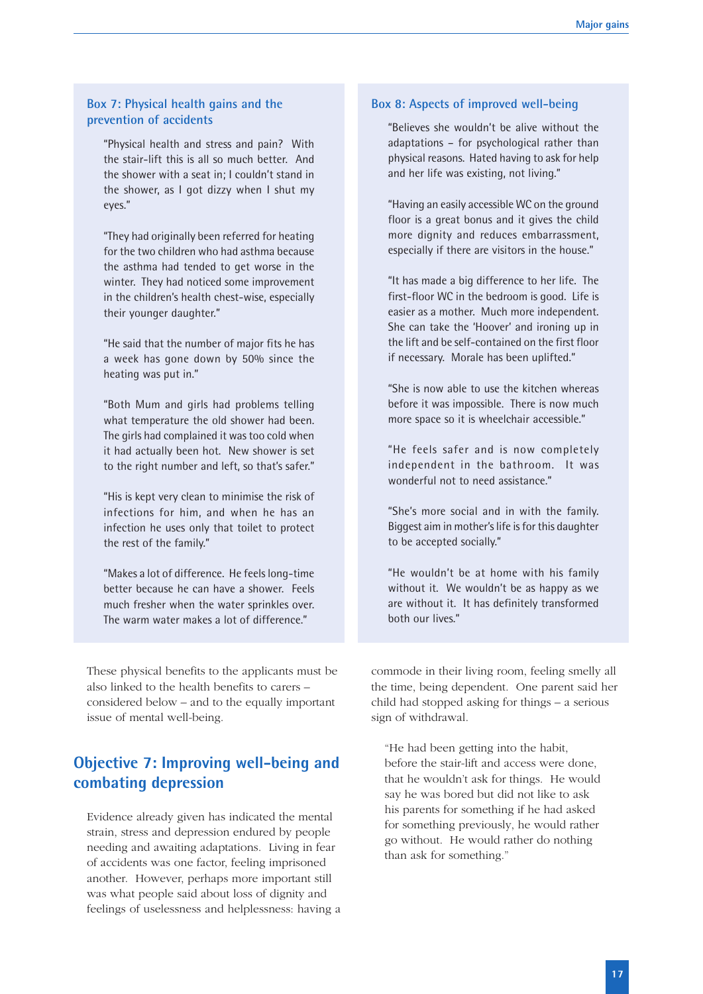#### **Box 7: Physical health gains and the prevention of accidents**

"Physical health and stress and pain? With the stair-lift this is all so much better. And the shower with a seat in; I couldn't stand in the shower, as I got dizzy when I shut my eyes."

"They had originally been referred for heating for the two children who had asthma because the asthma had tended to get worse in the winter. They had noticed some improvement in the children's health chest-wise, especially their younger daughter."

"He said that the number of major fits he has a week has gone down by 50% since the heating was put in."

"Both Mum and girls had problems telling what temperature the old shower had been. The girls had complained it was too cold when it had actually been hot. New shower is set to the right number and left, so that's safer."

"His is kept very clean to minimise the risk of infections for him, and when he has an infection he uses only that toilet to protect the rest of the family."

"Makes a lot of difference. He feels long-time better because he can have a shower. Feels much fresher when the water sprinkles over. The warm water makes a lot of difference."

These physical benefits to the applicants must be also linked to the health benefits to carers – considered below – and to the equally important issue of mental well-being.

# **Objective 7: Improving well-being and combating depression**

Evidence already given has indicated the mental strain, stress and depression endured by people needing and awaiting adaptations. Living in fear of accidents was one factor, feeling imprisoned another. However, perhaps more important still was what people said about loss of dignity and feelings of uselessness and helplessness: having a

#### **Box 8: Aspects of improved well-being**

"Believes she wouldn't be alive without the adaptations – for psychological rather than physical reasons. Hated having to ask for help and her life was existing, not living."

"Having an easily accessible WC on the ground floor is a great bonus and it gives the child more dignity and reduces embarrassment, especially if there are visitors in the house."

"It has made a big difference to her life. The first-floor WC in the bedroom is good. Life is easier as a mother. Much more independent. She can take the 'Hoover' and ironing up in the lift and be self-contained on the first floor if necessary. Morale has been uplifted."

"She is now able to use the kitchen whereas before it was impossible. There is now much more space so it is wheelchair accessible."

"He feels safer and is now completely independent in the bathroom. It was wonderful not to need assistance."

"She's more social and in with the family. Biggest aim in mother's life is for this daughter to be accepted socially."

"He wouldn't be at home with his family without it. We wouldn't be as happy as we are without it. It has definitely transformed both our lives."

commode in their living room, feeling smelly all the time, being dependent. One parent said her child had stopped asking for things – a serious sign of withdrawal.

"He had been getting into the habit, before the stair-lift and access were done, that he wouldn't ask for things. He would say he was bored but did not like to ask his parents for something if he had asked for something previously, he would rather go without. He would rather do nothing than ask for something."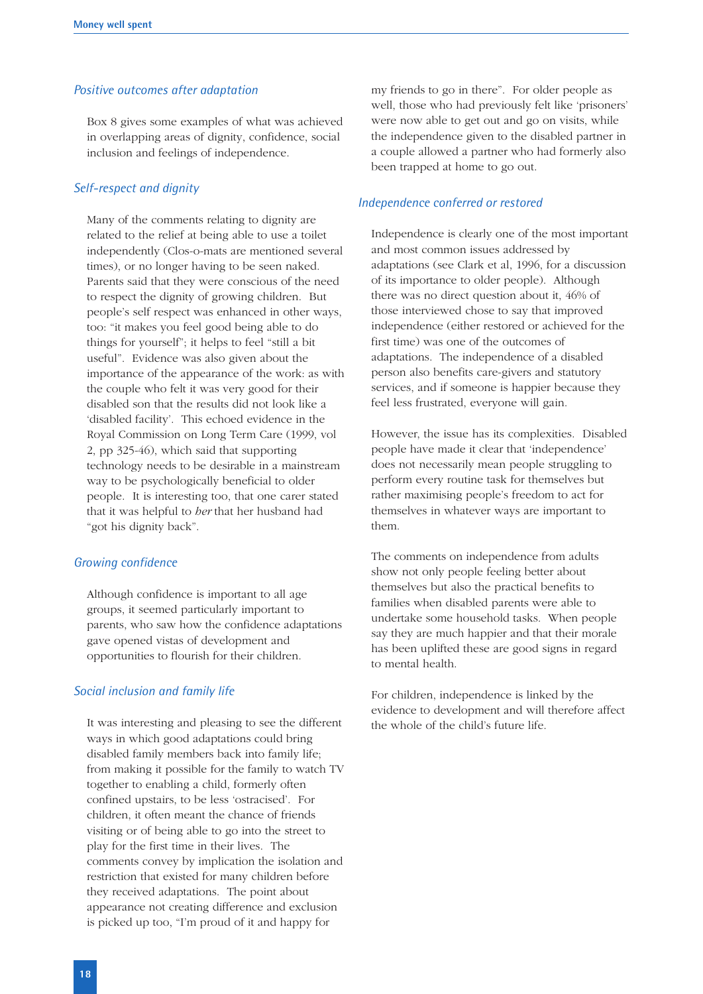#### *Positive outcomes after adaptation*

Box 8 gives some examples of what was achieved in overlapping areas of dignity, confidence, social inclusion and feelings of independence.

#### *Self-respect and dignity*

Many of the comments relating to dignity are related to the relief at being able to use a toilet independently (Clos-o-mats are mentioned several times), or no longer having to be seen naked. Parents said that they were conscious of the need to respect the dignity of growing children. But people's self respect was enhanced in other ways, too: "it makes you feel good being able to do things for yourself"; it helps to feel "still a bit useful". Evidence was also given about the importance of the appearance of the work: as with the couple who felt it was very good for their disabled son that the results did not look like a 'disabled facility'. This echoed evidence in the Royal Commission on Long Term Care (1999, vol 2, pp 325-46), which said that supporting technology needs to be desirable in a mainstream way to be psychologically beneficial to older people. It is interesting too, that one carer stated that it was helpful to *her* that her husband had "got his dignity back".

#### *Growing confidence*

Although confidence is important to all age groups, it seemed particularly important to parents, who saw how the confidence adaptations gave opened vistas of development and opportunities to flourish for their children.

#### *Social inclusion and family life*

It was interesting and pleasing to see the different ways in which good adaptations could bring disabled family members back into family life; from making it possible for the family to watch TV together to enabling a child, formerly often confined upstairs, to be less 'ostracised'. For children, it often meant the chance of friends visiting or of being able to go into the street to play for the first time in their lives. The comments convey by implication the isolation and restriction that existed for many children before they received adaptations. The point about appearance not creating difference and exclusion is picked up too, "I'm proud of it and happy for

my friends to go in there". For older people as well, those who had previously felt like 'prisoners' were now able to get out and go on visits, while the independence given to the disabled partner in a couple allowed a partner who had formerly also been trapped at home to go out.

#### *Independence conferred or restored*

Independence is clearly one of the most important and most common issues addressed by adaptations (see Clark et al, 1996, for a discussion of its importance to older people). Although there was no direct question about it, 46% of those interviewed chose to say that improved independence (either restored or achieved for the first time) was one of the outcomes of adaptations. The independence of a disabled person also benefits care-givers and statutory services, and if someone is happier because they feel less frustrated, everyone will gain.

However, the issue has its complexities. Disabled people have made it clear that 'independence' does not necessarily mean people struggling to perform every routine task for themselves but rather maximising people's freedom to act for themselves in whatever ways are important to them.

The comments on independence from adults show not only people feeling better about themselves but also the practical benefits to families when disabled parents were able to undertake some household tasks. When people say they are much happier and that their morale has been uplifted these are good signs in regard to mental health.

For children, independence is linked by the evidence to development and will therefore affect the whole of the child's future life.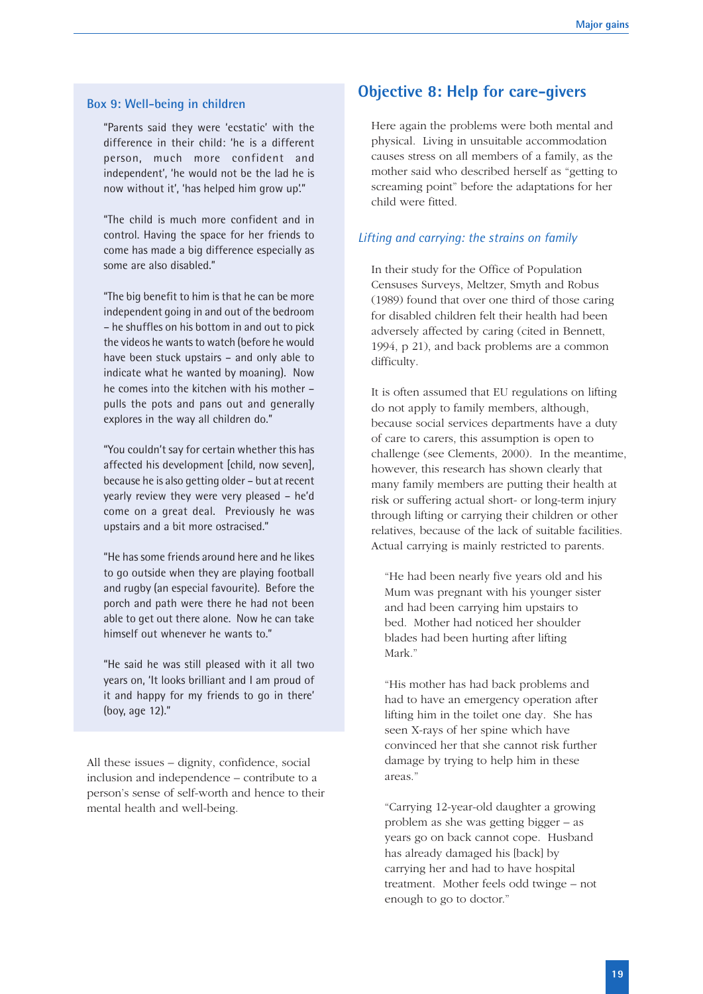#### **Box 9: Well-being in children**

"Parents said they were 'ecstatic' with the difference in their child: 'he is a different person, much more confident and independent', 'he would not be the lad he is now without it', 'has helped him grow up'."

"The child is much more confident and in control. Having the space for her friends to come has made a big difference especially as some are also disabled."

"The big benefit to him is that he can be more independent going in and out of the bedroom – he shuffles on his bottom in and out to pick the videos he wants to watch (before he would have been stuck upstairs – and only able to indicate what he wanted by moaning). Now he comes into the kitchen with his mother – pulls the pots and pans out and generally explores in the way all children do."

"You couldn't say for certain whether this has affected his development [child, now seven], because he is also getting older – but at recent yearly review they were very pleased – he'd come on a great deal. Previously he was upstairs and a bit more ostracised."

"He has some friends around here and he likes to go outside when they are playing football and rugby (an especial favourite). Before the porch and path were there he had not been able to get out there alone. Now he can take himself out whenever he wants to."

"He said he was still pleased with it all two years on, 'It looks brilliant and I am proud of it and happy for my friends to go in there' (boy, age 12)."

All these issues – dignity, confidence, social inclusion and independence – contribute to a person's sense of self-worth and hence to their mental health and well-being.

#### **Objective 8: Help for care-givers**

Here again the problems were both mental and physical. Living in unsuitable accommodation causes stress on all members of a family, as the mother said who described herself as "getting to screaming point" before the adaptations for her child were fitted.

#### *Lifting and carrying: the strains on family*

In their study for the Office of Population Censuses Surveys, Meltzer, Smyth and Robus (1989) found that over one third of those caring for disabled children felt their health had been adversely affected by caring (cited in Bennett, 1994, p 21), and back problems are a common difficulty.

It is often assumed that EU regulations on lifting do not apply to family members, although, because social services departments have a duty of care to carers, this assumption is open to challenge (see Clements, 2000). In the meantime, however, this research has shown clearly that many family members are putting their health at risk or suffering actual short- or long-term injury through lifting or carrying their children or other relatives, because of the lack of suitable facilities. Actual carrying is mainly restricted to parents.

"He had been nearly five years old and his Mum was pregnant with his younger sister and had been carrying him upstairs to bed. Mother had noticed her shoulder blades had been hurting after lifting Mark."

"His mother has had back problems and had to have an emergency operation after lifting him in the toilet one day. She has seen X-rays of her spine which have convinced her that she cannot risk further damage by trying to help him in these areas."

"Carrying 12-year-old daughter a growing problem as she was getting bigger – as years go on back cannot cope. Husband has already damaged his [back] by carrying her and had to have hospital treatment. Mother feels odd twinge – not enough to go to doctor."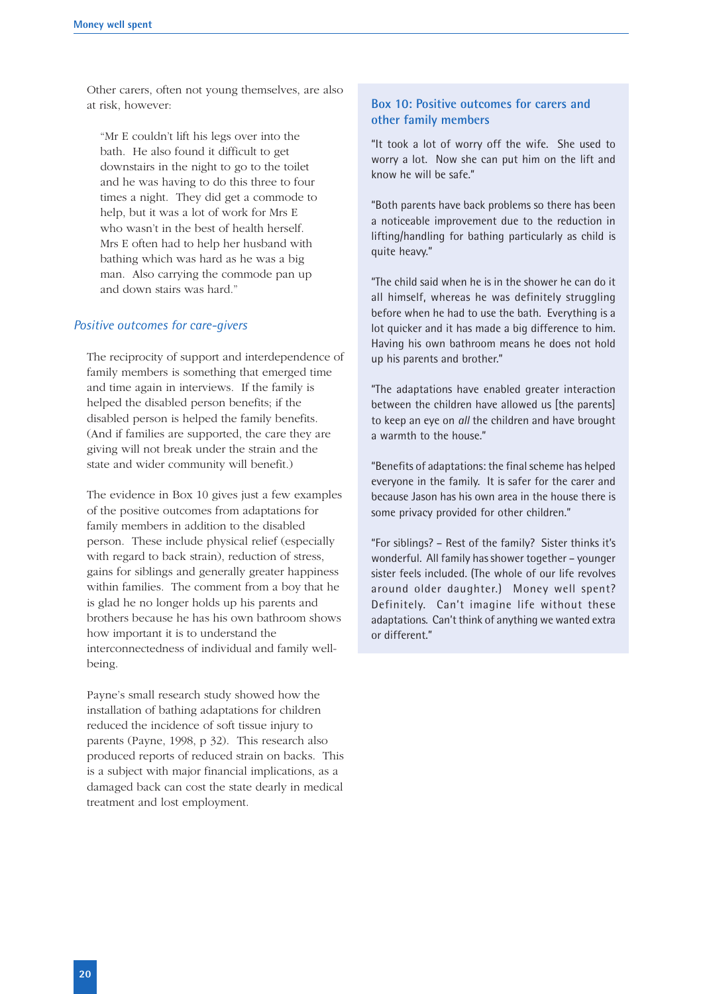Other carers, often not young themselves, are also at risk, however:

"Mr E couldn't lift his legs over into the bath. He also found it difficult to get downstairs in the night to go to the toilet and he was having to do this three to four times a night. They did get a commode to help, but it was a lot of work for Mrs E who wasn't in the best of health herself. Mrs E often had to help her husband with bathing which was hard as he was a big man. Also carrying the commode pan up and down stairs was hard."

#### *Positive outcomes for care-givers*

The reciprocity of support and interdependence of family members is something that emerged time and time again in interviews. If the family is helped the disabled person benefits; if the disabled person is helped the family benefits. (And if families are supported, the care they are giving will not break under the strain and the state and wider community will benefit.)

The evidence in Box 10 gives just a few examples of the positive outcomes from adaptations for family members in addition to the disabled person. These include physical relief (especially with regard to back strain), reduction of stress, gains for siblings and generally greater happiness within families. The comment from a boy that he is glad he no longer holds up his parents and brothers because he has his own bathroom shows how important it is to understand the interconnectedness of individual and family wellbeing.

Payne's small research study showed how the installation of bathing adaptations for children reduced the incidence of soft tissue injury to parents (Payne, 1998, p 32). This research also produced reports of reduced strain on backs. This is a subject with major financial implications, as a damaged back can cost the state dearly in medical treatment and lost employment.

#### **Box 10: Positive outcomes for carers and other family members**

"It took a lot of worry off the wife. She used to worry a lot. Now she can put him on the lift and know he will be safe."

"Both parents have back problems so there has been a noticeable improvement due to the reduction in lifting/handling for bathing particularly as child is quite heavy."

"The child said when he is in the shower he can do it all himself, whereas he was definitely struggling before when he had to use the bath. Everything is a lot quicker and it has made a big difference to him. Having his own bathroom means he does not hold up his parents and brother."

"The adaptations have enabled greater interaction between the children have allowed us [the parents] to keep an eye on *all* the children and have brought a warmth to the house."

"Benefits of adaptations: the final scheme has helped everyone in the family. It is safer for the carer and because Jason has his own area in the house there is some privacy provided for other children."

"For siblings? – Rest of the family? Sister thinks it's wonderful. All family has shower together – younger sister feels included. (The whole of our life revolves around older daughter.) Money well spent? Definitely. Can't imagine life without these adaptations. Can't think of anything we wanted extra or different."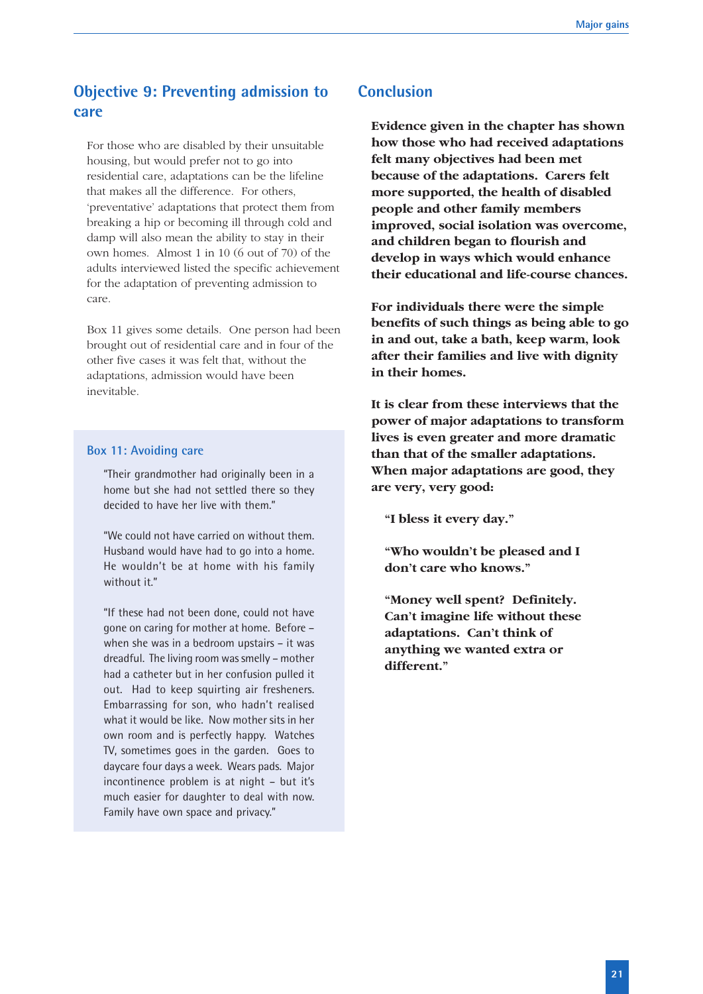# **Objective 9: Preventing admission to care**

For those who are disabled by their unsuitable housing, but would prefer not to go into residential care, adaptations can be the lifeline that makes all the difference. For others, 'preventative' adaptations that protect them from breaking a hip or becoming ill through cold and damp will also mean the ability to stay in their own homes. Almost 1 in 10 (6 out of 70) of the adults interviewed listed the specific achievement for the adaptation of preventing admission to care.

Box 11 gives some details. One person had been brought out of residential care and in four of the other five cases it was felt that, without the adaptations, admission would have been inevitable.

#### **Box 11: Avoiding care**

"Their grandmother had originally been in a home but she had not settled there so they decided to have her live with them."

"We could not have carried on without them. Husband would have had to go into a home. He wouldn't be at home with his family without it."

"If these had not been done, could not have gone on caring for mother at home. Before – when she was in a bedroom upstairs – it was dreadful. The living room was smelly – mother had a catheter but in her confusion pulled it out. Had to keep squirting air fresheners. Embarrassing for son, who hadn't realised what it would be like. Now mother sits in her own room and is perfectly happy. Watches TV, sometimes goes in the garden. Goes to daycare four days a week. Wears pads. Major incontinence problem is at night – but it's much easier for daughter to deal with now. Family have own space and privacy."

# **Conclusion**

**Evidence given in the chapter has shown how those who had received adaptations felt many objectives had been met because of the adaptations. Carers felt more supported, the health of disabled people and other family members improved, social isolation was overcome, and children began to flourish and develop in ways which would enhance their educational and life-course chances.**

**For individuals there were the simple benefits of such things as being able to go in and out, take a bath, keep warm, look after their families and live with dignity in their homes.**

**It is clear from these interviews that the power of major adaptations to transform lives is even greater and more dramatic than that of the smaller adaptations. When major adaptations are good, they are very, very good:**

**"I bless it every day."**

**"Who wouldn't be pleased and I don't care who knows."**

**"Money well spent? Definitely. Can't imagine life without these adaptations. Can't think of anything we wanted extra or different."**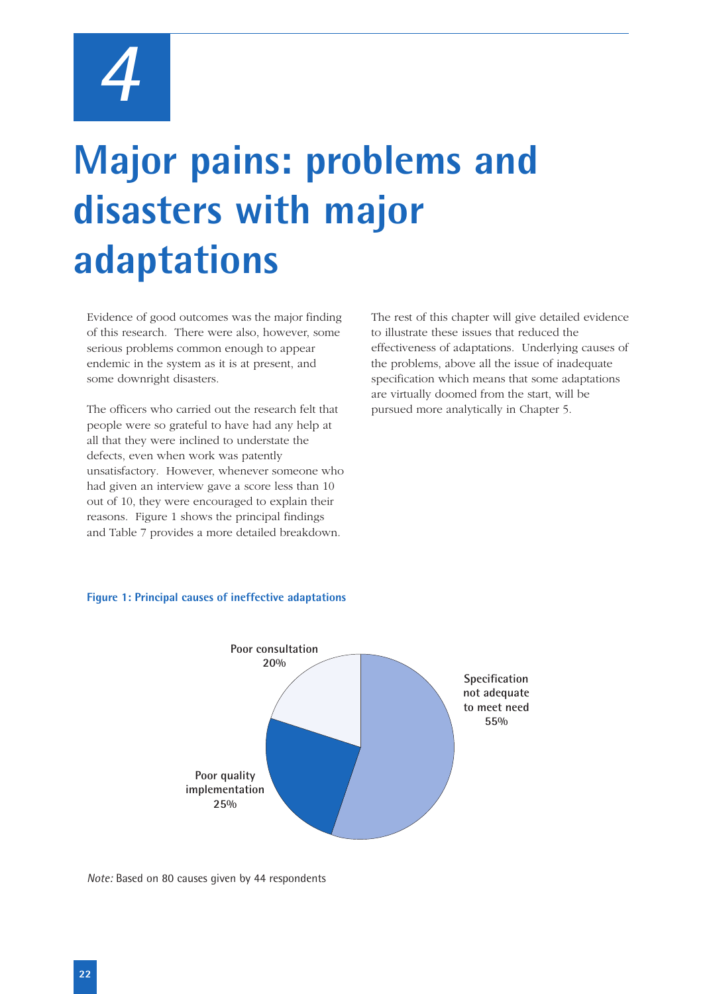

# **Major pains: problems and disasters with major adaptations**

Evidence of good outcomes was the major finding of this research. There were also, however, some serious problems common enough to appear endemic in the system as it is at present, and some downright disasters.

The officers who carried out the research felt that people were so grateful to have had any help at all that they were inclined to understate the defects, even when work was patently unsatisfactory. However, whenever someone who had given an interview gave a score less than 10 out of 10, they were encouraged to explain their reasons. Figure 1 shows the principal findings and Table 7 provides a more detailed breakdown.

The rest of this chapter will give detailed evidence to illustrate these issues that reduced the effectiveness of adaptations. Underlying causes of the problems, above all the issue of inadequate specification which means that some adaptations are virtually doomed from the start, will be pursued more analytically in Chapter 5.

#### **Figure 1: Principal causes of ineffective adaptations**



*Note:* Based on 80 causes given by 44 respondents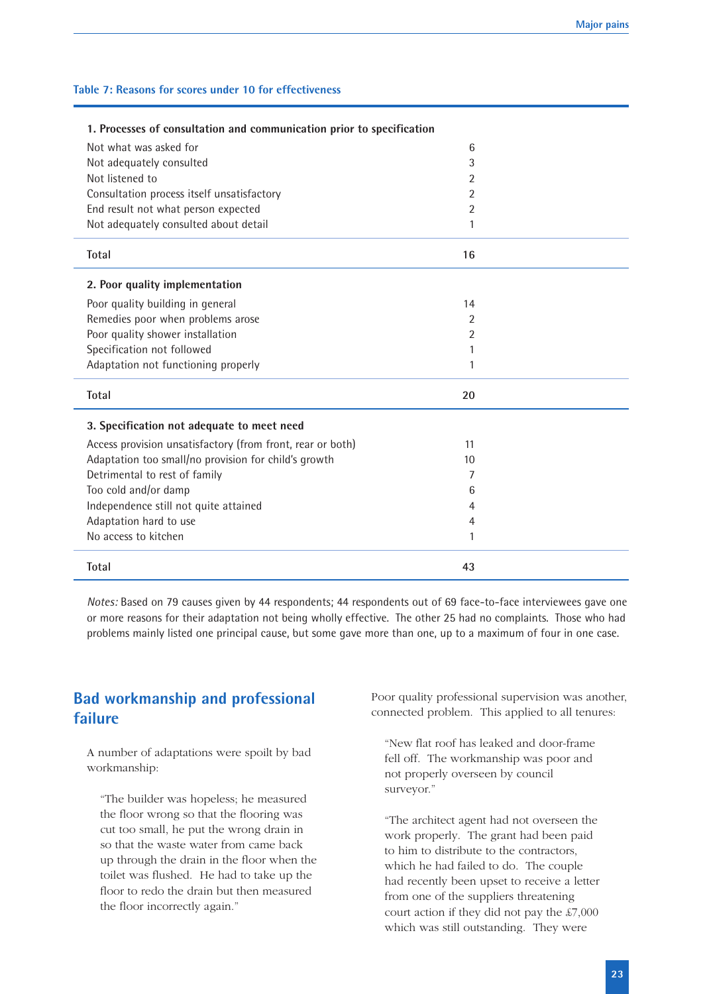#### **Table 7: Reasons for scores under 10 for effectiveness**

| 1. Processes of consultation and communication prior to specification |                |  |
|-----------------------------------------------------------------------|----------------|--|
| Not what was asked for                                                | 6              |  |
| Not adequately consulted                                              | $\sqrt{3}$     |  |
| Not listened to                                                       | 2              |  |
| Consultation process itself unsatisfactory                            | 2              |  |
| End result not what person expected                                   | 2              |  |
| Not adequately consulted about detail                                 | 1              |  |
| <b>Total</b>                                                          | 16             |  |
| 2. Poor quality implementation                                        |                |  |
| Poor quality building in general                                      | 14             |  |
| Remedies poor when problems arose                                     | 2              |  |
| Poor quality shower installation                                      | $\overline{2}$ |  |
| Specification not followed                                            | 1              |  |
| Adaptation not functioning properly                                   | 1              |  |
| <b>Total</b>                                                          | 20             |  |
| 3. Specification not adequate to meet need                            |                |  |
| Access provision unsatisfactory (from front, rear or both)            | 11             |  |
| Adaptation too small/no provision for child's growth                  | 10             |  |
| Detrimental to rest of family                                         | 7              |  |
| Too cold and/or damp                                                  | 6              |  |
| Independence still not quite attained                                 | 4              |  |
| Adaptation hard to use                                                | 4              |  |
| No access to kitchen                                                  | 1              |  |
| <b>Total</b>                                                          | 43             |  |

*Notes:* Based on 79 causes given by 44 respondents; 44 respondents out of 69 face-to-face interviewees gave one or more reasons for their adaptation not being wholly effective. The other 25 had no complaints. Those who had problems mainly listed one principal cause, but some gave more than one, up to a maximum of four in one case.

# **Bad workmanship and professional failure**

A number of adaptations were spoilt by bad workmanship:

"The builder was hopeless; he measured the floor wrong so that the flooring was cut too small, he put the wrong drain in so that the waste water from came back up through the drain in the floor when the toilet was flushed. He had to take up the floor to redo the drain but then measured the floor incorrectly again."

Poor quality professional supervision was another, connected problem. This applied to all tenures:

"New flat roof has leaked and door-frame fell off. The workmanship was poor and not properly overseen by council surveyor."

"The architect agent had not overseen the work properly. The grant had been paid to him to distribute to the contractors, which he had failed to do. The couple had recently been upset to receive a letter from one of the suppliers threatening court action if they did not pay the £7,000 which was still outstanding. They were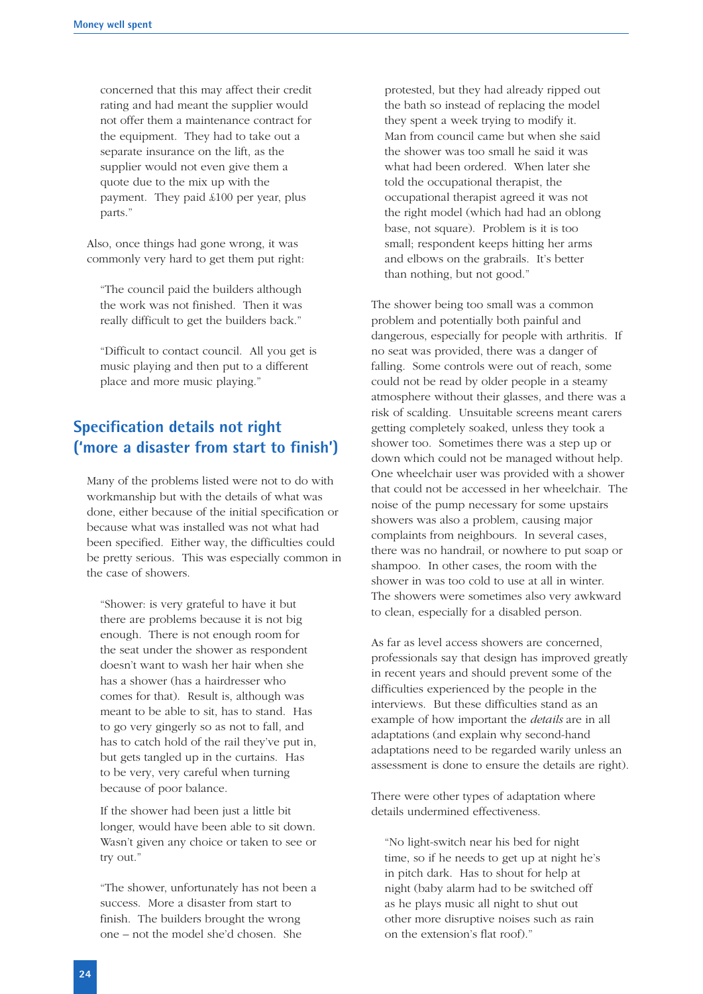concerned that this may affect their credit rating and had meant the supplier would not offer them a maintenance contract for the equipment. They had to take out a separate insurance on the lift, as the supplier would not even give them a quote due to the mix up with the payment. They paid £100 per year, plus parts."

Also, once things had gone wrong, it was commonly very hard to get them put right:

"The council paid the builders although the work was not finished. Then it was really difficult to get the builders back."

"Difficult to contact council. All you get is music playing and then put to a different place and more music playing."

# **Specification details not right ('more a disaster from start to finish')**

Many of the problems listed were not to do with workmanship but with the details of what was done, either because of the initial specification or because what was installed was not what had been specified. Either way, the difficulties could be pretty serious. This was especially common in the case of showers.

"Shower: is very grateful to have it but there are problems because it is not big enough. There is not enough room for the seat under the shower as respondent doesn't want to wash her hair when she has a shower (has a hairdresser who comes for that). Result is, although was meant to be able to sit, has to stand. Has to go very gingerly so as not to fall, and has to catch hold of the rail they've put in, but gets tangled up in the curtains. Has to be very, very careful when turning because of poor balance.

If the shower had been just a little bit longer, would have been able to sit down. Wasn't given any choice or taken to see or try out."

"The shower, unfortunately has not been a success. More a disaster from start to finish. The builders brought the wrong one – not the model she'd chosen. She

protested, but they had already ripped out the bath so instead of replacing the model they spent a week trying to modify it. Man from council came but when she said the shower was too small he said it was what had been ordered. When later she told the occupational therapist, the occupational therapist agreed it was not the right model (which had had an oblong base, not square). Problem is it is too small; respondent keeps hitting her arms and elbows on the grabrails. It's better than nothing, but not good."

The shower being too small was a common problem and potentially both painful and dangerous, especially for people with arthritis. If no seat was provided, there was a danger of falling. Some controls were out of reach, some could not be read by older people in a steamy atmosphere without their glasses, and there was a risk of scalding. Unsuitable screens meant carers getting completely soaked, unless they took a shower too. Sometimes there was a step up or down which could not be managed without help. One wheelchair user was provided with a shower that could not be accessed in her wheelchair. The noise of the pump necessary for some upstairs showers was also a problem, causing major complaints from neighbours. In several cases, there was no handrail, or nowhere to put soap or shampoo. In other cases, the room with the shower in was too cold to use at all in winter. The showers were sometimes also very awkward to clean, especially for a disabled person.

As far as level access showers are concerned, professionals say that design has improved greatly in recent years and should prevent some of the difficulties experienced by the people in the interviews. But these difficulties stand as an example of how important the *details* are in all adaptations (and explain why second-hand adaptations need to be regarded warily unless an assessment is done to ensure the details are right).

There were other types of adaptation where details undermined effectiveness.

"No light-switch near his bed for night time, so if he needs to get up at night he's in pitch dark. Has to shout for help at night (baby alarm had to be switched off as he plays music all night to shut out other more disruptive noises such as rain on the extension's flat roof)."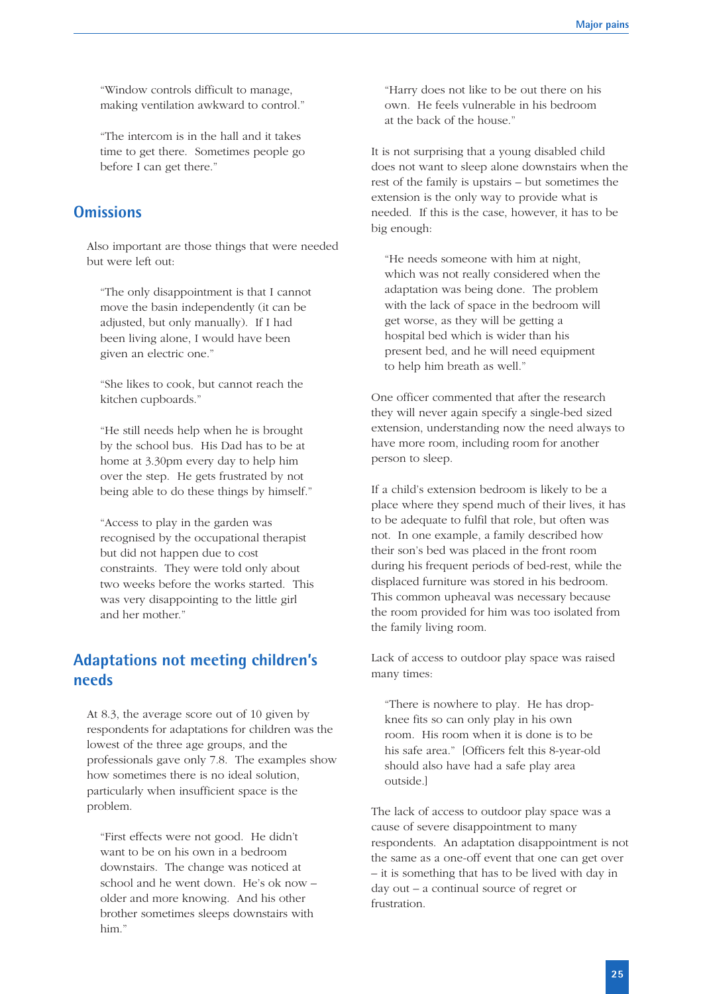"Window controls difficult to manage, making ventilation awkward to control."

"The intercom is in the hall and it takes time to get there. Sometimes people go before I can get there."

## **Omissions**

Also important are those things that were needed but were left out:

"The only disappointment is that I cannot move the basin independently (it can be adjusted, but only manually). If I had been living alone, I would have been given an electric one."

"She likes to cook, but cannot reach the kitchen cupboards."

"He still needs help when he is brought by the school bus. His Dad has to be at home at 3.30pm every day to help him over the step. He gets frustrated by not being able to do these things by himself."

"Access to play in the garden was recognised by the occupational therapist but did not happen due to cost constraints. They were told only about two weeks before the works started. This was very disappointing to the little girl and her mother."

# **Adaptations not meeting children's needs**

At 8.3, the average score out of 10 given by respondents for adaptations for children was the lowest of the three age groups, and the professionals gave only 7.8. The examples show how sometimes there is no ideal solution, particularly when insufficient space is the problem.

"First effects were not good. He didn't want to be on his own in a bedroom downstairs. The change was noticed at school and he went down. He's ok now – older and more knowing. And his other brother sometimes sleeps downstairs with him."

"Harry does not like to be out there on his own. He feels vulnerable in his bedroom at the back of the house."

It is not surprising that a young disabled child does not want to sleep alone downstairs when the rest of the family is upstairs – but sometimes the extension is the only way to provide what is needed. If this is the case, however, it has to be big enough:

"He needs someone with him at night, which was not really considered when the adaptation was being done. The problem with the lack of space in the bedroom will get worse, as they will be getting a hospital bed which is wider than his present bed, and he will need equipment to help him breath as well."

One officer commented that after the research they will never again specify a single-bed sized extension, understanding now the need always to have more room, including room for another person to sleep.

If a child's extension bedroom is likely to be a place where they spend much of their lives, it has to be adequate to fulfil that role, but often was not. In one example, a family described how their son's bed was placed in the front room during his frequent periods of bed-rest, while the displaced furniture was stored in his bedroom. This common upheaval was necessary because the room provided for him was too isolated from the family living room.

Lack of access to outdoor play space was raised many times:

"There is nowhere to play. He has dropknee fits so can only play in his own room. His room when it is done is to be his safe area." [Officers felt this 8-year-old should also have had a safe play area outside.]

The lack of access to outdoor play space was a cause of severe disappointment to many respondents. An adaptation disappointment is not the same as a one-off event that one can get over – it is something that has to be lived with day in day out – a continual source of regret or frustration.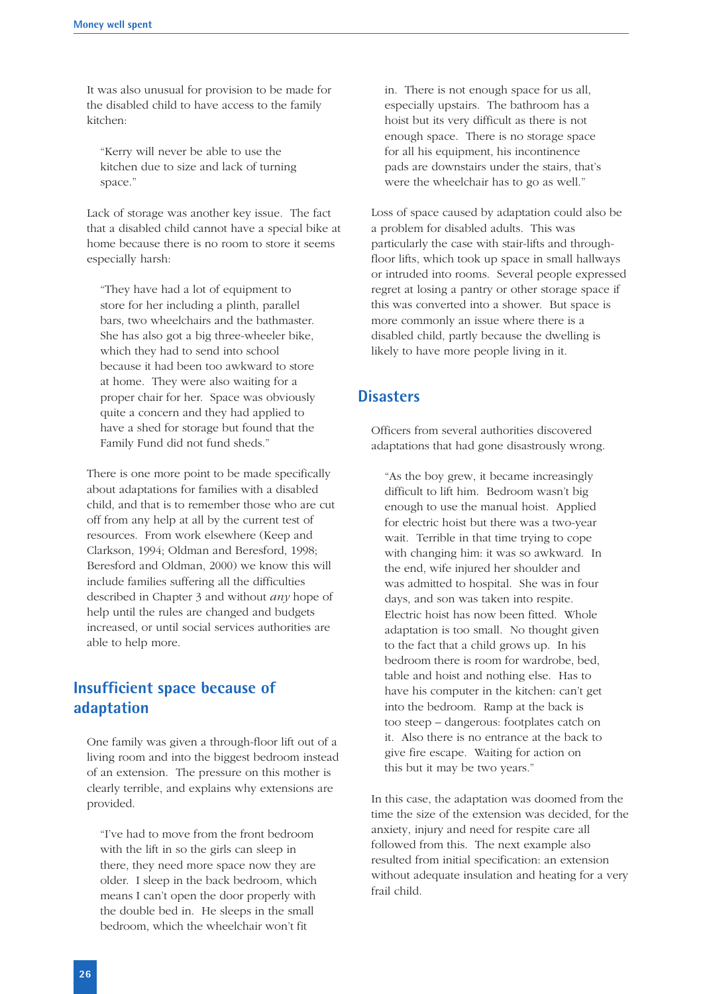It was also unusual for provision to be made for the disabled child to have access to the family kitchen:

"Kerry will never be able to use the kitchen due to size and lack of turning space."

Lack of storage was another key issue. The fact that a disabled child cannot have a special bike at home because there is no room to store it seems especially harsh:

"They have had a lot of equipment to store for her including a plinth, parallel bars, two wheelchairs and the bathmaster. She has also got a big three-wheeler bike, which they had to send into school because it had been too awkward to store at home. They were also waiting for a proper chair for her. Space was obviously quite a concern and they had applied to have a shed for storage but found that the Family Fund did not fund sheds."

There is one more point to be made specifically about adaptations for families with a disabled child, and that is to remember those who are cut off from any help at all by the current test of resources. From work elsewhere (Keep and Clarkson, 1994; Oldman and Beresford, 1998; Beresford and Oldman, 2000) we know this will include families suffering all the difficulties described in Chapter 3 and without *any* hope of help until the rules are changed and budgets increased, or until social services authorities are able to help more.

# **Insufficient space because of adaptation**

One family was given a through-floor lift out of a living room and into the biggest bedroom instead of an extension. The pressure on this mother is clearly terrible, and explains why extensions are provided.

"I've had to move from the front bedroom with the lift in so the girls can sleep in there, they need more space now they are older. I sleep in the back bedroom, which means I can't open the door properly with the double bed in. He sleeps in the small bedroom, which the wheelchair won't fit

in. There is not enough space for us all, especially upstairs. The bathroom has a hoist but its very difficult as there is not enough space. There is no storage space for all his equipment, his incontinence pads are downstairs under the stairs, that's were the wheelchair has to go as well."

Loss of space caused by adaptation could also be a problem for disabled adults. This was particularly the case with stair-lifts and throughfloor lifts, which took up space in small hallways or intruded into rooms. Several people expressed regret at losing a pantry or other storage space if this was converted into a shower. But space is more commonly an issue where there is a disabled child, partly because the dwelling is likely to have more people living in it.

## **Disasters**

Officers from several authorities discovered adaptations that had gone disastrously wrong.

"As the boy grew, it became increasingly difficult to lift him. Bedroom wasn't big enough to use the manual hoist. Applied for electric hoist but there was a two-year wait. Terrible in that time trying to cope with changing him: it was so awkward. In the end, wife injured her shoulder and was admitted to hospital. She was in four days, and son was taken into respite. Electric hoist has now been fitted. Whole adaptation is too small. No thought given to the fact that a child grows up. In his bedroom there is room for wardrobe, bed, table and hoist and nothing else. Has to have his computer in the kitchen: can't get into the bedroom. Ramp at the back is too steep – dangerous: footplates catch on it. Also there is no entrance at the back to give fire escape. Waiting for action on this but it may be two years."

In this case, the adaptation was doomed from the time the size of the extension was decided, for the anxiety, injury and need for respite care all followed from this. The next example also resulted from initial specification: an extension without adequate insulation and heating for a very frail child.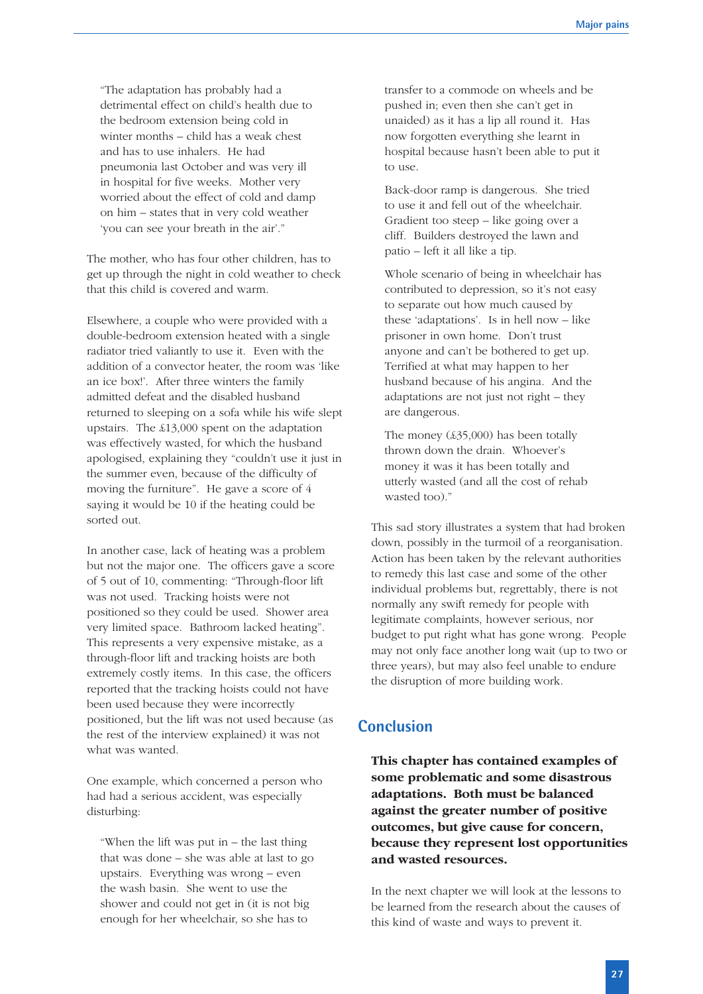"The adaptation has probably had a detrimental effect on child's health due to the bedroom extension being cold in winter months – child has a weak chest and has to use inhalers. He had pneumonia last October and was very ill in hospital for five weeks. Mother very worried about the effect of cold and damp on him – states that in very cold weather 'you can see your breath in the air'."

The mother, who has four other children, has to get up through the night in cold weather to check that this child is covered and warm.

Elsewhere, a couple who were provided with a double-bedroom extension heated with a single radiator tried valiantly to use it. Even with the addition of a convector heater, the room was 'like an ice box!'. After three winters the family admitted defeat and the disabled husband returned to sleeping on a sofa while his wife slept upstairs. The £13,000 spent on the adaptation was effectively wasted, for which the husband apologised, explaining they "couldn't use it just in the summer even, because of the difficulty of moving the furniture". He gave a score of 4 saying it would be 10 if the heating could be sorted out.

In another case, lack of heating was a problem but not the major one. The officers gave a score of 5 out of 10, commenting: "Through-floor lift was not used. Tracking hoists were not positioned so they could be used. Shower area very limited space. Bathroom lacked heating". This represents a very expensive mistake, as a through-floor lift and tracking hoists are both extremely costly items. In this case, the officers reported that the tracking hoists could not have been used because they were incorrectly positioned, but the lift was not used because (as the rest of the interview explained) it was not what was wanted.

One example, which concerned a person who had had a serious accident, was especially disturbing:

"When the lift was put in – the last thing that was done – she was able at last to go upstairs. Everything was wrong – even the wash basin. She went to use the shower and could not get in (it is not big enough for her wheelchair, so she has to

transfer to a commode on wheels and be pushed in; even then she can't get in unaided) as it has a lip all round it. Has now forgotten everything she learnt in hospital because hasn't been able to put it to use.

Back-door ramp is dangerous. She tried to use it and fell out of the wheelchair. Gradient too steep – like going over a cliff. Builders destroyed the lawn and patio – left it all like a tip.

Whole scenario of being in wheelchair has contributed to depression, so it's not easy to separate out how much caused by these 'adaptations'. Is in hell now – like prisoner in own home. Don't trust anyone and can't be bothered to get up. Terrified at what may happen to her husband because of his angina. And the adaptations are not just not right – they are dangerous.

The money (£35,000) has been totally thrown down the drain. Whoever's money it was it has been totally and utterly wasted (and all the cost of rehab wasted too)."

This sad story illustrates a system that had broken down, possibly in the turmoil of a reorganisation. Action has been taken by the relevant authorities to remedy this last case and some of the other individual problems but, regrettably, there is not normally any swift remedy for people with legitimate complaints, however serious, nor budget to put right what has gone wrong. People may not only face another long wait (up to two or three years), but may also feel unable to endure the disruption of more building work.

# **Conclusion**

**This chapter has contained examples of some problematic and some disastrous adaptations. Both must be balanced against the greater number of positive outcomes, but give cause for concern, because they represent lost opportunities and wasted resources.**

In the next chapter we will look at the lessons to be learned from the research about the causes of this kind of waste and ways to prevent it.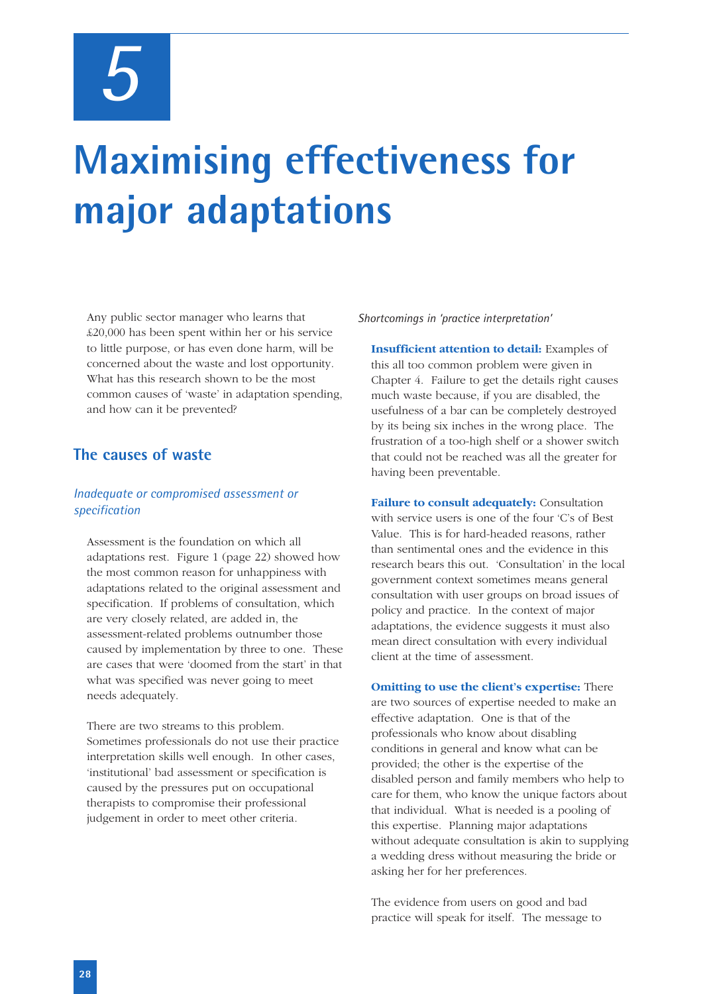*5*

# **Maximising effectiveness for major adaptations**

Any public sector manager who learns that £20,000 has been spent within her or his service to little purpose, or has even done harm, will be concerned about the waste and lost opportunity. What has this research shown to be the most common causes of 'waste' in adaptation spending, and how can it be prevented?

## **The causes of waste**

#### *Inadequate or compromised assessment or specification*

Assessment is the foundation on which all adaptations rest. Figure 1 (page 22) showed how the most common reason for unhappiness with adaptations related to the original assessment and specification. If problems of consultation, which are very closely related, are added in, the assessment-related problems outnumber those caused by implementation by three to one. These are cases that were 'doomed from the start' in that what was specified was never going to meet needs adequately.

There are two streams to this problem. Sometimes professionals do not use their practice interpretation skills well enough. In other cases, 'institutional' bad assessment or specification is caused by the pressures put on occupational therapists to compromise their professional judgement in order to meet other criteria.

*Shortcomings in 'practice interpretation'*

**Insufficient attention to detail:** Examples of this all too common problem were given in Chapter 4. Failure to get the details right causes much waste because, if you are disabled, the usefulness of a bar can be completely destroyed by its being six inches in the wrong place. The frustration of a too-high shelf or a shower switch that could not be reached was all the greater for having been preventable.

**Failure to consult adequately:** Consultation with service users is one of the four 'C's of Best Value. This is for hard-headed reasons, rather than sentimental ones and the evidence in this research bears this out. 'Consultation' in the local government context sometimes means general consultation with user groups on broad issues of policy and practice. In the context of major adaptations, the evidence suggests it must also mean direct consultation with every individual client at the time of assessment.

**Omitting to use the client's expertise:** There are two sources of expertise needed to make an effective adaptation. One is that of the professionals who know about disabling conditions in general and know what can be provided; the other is the expertise of the disabled person and family members who help to care for them, who know the unique factors about that individual. What is needed is a pooling of this expertise. Planning major adaptations without adequate consultation is akin to supplying a wedding dress without measuring the bride or asking her for her preferences.

The evidence from users on good and bad practice will speak for itself. The message to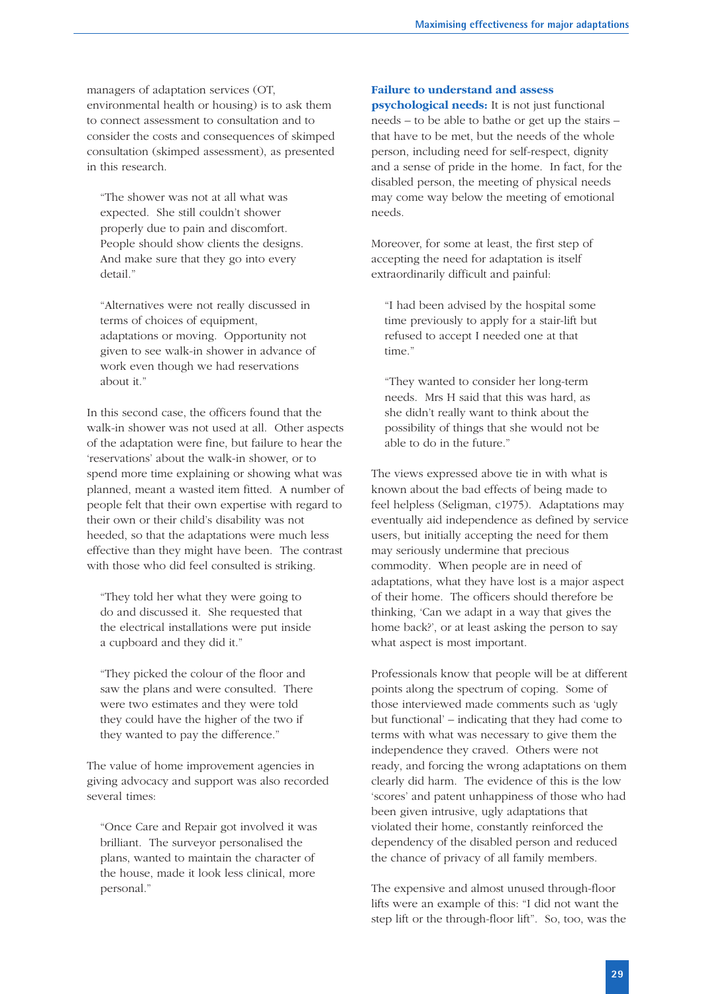managers of adaptation services (OT, environmental health or housing) is to ask them to connect assessment to consultation and to consider the costs and consequences of skimped consultation (skimped assessment), as presented in this research.

"The shower was not at all what was expected. She still couldn't shower properly due to pain and discomfort. People should show clients the designs. And make sure that they go into every detail."

"Alternatives were not really discussed in terms of choices of equipment, adaptations or moving. Opportunity not given to see walk-in shower in advance of work even though we had reservations about it."

In this second case, the officers found that the walk-in shower was not used at all. Other aspects of the adaptation were fine, but failure to hear the 'reservations' about the walk-in shower, or to spend more time explaining or showing what was planned, meant a wasted item fitted. A number of people felt that their own expertise with regard to their own or their child's disability was not heeded, so that the adaptations were much less effective than they might have been. The contrast with those who did feel consulted is striking.

"They told her what they were going to do and discussed it. She requested that the electrical installations were put inside a cupboard and they did it."

"They picked the colour of the floor and saw the plans and were consulted. There were two estimates and they were told they could have the higher of the two if they wanted to pay the difference."

The value of home improvement agencies in giving advocacy and support was also recorded several times:

"Once Care and Repair got involved it was brilliant. The surveyor personalised the plans, wanted to maintain the character of the house, made it look less clinical, more personal."

#### **Failure to understand and assess**

**psychological needs:** It is not just functional needs – to be able to bathe or get up the stairs – that have to be met, but the needs of the whole person, including need for self-respect, dignity and a sense of pride in the home. In fact, for the disabled person, the meeting of physical needs may come way below the meeting of emotional needs.

Moreover, for some at least, the first step of accepting the need for adaptation is itself extraordinarily difficult and painful:

"I had been advised by the hospital some time previously to apply for a stair-lift but refused to accept I needed one at that time."

"They wanted to consider her long-term needs. Mrs H said that this was hard, as she didn't really want to think about the possibility of things that she would not be able to do in the future."

The views expressed above tie in with what is known about the bad effects of being made to feel helpless (Seligman, c1975). Adaptations may eventually aid independence as defined by service users, but initially accepting the need for them may seriously undermine that precious commodity. When people are in need of adaptations, what they have lost is a major aspect of their home. The officers should therefore be thinking, 'Can we adapt in a way that gives the home back?', or at least asking the person to say what aspect is most important.

Professionals know that people will be at different points along the spectrum of coping. Some of those interviewed made comments such as 'ugly but functional' – indicating that they had come to terms with what was necessary to give them the independence they craved. Others were not ready, and forcing the wrong adaptations on them clearly did harm. The evidence of this is the low 'scores' and patent unhappiness of those who had been given intrusive, ugly adaptations that violated their home, constantly reinforced the dependency of the disabled person and reduced the chance of privacy of all family members.

The expensive and almost unused through-floor lifts were an example of this: "I did not want the step lift or the through-floor lift". So, too, was the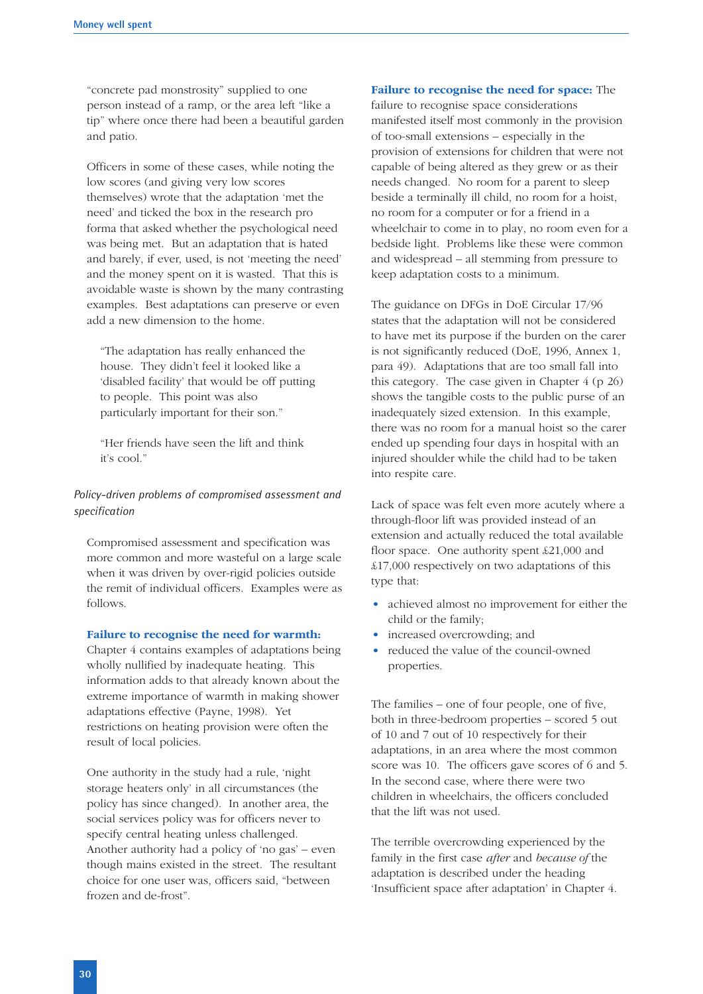"concrete pad monstrosity" supplied to one person instead of a ramp, or the area left "like a tip" where once there had been a beautiful garden and patio.

Officers in some of these cases, while noting the low scores (and giving very low scores themselves) wrote that the adaptation 'met the need' and ticked the box in the research pro forma that asked whether the psychological need was being met. But an adaptation that is hated and barely, if ever, used, is not 'meeting the need' and the money spent on it is wasted. That this is avoidable waste is shown by the many contrasting examples. Best adaptations can preserve or even add a new dimension to the home.

"The adaptation has really enhanced the house. They didn't feel it looked like a 'disabled facility' that would be off putting to people. This point was also particularly important for their son."

"Her friends have seen the lift and think it's cool."

#### *Policy-driven problems of compromised assessment and specification*

Compromised assessment and specification was more common and more wasteful on a large scale when it was driven by over-rigid policies outside the remit of individual officers. Examples were as follows.

#### **Failure to recognise the need for warmth:**

Chapter 4 contains examples of adaptations being wholly nullified by inadequate heating. This information adds to that already known about the extreme importance of warmth in making shower adaptations effective (Payne, 1998). Yet restrictions on heating provision were often the result of local policies.

One authority in the study had a rule, 'night storage heaters only' in all circumstances (the policy has since changed). In another area, the social services policy was for officers never to specify central heating unless challenged. Another authority had a policy of 'no gas' – even though mains existed in the street. The resultant choice for one user was, officers said, "between frozen and de-frost".

**Failure to recognise the need for space:** The failure to recognise space considerations manifested itself most commonly in the provision of too-small extensions – especially in the provision of extensions for children that were not capable of being altered as they grew or as their needs changed. No room for a parent to sleep beside a terminally ill child, no room for a hoist, no room for a computer or for a friend in a wheelchair to come in to play, no room even for a bedside light. Problems like these were common and widespread – all stemming from pressure to keep adaptation costs to a minimum.

The guidance on DFGs in DoE Circular 17/96 states that the adaptation will not be considered to have met its purpose if the burden on the carer is not significantly reduced (DoE, 1996, Annex 1, para 49). Adaptations that are too small fall into this category. The case given in Chapter  $4$  (p 26) shows the tangible costs to the public purse of an inadequately sized extension. In this example, there was no room for a manual hoist so the carer ended up spending four days in hospital with an injured shoulder while the child had to be taken into respite care.

Lack of space was felt even more acutely where a through-floor lift was provided instead of an extension and actually reduced the total available floor space. One authority spent £21,000 and £17,000 respectively on two adaptations of this type that:

- achieved almost no improvement for either the child or the family;
- increased overcrowding; and
- reduced the value of the council-owned properties.

The families – one of four people, one of five, both in three-bedroom properties – scored 5 out of 10 and 7 out of 10 respectively for their adaptations, in an area where the most common score was 10. The officers gave scores of 6 and 5. In the second case, where there were two children in wheelchairs, the officers concluded that the lift was not used.

The terrible overcrowding experienced by the family in the first case *after* and *because of* the adaptation is described under the heading 'Insufficient space after adaptation' in Chapter 4.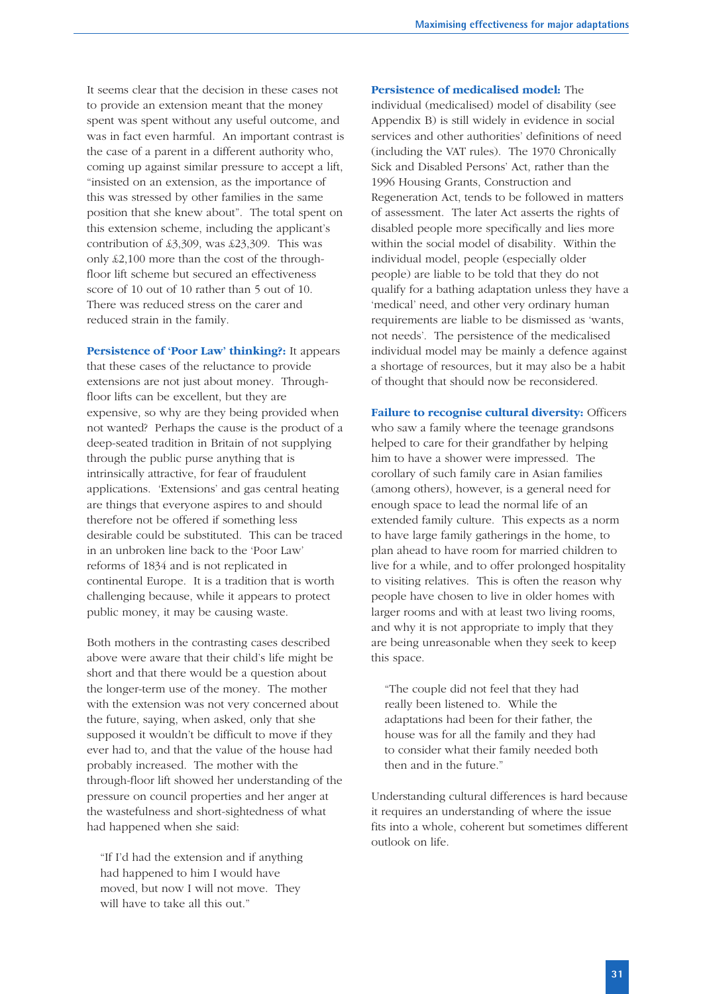It seems clear that the decision in these cases not to provide an extension meant that the money spent was spent without any useful outcome, and was in fact even harmful. An important contrast is the case of a parent in a different authority who, coming up against similar pressure to accept a lift, "insisted on an extension, as the importance of this was stressed by other families in the same position that she knew about". The total spent on this extension scheme, including the applicant's contribution of £3,309, was £23,309. This was only £2,100 more than the cost of the throughfloor lift scheme but secured an effectiveness score of 10 out of 10 rather than 5 out of 10. There was reduced stress on the carer and reduced strain in the family.

**Persistence of 'Poor Law' thinking?:** It appears that these cases of the reluctance to provide extensions are not just about money. Throughfloor lifts can be excellent, but they are expensive, so why are they being provided when not wanted? Perhaps the cause is the product of a deep-seated tradition in Britain of not supplying through the public purse anything that is intrinsically attractive, for fear of fraudulent applications. 'Extensions' and gas central heating are things that everyone aspires to and should therefore not be offered if something less desirable could be substituted. This can be traced in an unbroken line back to the 'Poor Law' reforms of 1834 and is not replicated in continental Europe. It is a tradition that is worth challenging because, while it appears to protect public money, it may be causing waste.

Both mothers in the contrasting cases described above were aware that their child's life might be short and that there would be a question about the longer-term use of the money. The mother with the extension was not very concerned about the future, saying, when asked, only that she supposed it wouldn't be difficult to move if they ever had to, and that the value of the house had probably increased. The mother with the through-floor lift showed her understanding of the pressure on council properties and her anger at the wastefulness and short-sightedness of what had happened when she said:

"If I'd had the extension and if anything had happened to him I would have moved, but now I will not move. They will have to take all this out."

**Persistence of medicalised model:** The individual (medicalised) model of disability (see Appendix B) is still widely in evidence in social services and other authorities' definitions of need (including the VAT rules). The 1970 Chronically Sick and Disabled Persons' Act, rather than the 1996 Housing Grants, Construction and Regeneration Act, tends to be followed in matters of assessment. The later Act asserts the rights of disabled people more specifically and lies more within the social model of disability. Within the individual model, people (especially older people) are liable to be told that they do not qualify for a bathing adaptation unless they have a 'medical' need, and other very ordinary human requirements are liable to be dismissed as 'wants, not needs'. The persistence of the medicalised individual model may be mainly a defence against a shortage of resources, but it may also be a habit of thought that should now be reconsidered.

**Failure to recognise cultural diversity:** Officers who saw a family where the teenage grandsons helped to care for their grandfather by helping him to have a shower were impressed. The corollary of such family care in Asian families (among others), however, is a general need for enough space to lead the normal life of an extended family culture. This expects as a norm to have large family gatherings in the home, to plan ahead to have room for married children to live for a while, and to offer prolonged hospitality to visiting relatives. This is often the reason why people have chosen to live in older homes with larger rooms and with at least two living rooms, and why it is not appropriate to imply that they are being unreasonable when they seek to keep this space.

"The couple did not feel that they had really been listened to. While the adaptations had been for their father, the house was for all the family and they had to consider what their family needed both then and in the future."

Understanding cultural differences is hard because it requires an understanding of where the issue fits into a whole, coherent but sometimes different outlook on life.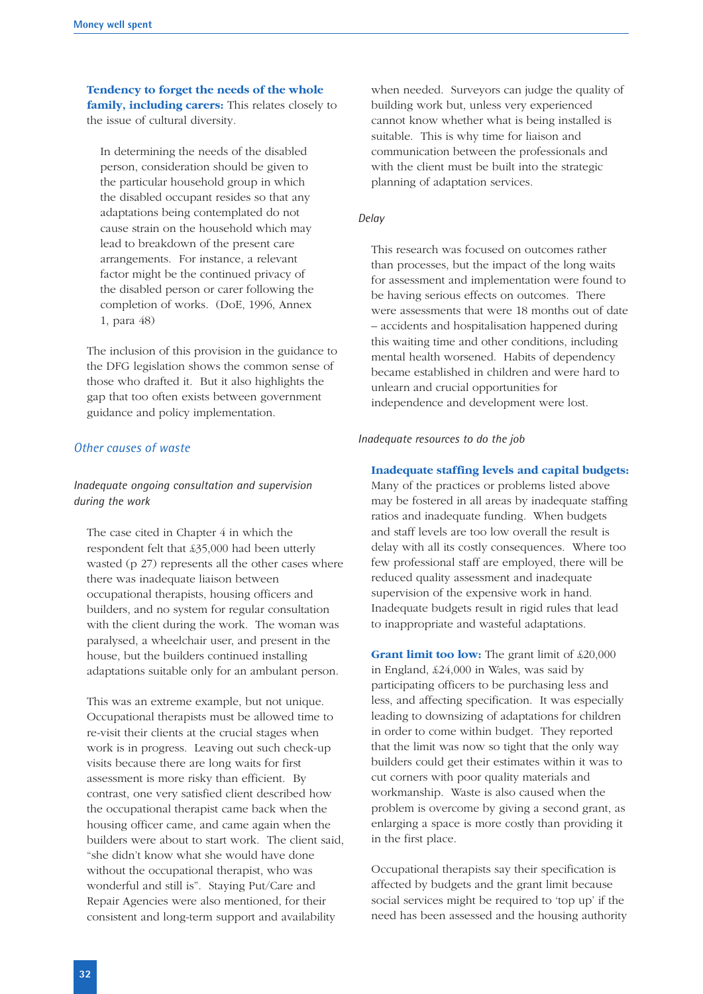**Tendency to forget the needs of the whole family, including carers:** This relates closely to the issue of cultural diversity.

In determining the needs of the disabled person, consideration should be given to the particular household group in which the disabled occupant resides so that any adaptations being contemplated do not cause strain on the household which may lead to breakdown of the present care arrangements. For instance, a relevant factor might be the continued privacy of the disabled person or carer following the completion of works. (DoE, 1996, Annex 1, para 48)

The inclusion of this provision in the guidance to the DFG legislation shows the common sense of those who drafted it. But it also highlights the gap that too often exists between government guidance and policy implementation.

#### *Other causes of waste*

#### *Inadequate ongoing consultation and supervision during the work*

The case cited in Chapter 4 in which the respondent felt that £35,000 had been utterly wasted (p 27) represents all the other cases where there was inadequate liaison between occupational therapists, housing officers and builders, and no system for regular consultation with the client during the work. The woman was paralysed, a wheelchair user, and present in the house, but the builders continued installing adaptations suitable only for an ambulant person.

This was an extreme example, but not unique. Occupational therapists must be allowed time to re-visit their clients at the crucial stages when work is in progress. Leaving out such check-up visits because there are long waits for first assessment is more risky than efficient. By contrast, one very satisfied client described how the occupational therapist came back when the housing officer came, and came again when the builders were about to start work. The client said, "she didn't know what she would have done without the occupational therapist, who was wonderful and still is". Staying Put/Care and Repair Agencies were also mentioned, for their consistent and long-term support and availability

when needed. Surveyors can judge the quality of building work but, unless very experienced cannot know whether what is being installed is suitable. This is why time for liaison and communication between the professionals and with the client must be built into the strategic planning of adaptation services.

#### *Delay*

This research was focused on outcomes rather than processes, but the impact of the long waits for assessment and implementation were found to be having serious effects on outcomes. There were assessments that were 18 months out of date – accidents and hospitalisation happened during this waiting time and other conditions, including mental health worsened. Habits of dependency became established in children and were hard to unlearn and crucial opportunities for independence and development were lost.

#### *Inadequate resources to do the job*

#### **Inadequate staffing levels and capital budgets:**

Many of the practices or problems listed above may be fostered in all areas by inadequate staffing ratios and inadequate funding. When budgets and staff levels are too low overall the result is delay with all its costly consequences. Where too few professional staff are employed, there will be reduced quality assessment and inadequate supervision of the expensive work in hand. Inadequate budgets result in rigid rules that lead to inappropriate and wasteful adaptations.

**Grant limit too low:** The grant limit of £20,000 in England, £24,000 in Wales, was said by participating officers to be purchasing less and less, and affecting specification. It was especially leading to downsizing of adaptations for children in order to come within budget. They reported that the limit was now so tight that the only way builders could get their estimates within it was to cut corners with poor quality materials and workmanship. Waste is also caused when the problem is overcome by giving a second grant, as enlarging a space is more costly than providing it in the first place.

Occupational therapists say their specification is affected by budgets and the grant limit because social services might be required to 'top up' if the need has been assessed and the housing authority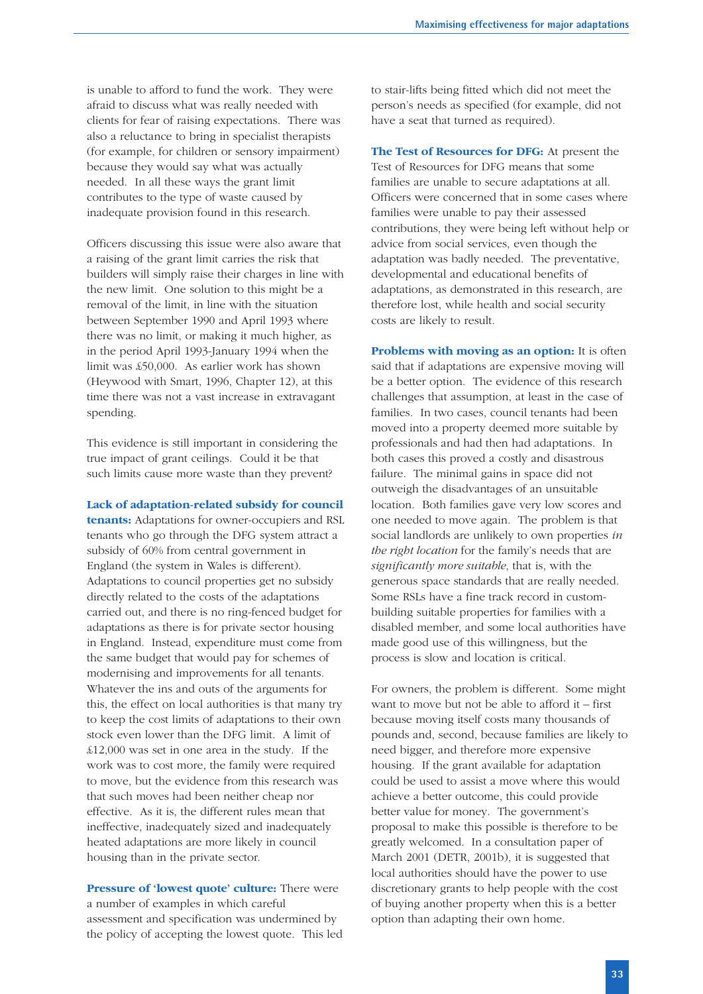is unable to afford to fund the work. They were afraid to discuss what was really needed with clients for fear of raising expectations. There was also a reluctance to bring in specialist therapists (for example, for children or sensory impairment) because they would say what was actually needed. In all these ways the grant limit contributes to the type of waste caused by inadequate provision found in this research.

Officers discussing this issue were also aware that a raising of the grant limit carries the risk that builders will simply raise their charges in line with the new limit. One solution to this might be a removal of the limit, in line with the situation between September 1990 and April 1993 where there was no limit, or making it much higher, as in the period April 1993-January 1994 when the limit was £50,000. As earlier work has shown (Heywood with Smart, 1996, Chapter 12), at this time there was not a vast increase in extravagant spending.

This evidence is still important in considering the true impact of grant ceilings. Could it be that such limits cause more waste than they prevent?

#### **Lack of adaptation-related subsidy for council**

**tenants:** Adaptations for owner-occupiers and RSL tenants who go through the DFG system attract a subsidy of 60% from central government in England (the system in Wales is different). Adaptations to council properties get no subsidy directly related to the costs of the adaptations carried out, and there is no ring-fenced budget for adaptations as there is for private sector housing in England. Instead, expenditure must come from the same budget that would pay for schemes of modernising and improvements for all tenants. Whatever the ins and outs of the arguments for this, the effect on local authorities is that many try to keep the cost limits of adaptations to their own stock even lower than the DFG limit. A limit of £12,000 was set in one area in the study. If the work was to cost more, the family were required to move, but the evidence from this research was that such moves had been neither cheap nor effective. As it is, the different rules mean that ineffective, inadequately sized and inadequately heated adaptations are more likely in council housing than in the private sector.

**Pressure of 'lowest quote' culture:** There were a number of examples in which careful assessment and specification was undermined by the policy of accepting the lowest quote. This led to stair-lifts being fitted which did not meet the person's needs as specified (for example, did not have a seat that turned as required).

**The Test of Resources for DFG:** At present the Test of Resources for DFG means that some families are unable to secure adaptations at all. Officers were concerned that in some cases where families were unable to pay their assessed contributions, they were being left without help or advice from social services, even though the adaptation was badly needed. The preventative, developmental and educational benefits of adaptations, as demonstrated in this research, are therefore lost, while health and social security costs are likely to result.

**Problems with moving as an option:** It is often said that if adaptations are expensive moving will be a better option. The evidence of this research challenges that assumption, at least in the case of families. In two cases, council tenants had been moved into a property deemed more suitable by professionals and had then had adaptations. In both cases this proved a costly and disastrous failure. The minimal gains in space did not outweigh the disadvantages of an unsuitable location. Both families gave very low scores and one needed to move again. The problem is that social landlords are unlikely to own properties *in the right location* for the family's needs that are *significantly more suitable*, that is, with the generous space standards that are really needed. Some RSLs have a fine track record in custombuilding suitable properties for families with a disabled member, and some local authorities have made good use of this willingness, but the process is slow and location is critical.

For owners, the problem is different. Some might want to move but not be able to afford it – first because moving itself costs many thousands of pounds and, second, because families are likely to need bigger, and therefore more expensive housing. If the grant available for adaptation could be used to assist a move where this would achieve a better outcome, this could provide better value for money. The government's proposal to make this possible is therefore to be greatly welcomed. In a consultation paper of March 2001 (DETR, 2001b), it is suggested that local authorities should have the power to use discretionary grants to help people with the cost of buying another property when this is a better option than adapting their own home.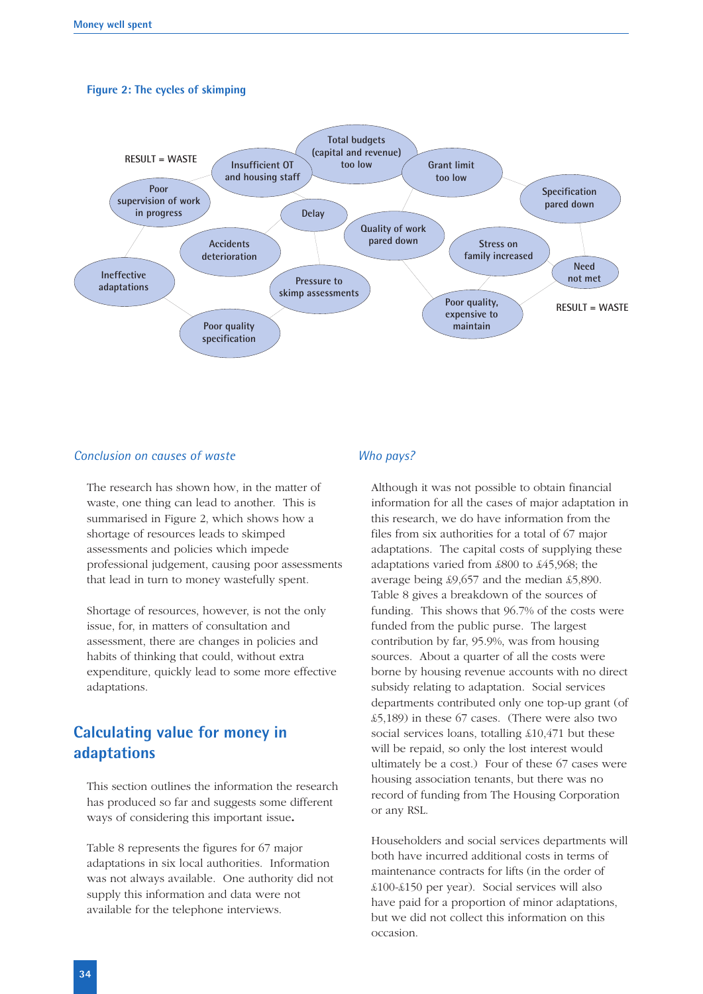#### **Figure 2: The cycles of skimping**



#### *Conclusion on causes of waste*

The research has shown how, in the matter of waste, one thing can lead to another. This is summarised in Figure 2, which shows how a shortage of resources leads to skimped assessments and policies which impede professional judgement, causing poor assessments that lead in turn to money wastefully spent.

Shortage of resources, however, is not the only issue, for, in matters of consultation and assessment, there are changes in policies and habits of thinking that could, without extra expenditure, quickly lead to some more effective adaptations.

# **Calculating value for money in adaptations**

This section outlines the information the research has produced so far and suggests some different ways of considering this important issue**.**

Table 8 represents the figures for 67 major adaptations in six local authorities. Information was not always available. One authority did not supply this information and data were not available for the telephone interviews.

#### *Who pays?*

Although it was not possible to obtain financial information for all the cases of major adaptation in this research, we do have information from the files from six authorities for a total of 67 major adaptations. The capital costs of supplying these adaptations varied from £800 to £45,968; the average being £9,657 and the median £5,890. Table 8 gives a breakdown of the sources of funding. This shows that 96.7% of the costs were funded from the public purse. The largest contribution by far, 95.9%, was from housing sources. About a quarter of all the costs were borne by housing revenue accounts with no direct subsidy relating to adaptation. Social services departments contributed only one top-up grant (of £5,189) in these 67 cases. (There were also two social services loans, totalling £10,471 but these will be repaid, so only the lost interest would ultimately be a cost.) Four of these 67 cases were housing association tenants, but there was no record of funding from The Housing Corporation or any RSL.

Householders and social services departments will both have incurred additional costs in terms of maintenance contracts for lifts (in the order of £100-£150 per year). Social services will also have paid for a proportion of minor adaptations, but we did not collect this information on this occasion.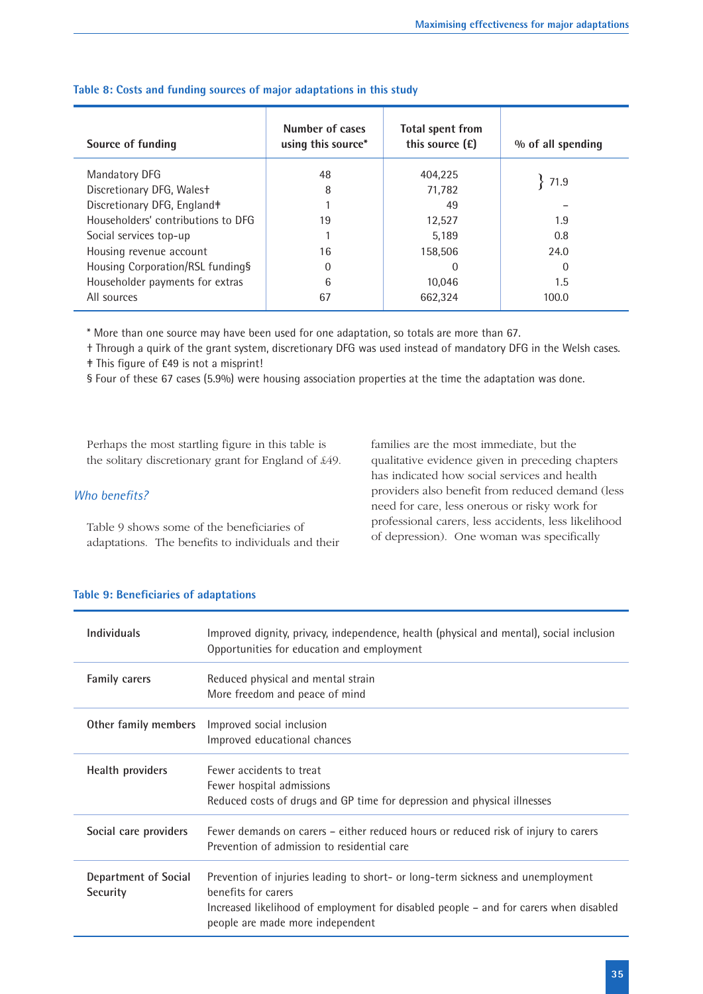| Source of funding                          | Number of cases<br>using this source* | <b>Total spent from</b><br>this source $(E)$ | % of all spending |
|--------------------------------------------|---------------------------------------|----------------------------------------------|-------------------|
| Mandatory DFG<br>Discretionary DFG, Walest | 48<br>8                               | 404,225<br>71,782                            | 71.9              |
| Discretionary DFG, England <sup>+</sup>    |                                       | 49                                           |                   |
| Householders' contributions to DFG         | 19                                    | 12,527                                       | 1.9               |
| Social services top-up                     |                                       | 5.189                                        | 0.8               |
| Housing revenue account                    | 16                                    | 158,506                                      | 24.0              |
| Housing Corporation/RSL funding§           | $\Omega$                              | $\Omega$                                     | 0                 |
| Householder payments for extras            | 6                                     | 10.046                                       | 1.5               |
| All sources                                | 67                                    | 662,324                                      | 100.0             |

#### **Table 8: Costs and funding sources of major adaptations in this study**

\* More than one source may have been used for one adaptation, so totals are more than 67.

† Through a quirk of the grant system, discretionary DFG was used instead of mandatory DFG in the Welsh cases. ‡ This figure of £49 is not a misprint!

§ Four of these 67 cases (5.9%) were housing association properties at the time the adaptation was done.

Perhaps the most startling figure in this table is the solitary discretionary grant for England of £49.

#### *Who benefits?*

Table 9 shows some of the beneficiaries of adaptations. The benefits to individuals and their families are the most immediate, but the qualitative evidence given in preceding chapters has indicated how social services and health providers also benefit from reduced demand (less need for care, less onerous or risky work for professional carers, less accidents, less likelihood of depression). One woman was specifically

| <b>Individuals</b>               | Improved dignity, privacy, independence, health (physical and mental), social inclusion<br>Opportunities for education and employment                                                                                               |
|----------------------------------|-------------------------------------------------------------------------------------------------------------------------------------------------------------------------------------------------------------------------------------|
| <b>Family carers</b>             | Reduced physical and mental strain<br>More freedom and peace of mind                                                                                                                                                                |
| Other family members             | Improved social inclusion<br>Improved educational chances                                                                                                                                                                           |
| Health providers                 | Fewer accidents to treat<br>Fewer hospital admissions<br>Reduced costs of drugs and GP time for depression and physical illnesses                                                                                                   |
| Social care providers            | Fewer demands on carers – either reduced hours or reduced risk of injury to carers<br>Prevention of admission to residential care                                                                                                   |
| Department of Social<br>Security | Prevention of injuries leading to short- or long-term sickness and unemployment<br>benefits for carers<br>Increased likelihood of employment for disabled people – and for carers when disabled<br>people are made more independent |

#### **Table 9: Beneficiaries of adaptations**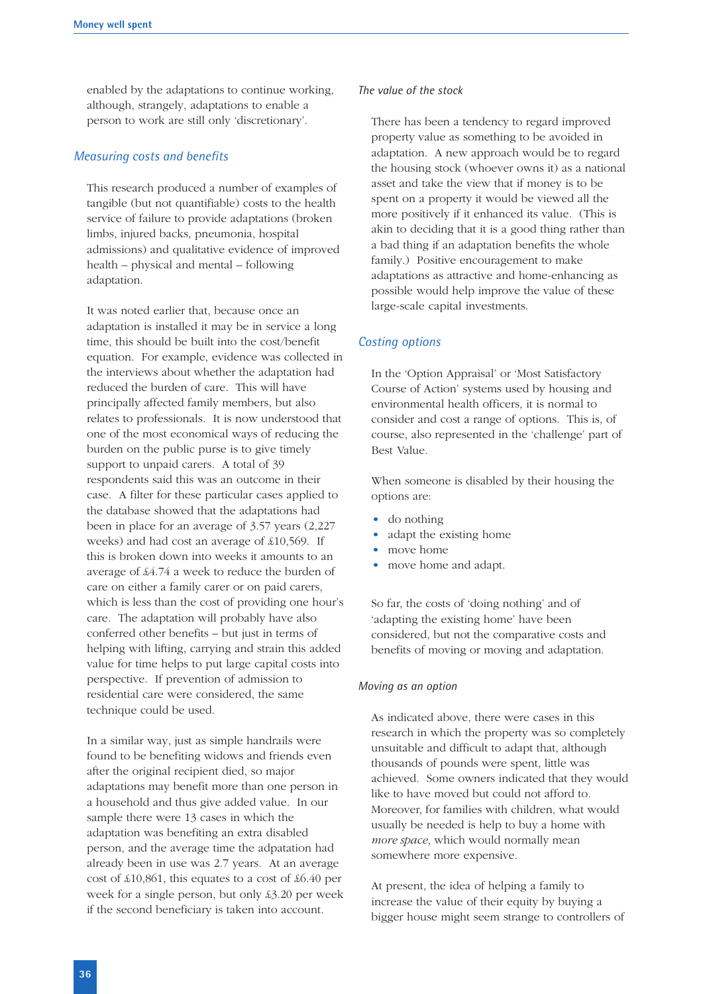enabled by the adaptations to continue working, although, strangely, adaptations to enable a person to work are still only 'discretionary'.

#### *Measuring costs and benefits*

This research produced a number of examples of tangible (but not quantifiable) costs to the health service of failure to provide adaptations (broken limbs, injured backs, pneumonia, hospital admissions) and qualitative evidence of improved health – physical and mental – following adaptation.

It was noted earlier that, because once an adaptation is installed it may be in service a long time, this should be built into the cost/benefit equation. For example, evidence was collected in the interviews about whether the adaptation had reduced the burden of care. This will have principally affected family members, but also relates to professionals. It is now understood that one of the most economical ways of reducing the burden on the public purse is to give timely support to unpaid carers. A total of 39 respondents said this was an outcome in their case. A filter for these particular cases applied to the database showed that the adaptations had been in place for an average of 3.57 years (2,227 weeks) and had cost an average of £10,569. If this is broken down into weeks it amounts to an average of £4.74 a week to reduce the burden of care on either a family carer or on paid carers, which is less than the cost of providing one hour's care. The adaptation will probably have also conferred other benefits – but just in terms of helping with lifting, carrying and strain this added value for time helps to put large capital costs into perspective. If prevention of admission to residential care were considered, the same technique could be used.

In a similar way, just as simple handrails were found to be benefiting widows and friends even after the original recipient died, so major adaptations may benefit more than one person in a household and thus give added value. In our sample there were 13 cases in which the adaptation was benefiting an extra disabled person, and the average time the adpatation had already been in use was 2.7 years. At an average cost of £10,861, this equates to a cost of £6.40 per week for a single person, but only £3.20 per week if the second beneficiary is taken into account.

#### *The value of the stock*

There has been a tendency to regard improved property value as something to be avoided in adaptation. A new approach would be to regard the housing stock (whoever owns it) as a national asset and take the view that if money is to be spent on a property it would be viewed all the more positively if it enhanced its value. (This is akin to deciding that it is a good thing rather than a bad thing if an adaptation benefits the whole family.) Positive encouragement to make adaptations as attractive and home-enhancing as possible would help improve the value of these large-scale capital investments.

#### *Costing options*

In the 'Option Appraisal' or 'Most Satisfactory Course of Action' systems used by housing and environmental health officers, it is normal to consider and cost a range of options. This is, of course, also represented in the 'challenge' part of Best Value.

When someone is disabled by their housing the options are:

- do nothing
- adapt the existing home
- move home
- move home and adapt.

So far, the costs of 'doing nothing' and of 'adapting the existing home' have been considered, but not the comparative costs and benefits of moving or moving and adaptation.

#### *Moving as an option*

As indicated above, there were cases in this research in which the property was so completely unsuitable and difficult to adapt that, although thousands of pounds were spent, little was achieved. Some owners indicated that they would like to have moved but could not afford to. Moreover, for families with children, what would usually be needed is help to buy a home with *more space*, which would normally mean somewhere more expensive.

At present, the idea of helping a family to increase the value of their equity by buying a bigger house might seem strange to controllers of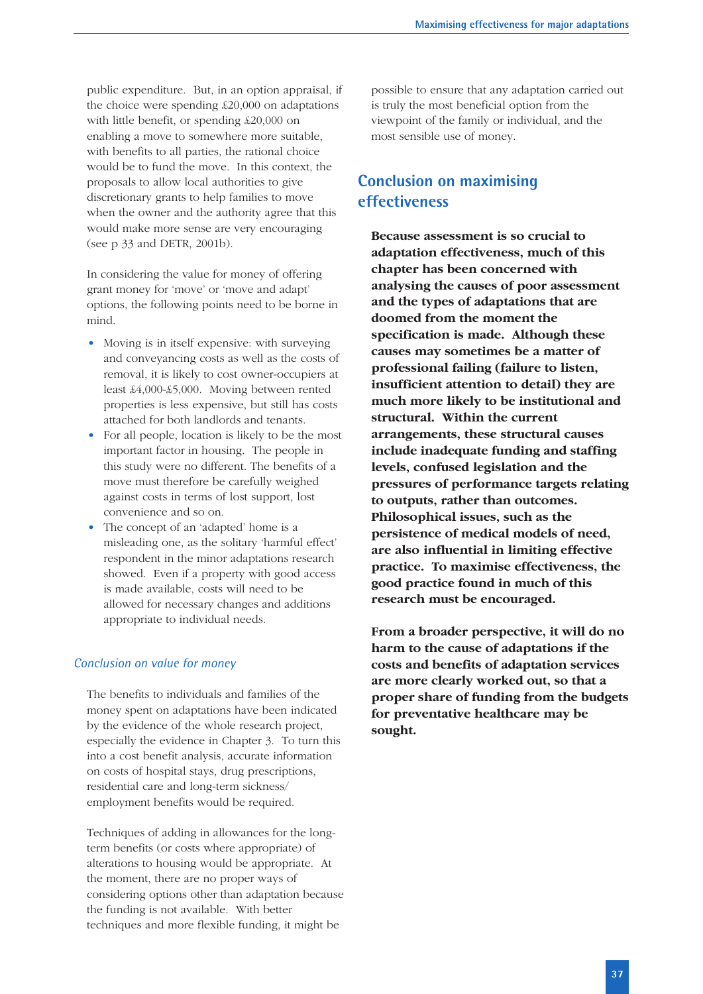public expenditure. But, in an option appraisal, if the choice were spending £20,000 on adaptations with little benefit, or spending £20,000 on enabling a move to somewhere more suitable, with benefits to all parties, the rational choice would be to fund the move. In this context, the proposals to allow local authorities to give discretionary grants to help families to move when the owner and the authority agree that this would make more sense are very encouraging (see p 33 and DETR, 2001b).

In considering the value for money of offering grant money for 'move' or 'move and adapt' options, the following points need to be borne in mind.

- Moving is in itself expensive: with surveying and conveyancing costs as well as the costs of removal, it is likely to cost owner-occupiers at least £4,000-£5,000. Moving between rented properties is less expensive, but still has costs attached for both landlords and tenants.
- For all people, location is likely to be the most important factor in housing. The people in this study were no different. The benefits of a move must therefore be carefully weighed against costs in terms of lost support, lost convenience and so on.
- The concept of an 'adapted' home is a misleading one, as the solitary 'harmful effect' respondent in the minor adaptations research showed. Even if a property with good access is made available, costs will need to be allowed for necessary changes and additions appropriate to individual needs.

#### *Conclusion on value for money*

The benefits to individuals and families of the money spent on adaptations have been indicated by the evidence of the whole research project, especially the evidence in Chapter 3. To turn this into a cost benefit analysis, accurate information on costs of hospital stays, drug prescriptions, residential care and long-term sickness/ employment benefits would be required.

Techniques of adding in allowances for the longterm benefits (or costs where appropriate) of alterations to housing would be appropriate. At the moment, there are no proper ways of considering options other than adaptation because the funding is not available. With better techniques and more flexible funding, it might be

possible to ensure that any adaptation carried out is truly the most beneficial option from the viewpoint of the family or individual, and the most sensible use of money.

# **Conclusion on maximising effectiveness**

**Because assessment is so crucial to adaptation effectiveness, much of this chapter has been concerned with analysing the causes of poor assessment and the types of adaptations that are doomed from the moment the specification is made. Although these causes may sometimes be a matter of professional failing (failure to listen, insufficient attention to detail) they are much more likely to be institutional and structural. Within the current arrangements, these structural causes include inadequate funding and staffing levels, confused legislation and the pressures of performance targets relating to outputs, rather than outcomes. Philosophical issues, such as the persistence of medical models of need, are also influential in limiting effective practice. To maximise effectiveness, the good practice found in much of this research must be encouraged.**

**From a broader perspective, it will do no harm to the cause of adaptations if the costs and benefits of adaptation services are more clearly worked out, so that a proper share of funding from the budgets for preventative healthcare may be sought.**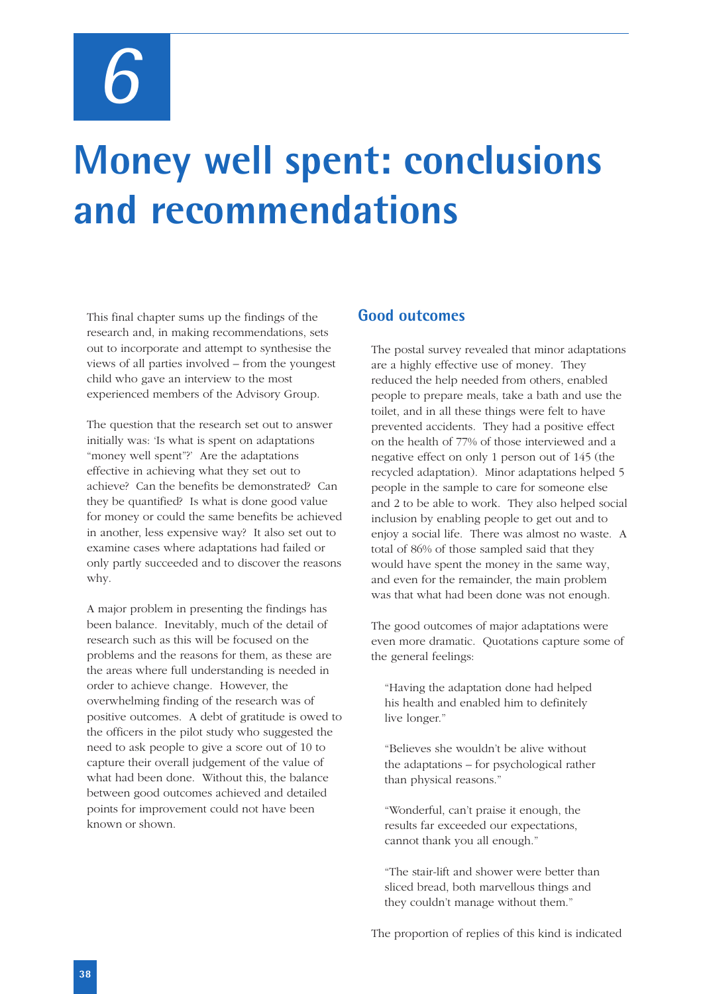*6*

# **Money well spent: conclusions and recommendations**

This final chapter sums up the findings of the research and, in making recommendations, sets out to incorporate and attempt to synthesise the views of all parties involved – from the youngest child who gave an interview to the most experienced members of the Advisory Group.

The question that the research set out to answer initially was: 'Is what is spent on adaptations "money well spent"?' Are the adaptations effective in achieving what they set out to achieve? Can the benefits be demonstrated? Can they be quantified? Is what is done good value for money or could the same benefits be achieved in another, less expensive way? It also set out to examine cases where adaptations had failed or only partly succeeded and to discover the reasons why.

A major problem in presenting the findings has been balance. Inevitably, much of the detail of research such as this will be focused on the problems and the reasons for them, as these are the areas where full understanding is needed in order to achieve change. However, the overwhelming finding of the research was of positive outcomes. A debt of gratitude is owed to the officers in the pilot study who suggested the need to ask people to give a score out of 10 to capture their overall judgement of the value of what had been done. Without this, the balance between good outcomes achieved and detailed points for improvement could not have been known or shown.

# **Good outcomes**

The postal survey revealed that minor adaptations are a highly effective use of money. They reduced the help needed from others, enabled people to prepare meals, take a bath and use the toilet, and in all these things were felt to have prevented accidents. They had a positive effect on the health of 77% of those interviewed and a negative effect on only 1 person out of 145 (the recycled adaptation). Minor adaptations helped 5 people in the sample to care for someone else and 2 to be able to work. They also helped social inclusion by enabling people to get out and to enjoy a social life. There was almost no waste. A total of 86% of those sampled said that they would have spent the money in the same way, and even for the remainder, the main problem was that what had been done was not enough.

The good outcomes of major adaptations were even more dramatic. Quotations capture some of the general feelings:

"Having the adaptation done had helped his health and enabled him to definitely live longer."

"Believes she wouldn't be alive without the adaptations – for psychological rather than physical reasons."

"Wonderful, can't praise it enough, the results far exceeded our expectations, cannot thank you all enough."

"The stair-lift and shower were better than sliced bread, both marvellous things and they couldn't manage without them."

The proportion of replies of this kind is indicated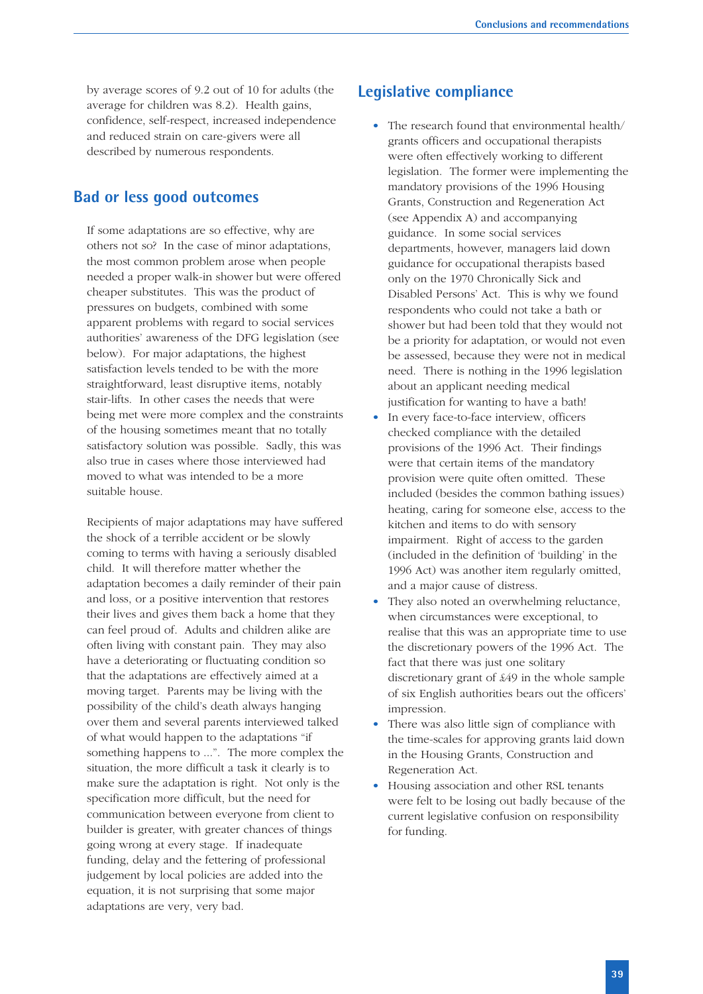by average scores of 9.2 out of 10 for adults (the average for children was 8.2). Health gains, confidence, self-respect, increased independence and reduced strain on care-givers were all described by numerous respondents.

# **Bad or less good outcomes**

If some adaptations are so effective, why are others not so? In the case of minor adaptations, the most common problem arose when people needed a proper walk-in shower but were offered cheaper substitutes. This was the product of pressures on budgets, combined with some apparent problems with regard to social services authorities' awareness of the DFG legislation (see below). For major adaptations, the highest satisfaction levels tended to be with the more straightforward, least disruptive items, notably stair-lifts. In other cases the needs that were being met were more complex and the constraints of the housing sometimes meant that no totally satisfactory solution was possible. Sadly, this was also true in cases where those interviewed had moved to what was intended to be a more suitable house.

Recipients of major adaptations may have suffered the shock of a terrible accident or be slowly coming to terms with having a seriously disabled child. It will therefore matter whether the adaptation becomes a daily reminder of their pain and loss, or a positive intervention that restores their lives and gives them back a home that they can feel proud of. Adults and children alike are often living with constant pain. They may also have a deteriorating or fluctuating condition so that the adaptations are effectively aimed at a moving target. Parents may be living with the possibility of the child's death always hanging over them and several parents interviewed talked of what would happen to the adaptations "if something happens to ...". The more complex the situation, the more difficult a task it clearly is to make sure the adaptation is right. Not only is the specification more difficult, but the need for communication between everyone from client to builder is greater, with greater chances of things going wrong at every stage. If inadequate funding, delay and the fettering of professional judgement by local policies are added into the equation, it is not surprising that some major adaptations are very, very bad.

# **Legislative compliance**

- The research found that environmental health/ grants officers and occupational therapists were often effectively working to different legislation. The former were implementing the mandatory provisions of the 1996 Housing Grants, Construction and Regeneration Act (see Appendix A) and accompanying guidance. In some social services departments, however, managers laid down guidance for occupational therapists based only on the 1970 Chronically Sick and Disabled Persons' Act. This is why we found respondents who could not take a bath or shower but had been told that they would not be a priority for adaptation, or would not even be assessed, because they were not in medical need. There is nothing in the 1996 legislation about an applicant needing medical justification for wanting to have a bath!
- In every face-to-face interview, officers checked compliance with the detailed provisions of the 1996 Act. Their findings were that certain items of the mandatory provision were quite often omitted. These included (besides the common bathing issues) heating, caring for someone else, access to the kitchen and items to do with sensory impairment. Right of access to the garden (included in the definition of 'building' in the 1996 Act) was another item regularly omitted, and a major cause of distress.
- They also noted an overwhelming reluctance, when circumstances were exceptional, to realise that this was an appropriate time to use the discretionary powers of the 1996 Act. The fact that there was just one solitary discretionary grant of £49 in the whole sample of six English authorities bears out the officers' impression.
- There was also little sign of compliance with the time-scales for approving grants laid down in the Housing Grants, Construction and Regeneration Act.
- Housing association and other RSL tenants were felt to be losing out badly because of the current legislative confusion on responsibility for funding.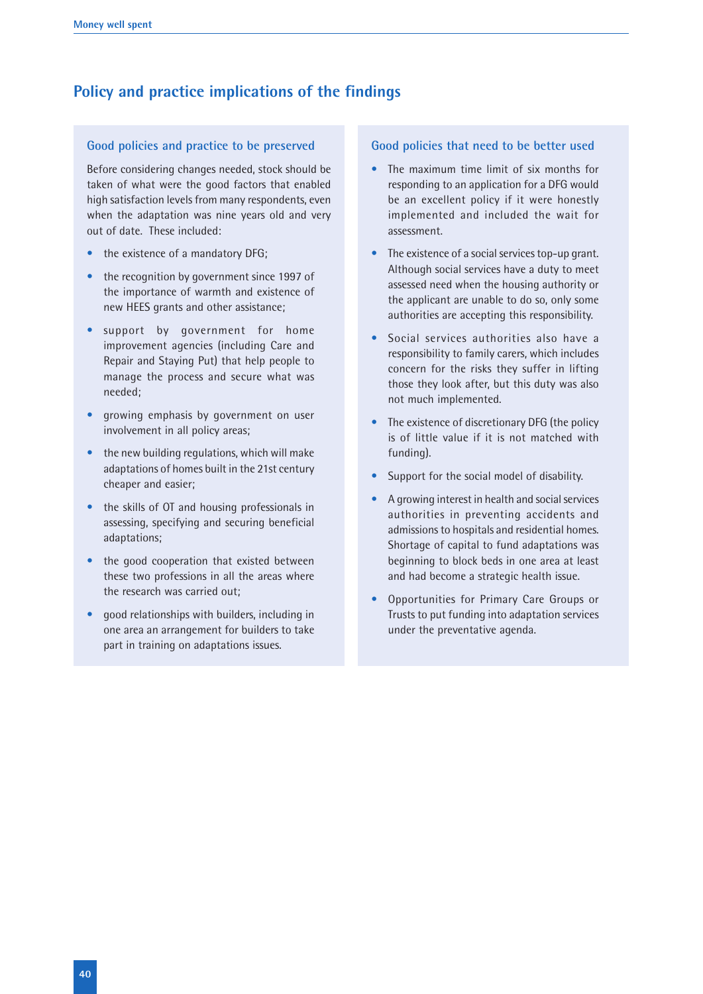# **Policy and practice implications of the findings**

#### **Good policies and practice to be preserved**

Before considering changes needed, stock should be taken of what were the good factors that enabled high satisfaction levels from many respondents, even when the adaptation was nine years old and very out of date. These included:

- the existence of a mandatory DFG;
- the recognition by government since 1997 of the importance of warmth and existence of new HEES grants and other assistance;
- support by government for home improvement agencies (including Care and Repair and Staying Put) that help people to manage the process and secure what was needed;
- growing emphasis by government on user involvement in all policy areas;
- the new building regulations, which will make adaptations of homes built in the 21st century cheaper and easier;
- the skills of OT and housing professionals in assessing, specifying and securing beneficial adaptations;
- the good cooperation that existed between these two professions in all the areas where the research was carried out;
- good relationships with builders, including in one area an arrangement for builders to take part in training on adaptations issues.

#### **Good policies that need to be better used**

- The maximum time limit of six months for responding to an application for a DFG would be an excellent policy if it were honestly implemented and included the wait for assessment.
- The existence of a social services top-up grant. Although social services have a duty to meet assessed need when the housing authority or the applicant are unable to do so, only some authorities are accepting this responsibility.
- Social services authorities also have a responsibility to family carers, which includes concern for the risks they suffer in lifting those they look after, but this duty was also not much implemented.
- The existence of discretionary DFG (the policy is of little value if it is not matched with funding).
- Support for the social model of disability.
- A growing interest in health and social services authorities in preventing accidents and admissions to hospitals and residential homes. Shortage of capital to fund adaptations was beginning to block beds in one area at least and had become a strategic health issue.
- Opportunities for Primary Care Groups or Trusts to put funding into adaptation services under the preventative agenda.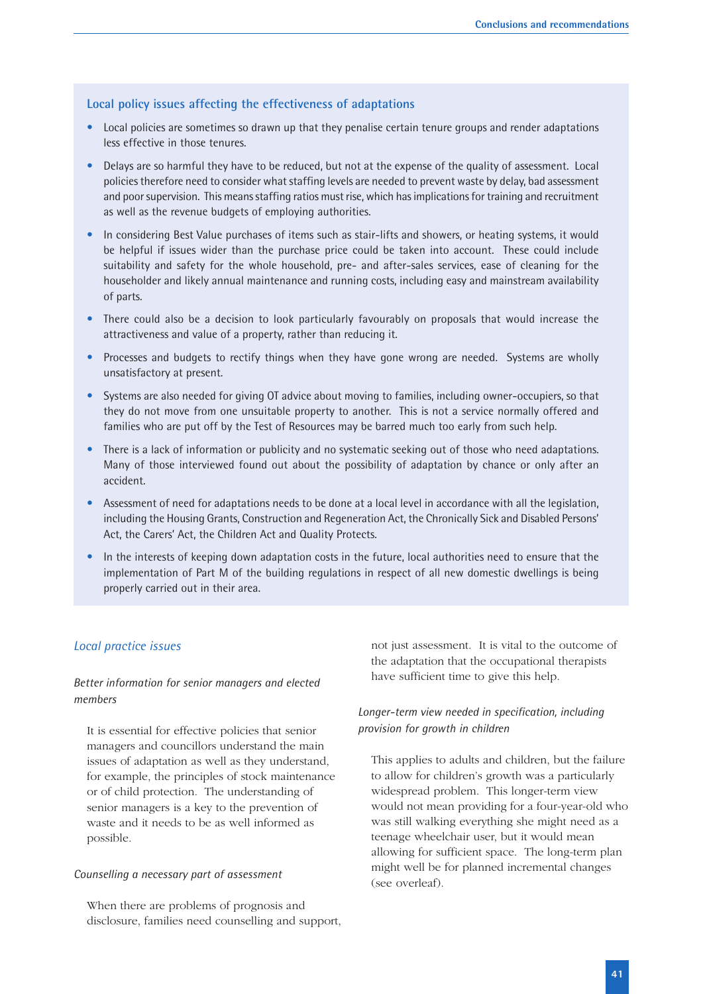#### **Local policy issues affecting the effectiveness of adaptations**

- Local policies are sometimes so drawn up that they penalise certain tenure groups and render adaptations less effective in those tenures.
- Delays are so harmful they have to be reduced, but not at the expense of the quality of assessment. Local policies therefore need to consider what staffing levels are needed to prevent waste by delay, bad assessment and poor supervision. This means staffing ratios must rise, which has implications for training and recruitment as well as the revenue budgets of employing authorities.
- In considering Best Value purchases of items such as stair-lifts and showers, or heating systems, it would be helpful if issues wider than the purchase price could be taken into account. These could include suitability and safety for the whole household, pre- and after-sales services, ease of cleaning for the householder and likely annual maintenance and running costs, including easy and mainstream availability of parts.
- There could also be a decision to look particularly favourably on proposals that would increase the attractiveness and value of a property, rather than reducing it.
- Processes and budgets to rectify things when they have gone wrong are needed. Systems are wholly unsatisfactory at present.
- Systems are also needed for giving OT advice about moving to families, including owner-occupiers, so that they do not move from one unsuitable property to another. This is not a service normally offered and families who are put off by the Test of Resources may be barred much too early from such help.
- There is a lack of information or publicity and no systematic seeking out of those who need adaptations. Many of those interviewed found out about the possibility of adaptation by chance or only after an accident.
- Assessment of need for adaptations needs to be done at a local level in accordance with all the legislation, including the Housing Grants, Construction and Regeneration Act, the Chronically Sick and Disabled Persons' Act, the Carers' Act, the Children Act and Quality Protects.
- In the interests of keeping down adaptation costs in the future, local authorities need to ensure that the implementation of Part M of the building regulations in respect of all new domestic dwellings is being properly carried out in their area.

#### *Local practice issues*

#### *Better information for senior managers and elected members*

It is essential for effective policies that senior managers and councillors understand the main issues of adaptation as well as they understand, for example, the principles of stock maintenance or of child protection. The understanding of senior managers is a key to the prevention of waste and it needs to be as well informed as possible.

#### *Counselling a necessary part of assessment*

When there are problems of prognosis and disclosure, families need counselling and support, not just assessment. It is vital to the outcome of the adaptation that the occupational therapists have sufficient time to give this help.

#### *Longer-term view needed in specification, including provision for growth in children*

This applies to adults and children, but the failure to allow for children's growth was a particularly widespread problem. This longer-term view would not mean providing for a four-year-old who was still walking everything she might need as a teenage wheelchair user, but it would mean allowing for sufficient space. The long-term plan might well be for planned incremental changes (see overleaf).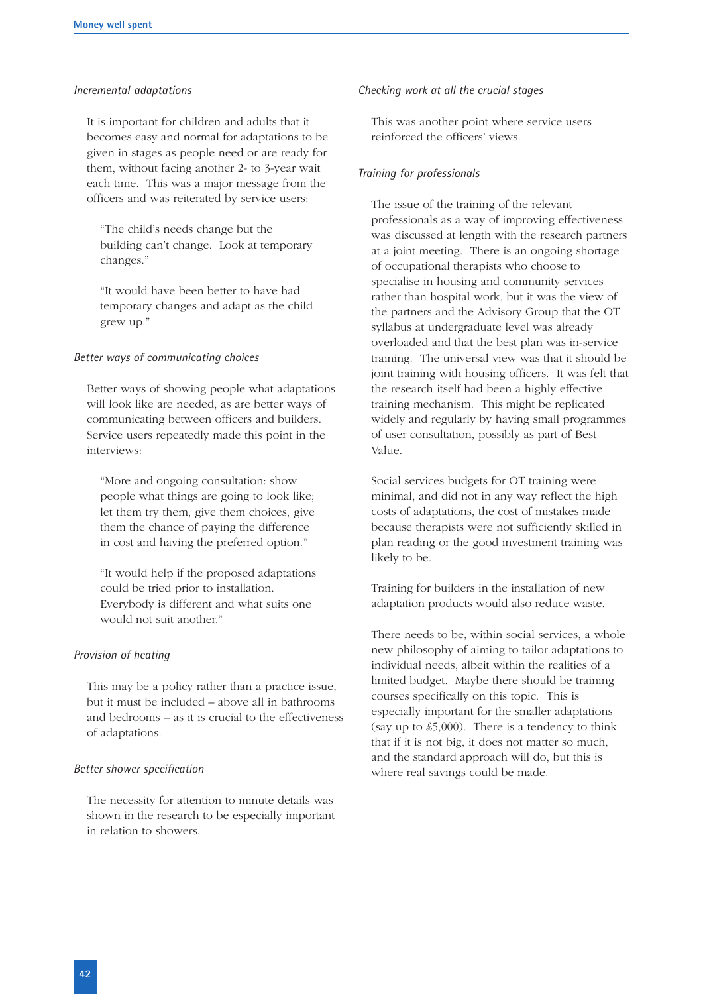#### *Incremental adaptations*

It is important for children and adults that it becomes easy and normal for adaptations to be given in stages as people need or are ready for them, without facing another 2- to 3-year wait each time. This was a major message from the officers and was reiterated by service users:

"The child's needs change but the building can't change. Look at temporary changes."

"It would have been better to have had temporary changes and adapt as the child grew up."

#### *Better ways of communicating choices*

Better ways of showing people what adaptations will look like are needed, as are better ways of communicating between officers and builders. Service users repeatedly made this point in the interviews:

"More and ongoing consultation: show people what things are going to look like; let them try them, give them choices, give them the chance of paying the difference in cost and having the preferred option."

"It would help if the proposed adaptations could be tried prior to installation. Everybody is different and what suits one would not suit another."

#### *Provision of heating*

This may be a policy rather than a practice issue, but it must be included – above all in bathrooms and bedrooms – as it is crucial to the effectiveness of adaptations.

#### *Better shower specification*

The necessity for attention to minute details was shown in the research to be especially important in relation to showers.

#### *Checking work at all the crucial stages*

This was another point where service users reinforced the officers' views.

#### *Training for professionals*

The issue of the training of the relevant professionals as a way of improving effectiveness was discussed at length with the research partners at a joint meeting. There is an ongoing shortage of occupational therapists who choose to specialise in housing and community services rather than hospital work, but it was the view of the partners and the Advisory Group that the OT syllabus at undergraduate level was already overloaded and that the best plan was in-service training. The universal view was that it should be joint training with housing officers. It was felt that the research itself had been a highly effective training mechanism. This might be replicated widely and regularly by having small programmes of user consultation, possibly as part of Best Value.

Social services budgets for OT training were minimal, and did not in any way reflect the high costs of adaptations, the cost of mistakes made because therapists were not sufficiently skilled in plan reading or the good investment training was likely to be.

Training for builders in the installation of new adaptation products would also reduce waste.

There needs to be, within social services, a whole new philosophy of aiming to tailor adaptations to individual needs, albeit within the realities of a limited budget. Maybe there should be training courses specifically on this topic. This is especially important for the smaller adaptations (say up to £5,000). There is a tendency to think that if it is not big, it does not matter so much, and the standard approach will do, but this is where real savings could be made.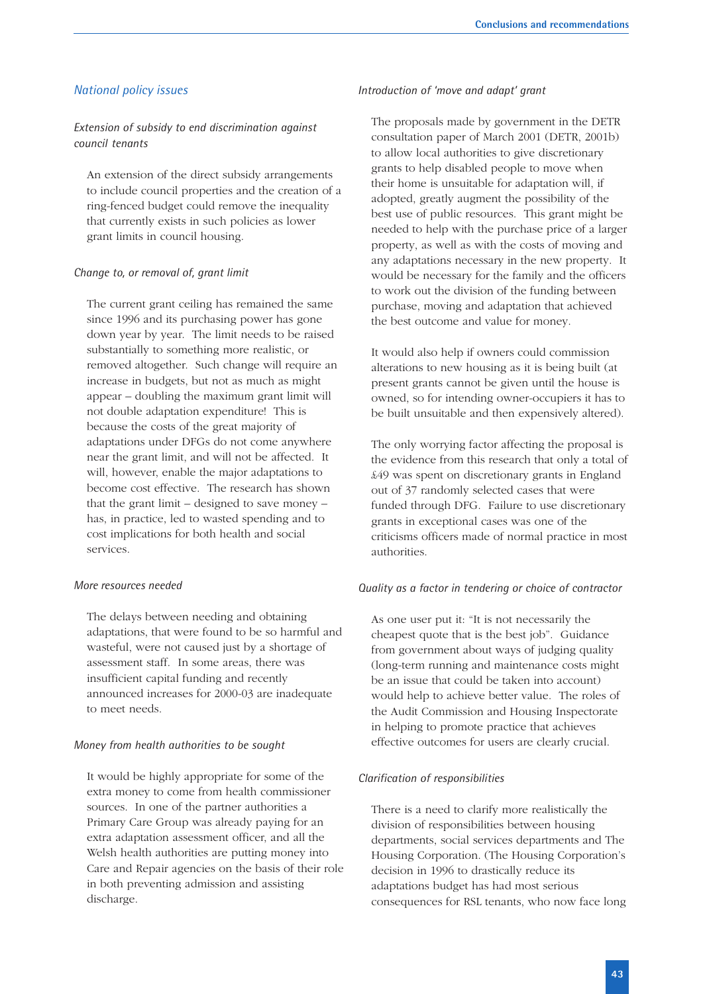#### *National policy issues*

#### *Extension of subsidy to end discrimination against council tenants*

An extension of the direct subsidy arrangements to include council properties and the creation of a ring-fenced budget could remove the inequality that currently exists in such policies as lower grant limits in council housing.

#### *Change to, or removal of, grant limit*

The current grant ceiling has remained the same since 1996 and its purchasing power has gone down year by year. The limit needs to be raised substantially to something more realistic, or removed altogether. Such change will require an increase in budgets, but not as much as might appear – doubling the maximum grant limit will not double adaptation expenditure! This is because the costs of the great majority of adaptations under DFGs do not come anywhere near the grant limit, and will not be affected. It will, however, enable the major adaptations to become cost effective. The research has shown that the grant limit – designed to save money – has, in practice, led to wasted spending and to cost implications for both health and social services.

#### *More resources needed*

The delays between needing and obtaining adaptations, that were found to be so harmful and wasteful, were not caused just by a shortage of assessment staff. In some areas, there was insufficient capital funding and recently announced increases for 2000-03 are inadequate to meet needs.

#### *Money from health authorities to be sought*

It would be highly appropriate for some of the extra money to come from health commissioner sources. In one of the partner authorities a Primary Care Group was already paying for an extra adaptation assessment officer, and all the Welsh health authorities are putting money into Care and Repair agencies on the basis of their role in both preventing admission and assisting discharge.

#### *Introduction of 'move and adapt' grant*

The proposals made by government in the DETR consultation paper of March 2001 (DETR, 2001b) to allow local authorities to give discretionary grants to help disabled people to move when their home is unsuitable for adaptation will, if adopted, greatly augment the possibility of the best use of public resources. This grant might be needed to help with the purchase price of a larger property, as well as with the costs of moving and any adaptations necessary in the new property. It would be necessary for the family and the officers to work out the division of the funding between purchase, moving and adaptation that achieved the best outcome and value for money.

It would also help if owners could commission alterations to new housing as it is being built (at present grants cannot be given until the house is owned, so for intending owner-occupiers it has to be built unsuitable and then expensively altered).

The only worrying factor affecting the proposal is the evidence from this research that only a total of £49 was spent on discretionary grants in England out of 37 randomly selected cases that were funded through DFG. Failure to use discretionary grants in exceptional cases was one of the criticisms officers made of normal practice in most authorities.

#### *Quality as a factor in tendering or choice of contractor*

As one user put it: "It is not necessarily the cheapest quote that is the best job". Guidance from government about ways of judging quality (long-term running and maintenance costs might be an issue that could be taken into account) would help to achieve better value. The roles of the Audit Commission and Housing Inspectorate in helping to promote practice that achieves effective outcomes for users are clearly crucial.

#### *Clarification of responsibilities*

There is a need to clarify more realistically the division of responsibilities between housing departments, social services departments and The Housing Corporation. (The Housing Corporation's decision in 1996 to drastically reduce its adaptations budget has had most serious consequences for RSL tenants, who now face long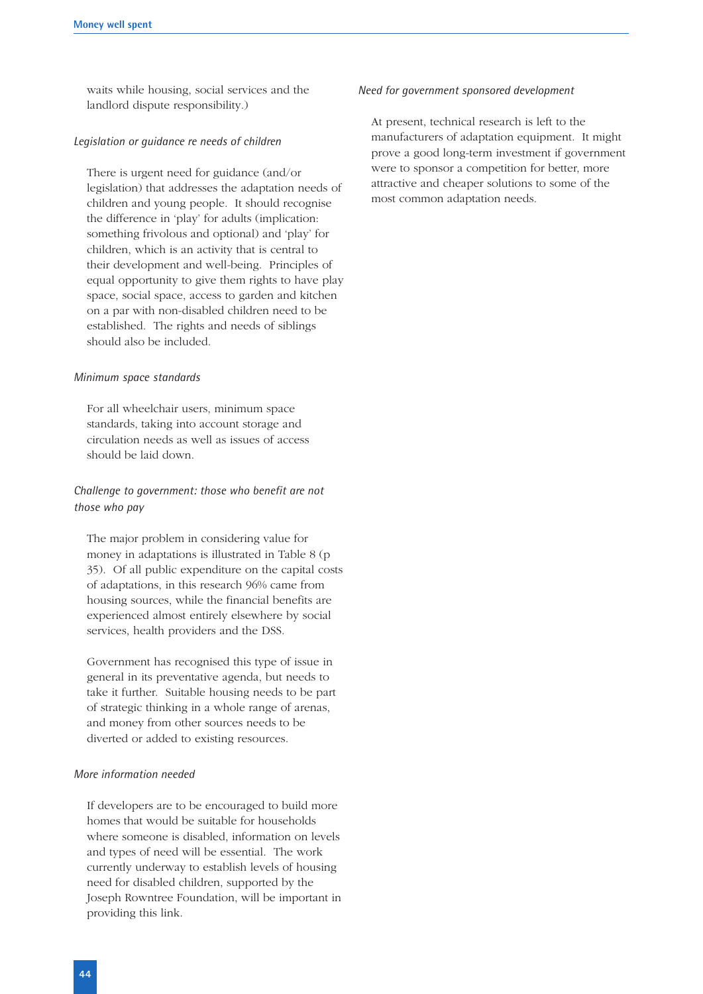waits while housing, social services and the landlord dispute responsibility.)

#### *Legislation or guidance re needs of children*

There is urgent need for guidance (and/or legislation) that addresses the adaptation needs of children and young people. It should recognise the difference in 'play' for adults (implication: something frivolous and optional) and 'play' for children, which is an activity that is central to their development and well-being. Principles of equal opportunity to give them rights to have play space, social space, access to garden and kitchen on a par with non-disabled children need to be established. The rights and needs of siblings should also be included.

#### *Minimum space standards*

For all wheelchair users, minimum space standards, taking into account storage and circulation needs as well as issues of access should be laid down.

#### *Challenge to government: those who benefit are not those who pay*

The major problem in considering value for money in adaptations is illustrated in Table 8 (p 35). Of all public expenditure on the capital costs of adaptations, in this research 96% came from housing sources, while the financial benefits are experienced almost entirely elsewhere by social services, health providers and the DSS.

Government has recognised this type of issue in general in its preventative agenda, but needs to take it further. Suitable housing needs to be part of strategic thinking in a whole range of arenas, and money from other sources needs to be diverted or added to existing resources.

#### *More information needed*

If developers are to be encouraged to build more homes that would be suitable for households where someone is disabled, information on levels and types of need will be essential. The work currently underway to establish levels of housing need for disabled children, supported by the Joseph Rowntree Foundation, will be important in providing this link.

#### *Need for government sponsored development*

At present, technical research is left to the manufacturers of adaptation equipment. It might prove a good long-term investment if government were to sponsor a competition for better, more attractive and cheaper solutions to some of the most common adaptation needs.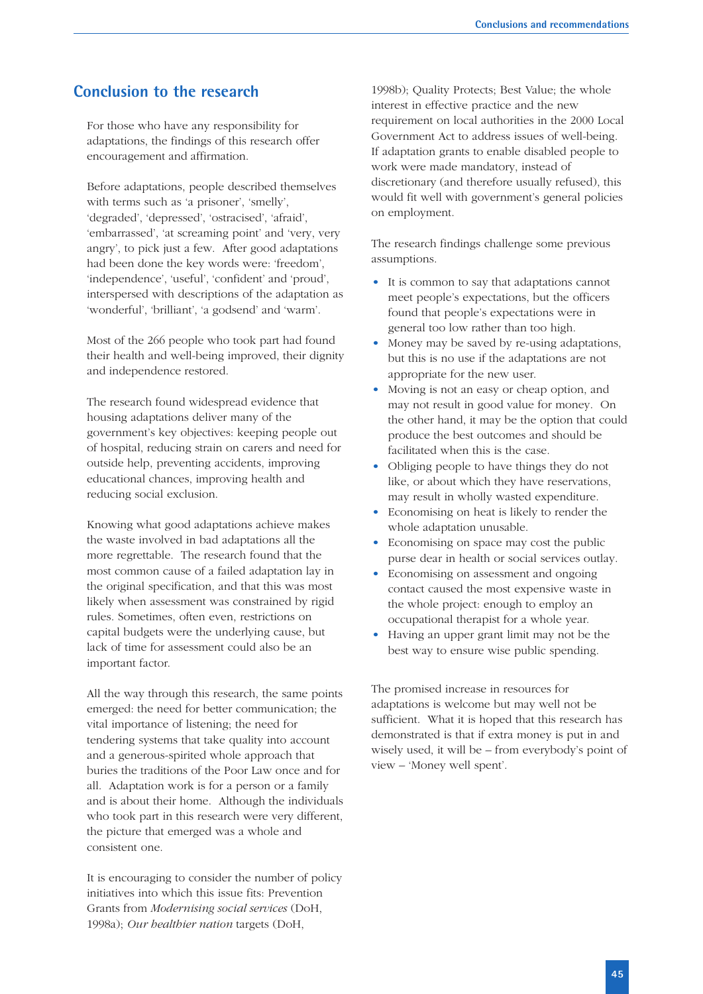## **Conclusion to the research**

For those who have any responsibility for adaptations, the findings of this research offer encouragement and affirmation.

Before adaptations, people described themselves with terms such as 'a prisoner', 'smelly', 'degraded', 'depressed', 'ostracised', 'afraid', 'embarrassed', 'at screaming point' and 'very, very angry', to pick just a few. After good adaptations had been done the key words were: 'freedom', 'independence', 'useful', 'confident' and 'proud', interspersed with descriptions of the adaptation as 'wonderful', 'brilliant', 'a godsend' and 'warm'.

Most of the 266 people who took part had found their health and well-being improved, their dignity and independence restored.

The research found widespread evidence that housing adaptations deliver many of the government's key objectives: keeping people out of hospital, reducing strain on carers and need for outside help, preventing accidents, improving educational chances, improving health and reducing social exclusion.

Knowing what good adaptations achieve makes the waste involved in bad adaptations all the more regrettable. The research found that the most common cause of a failed adaptation lay in the original specification, and that this was most likely when assessment was constrained by rigid rules. Sometimes, often even, restrictions on capital budgets were the underlying cause, but lack of time for assessment could also be an important factor.

All the way through this research, the same points emerged: the need for better communication; the vital importance of listening; the need for tendering systems that take quality into account and a generous-spirited whole approach that buries the traditions of the Poor Law once and for all. Adaptation work is for a person or a family and is about their home. Although the individuals who took part in this research were very different, the picture that emerged was a whole and consistent one.

It is encouraging to consider the number of policy initiatives into which this issue fits: Prevention Grants from *Modernising social services* (DoH, 1998a); *Our healthier nation* targets (DoH,

1998b); Quality Protects; Best Value; the whole interest in effective practice and the new requirement on local authorities in the 2000 Local Government Act to address issues of well-being. If adaptation grants to enable disabled people to work were made mandatory, instead of discretionary (and therefore usually refused), this would fit well with government's general policies on employment.

The research findings challenge some previous assumptions.

- It is common to say that adaptations cannot meet people's expectations, but the officers found that people's expectations were in general too low rather than too high.
- Money may be saved by re-using adaptations, but this is no use if the adaptations are not appropriate for the new user.
- Moving is not an easy or cheap option, and may not result in good value for money. On the other hand, it may be the option that could produce the best outcomes and should be facilitated when this is the case.
- Obliging people to have things they do not like, or about which they have reservations, may result in wholly wasted expenditure.
- Economising on heat is likely to render the whole adaptation unusable.
- Economising on space may cost the public purse dear in health or social services outlay.
- Economising on assessment and ongoing contact caused the most expensive waste in the whole project: enough to employ an occupational therapist for a whole year.
- Having an upper grant limit may not be the best way to ensure wise public spending.

The promised increase in resources for adaptations is welcome but may well not be sufficient. What it is hoped that this research has demonstrated is that if extra money is put in and wisely used, it will be – from everybody's point of view – 'Money well spent'.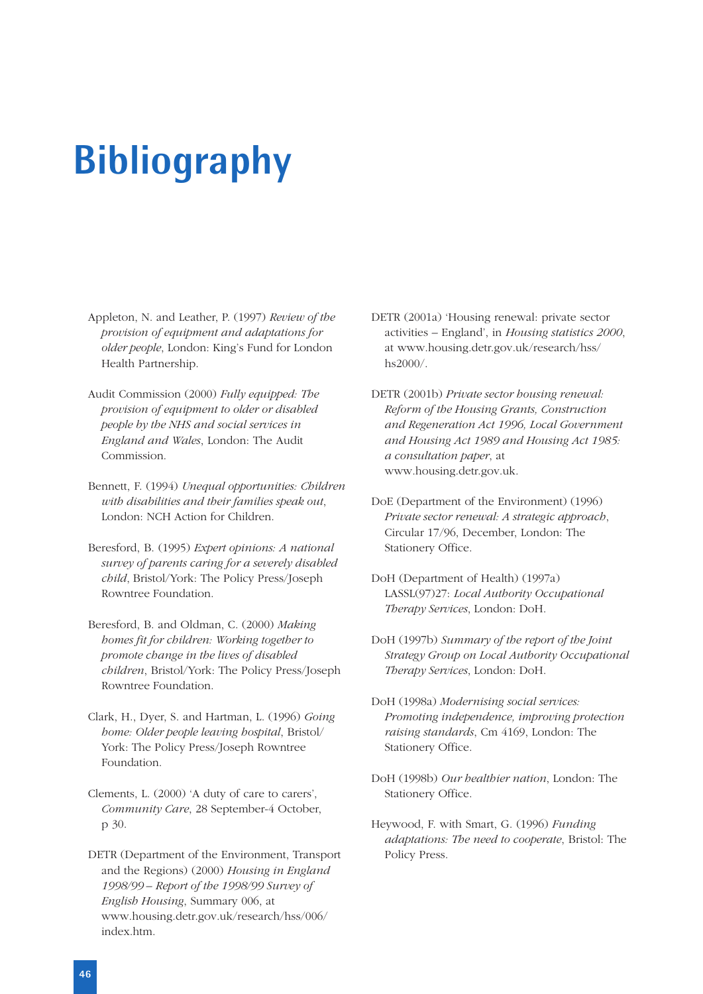# **Bibliography**

- Appleton, N. and Leather, P. (1997) *Review of the provision of equipment and adaptations for older people*, London: King's Fund for London Health Partnership.
- Audit Commission (2000) *Fully equipped: The provision of equipment to older or disabled people by the NHS and social services in England and Wales*, London: The Audit Commission.
- Bennett, F. (1994) *Unequal opportunities: Children with disabilities and their families speak out*, London: NCH Action for Children.
- Beresford, B. (1995) *Expert opinions: A national survey of parents caring for a severely disabled child*, Bristol/York: The Policy Press/Joseph Rowntree Foundation.
- Beresford, B. and Oldman, C. (2000) *Making homes fit for children: Working together to promote change in the lives of disabled children*, Bristol/York: The Policy Press/Joseph Rowntree Foundation.
- Clark, H., Dyer, S. and Hartman, L. (1996) *Going home: Older people leaving hospital*, Bristol/ York: The Policy Press/Joseph Rowntree Foundation.
- Clements, L. (2000) 'A duty of care to carers', *Community Care*, 28 September-4 October, p 30.
- DETR (Department of the Environment, Transport and the Regions) (2000) *Housing in England 1998/99 – Report of the 1998/99 Survey of English Housing*, Summary 006, at www.housing.detr.gov.uk/research/hss/006/ index.htm.
- DETR (2001a) 'Housing renewal: private sector activities – England', in *Housing statistics 2000*, at www.housing.detr.gov.uk/research/hss/ hs2000/.
- DETR (2001b) *Private sector housing renewal: Reform of the Housing Grants, Construction and Regeneration Act 1996, Local Government and Housing Act 1989 and Housing Act 1985: a consultation paper*, at www.housing.detr.gov.uk.
- DoE (Department of the Environment) (1996) *Private sector renewal: A strategic approach*, Circular 17/96, December, London: The Stationery Office.
- DoH (Department of Health) (1997a) LASSL(97)27: *Local Authority Occupational Therapy Services*, London: DoH.
- DoH (1997b) *Summary of the report of the Joint Strategy Group on Local Authority Occupational Therapy Services*, London: DoH.
- DoH (1998a) *Modernising social services: Promoting independence, improving protection raising standards*, Cm 4169, London: The Stationery Office.
- DoH (1998b) *Our healthier nation*, London: The Stationery Office.
- Heywood, F. with Smart, G. (1996) *Funding adaptations: The need to cooperate*, Bristol: The Policy Press.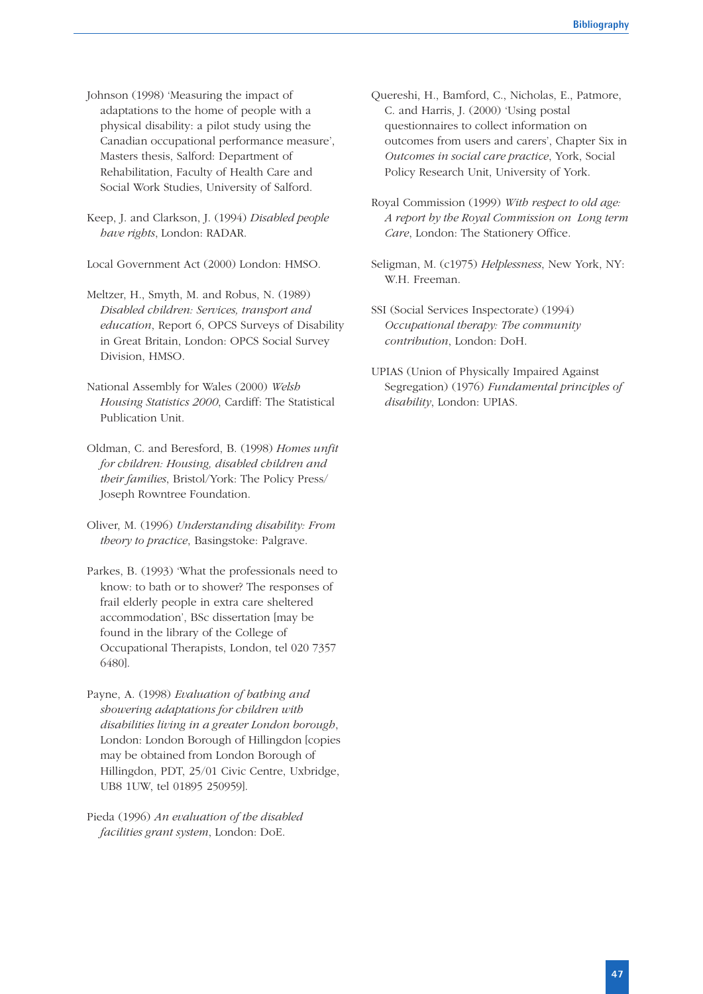Johnson (1998) 'Measuring the impact of adaptations to the home of people with a physical disability: a pilot study using the Canadian occupational performance measure', Masters thesis, Salford: Department of Rehabilitation, Faculty of Health Care and Social Work Studies, University of Salford.

Keep, J. and Clarkson, J. (1994) *Disabled people have rights*, London: RADAR.

Local Government Act (2000) London: HMSO.

- Meltzer, H., Smyth, M. and Robus, N. (1989) *Disabled children: Services, transport and education*, Report 6, OPCS Surveys of Disability in Great Britain, London: OPCS Social Survey Division, HMSO.
- National Assembly for Wales (2000) *Welsh Housing Statistics 2000*, Cardiff: The Statistical Publication Unit.
- Oldman, C. and Beresford, B. (1998) *Homes unfit for children: Housing, disabled children and their families*, Bristol/York: The Policy Press/ Joseph Rowntree Foundation.
- Oliver, M. (1996) *Understanding disability: From theory to practice*, Basingstoke: Palgrave.
- Parkes, B. (1993) 'What the professionals need to know: to bath or to shower? The responses of frail elderly people in extra care sheltered accommodation', BSc dissertation [may be found in the library of the College of Occupational Therapists, London, tel 020 7357 6480].
- Payne, A. (1998) *Evaluation of bathing and showering adaptations for children with disabilities living in a greater London borough*, London: London Borough of Hillingdon [copies may be obtained from London Borough of Hillingdon, PDT, 25/01 Civic Centre, Uxbridge, UB8 1UW, tel 01895 250959].
- Pieda (1996) *An evaluation of the disabled facilities grant system*, London: DoE.
- Quereshi, H., Bamford, C., Nicholas, E., Patmore, C. and Harris, J. (2000) 'Using postal questionnaires to collect information on outcomes from users and carers', Chapter Six in *Outcomes in social care practice*, York, Social Policy Research Unit, University of York.
- Royal Commission (1999) *With respect to old age: A report by the Royal Commission on Long term Care*, London: The Stationery Office.
- Seligman, M. (c1975) *Helplessness*, New York, NY: W.H. Freeman.
- SSI (Social Services Inspectorate) (1994) *Occupational therapy: The community contribution*, London: DoH.
- UPIAS (Union of Physically Impaired Against Segregation) (1976) *Fundamental principles of disability*, London: UPIAS.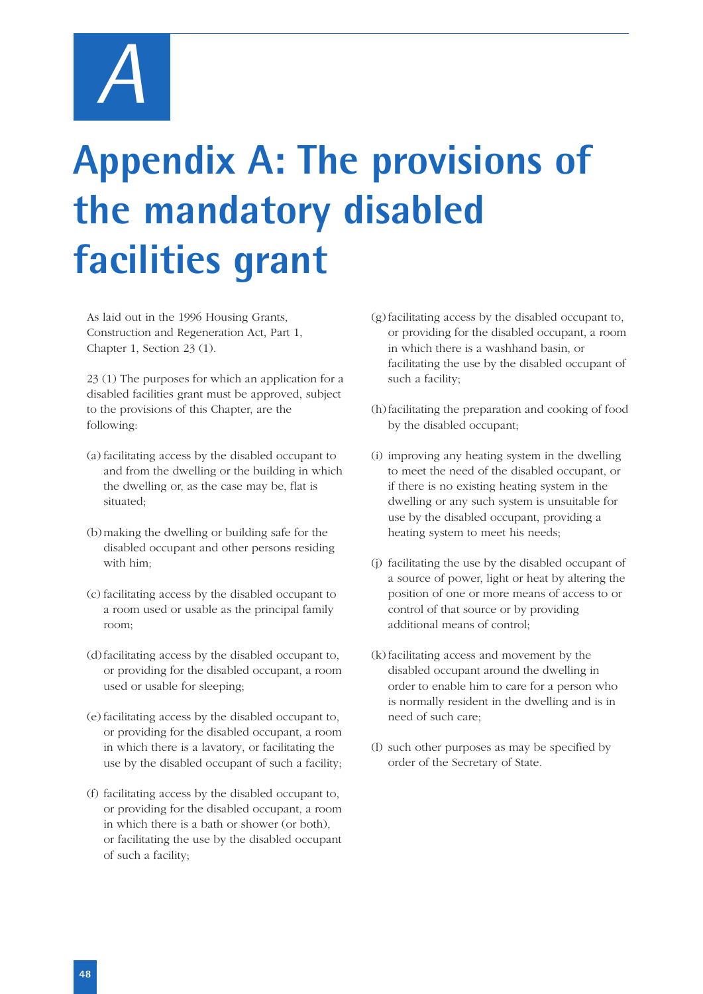*A*

# **Appendix A: The provisions of the mandatory disabled facilities grant**

As laid out in the 1996 Housing Grants, Construction and Regeneration Act, Part 1, Chapter 1, Section 23 (1).

23 (1) The purposes for which an application for a disabled facilities grant must be approved, subject to the provisions of this Chapter, are the following:

- (a) facilitating access by the disabled occupant to and from the dwelling or the building in which the dwelling or, as the case may be, flat is situated;
- (b)making the dwelling or building safe for the disabled occupant and other persons residing with him;
- (c) facilitating access by the disabled occupant to a room used or usable as the principal family room;
- (d)facilitating access by the disabled occupant to, or providing for the disabled occupant, a room used or usable for sleeping;
- (e) facilitating access by the disabled occupant to, or providing for the disabled occupant, a room in which there is a lavatory, or facilitating the use by the disabled occupant of such a facility;
- (f) facilitating access by the disabled occupant to, or providing for the disabled occupant, a room in which there is a bath or shower (or both), or facilitating the use by the disabled occupant of such a facility;
- (g) facilitating access by the disabled occupant to, or providing for the disabled occupant, a room in which there is a washhand basin, or facilitating the use by the disabled occupant of such a facility;
- (h)facilitating the preparation and cooking of food by the disabled occupant;
- (i) improving any heating system in the dwelling to meet the need of the disabled occupant, or if there is no existing heating system in the dwelling or any such system is unsuitable for use by the disabled occupant, providing a heating system to meet his needs;
- (j) facilitating the use by the disabled occupant of a source of power, light or heat by altering the position of one or more means of access to or control of that source or by providing additional means of control;
- (k) facilitating access and movement by the disabled occupant around the dwelling in order to enable him to care for a person who is normally resident in the dwelling and is in need of such care;
- (l) such other purposes as may be specified by order of the Secretary of State.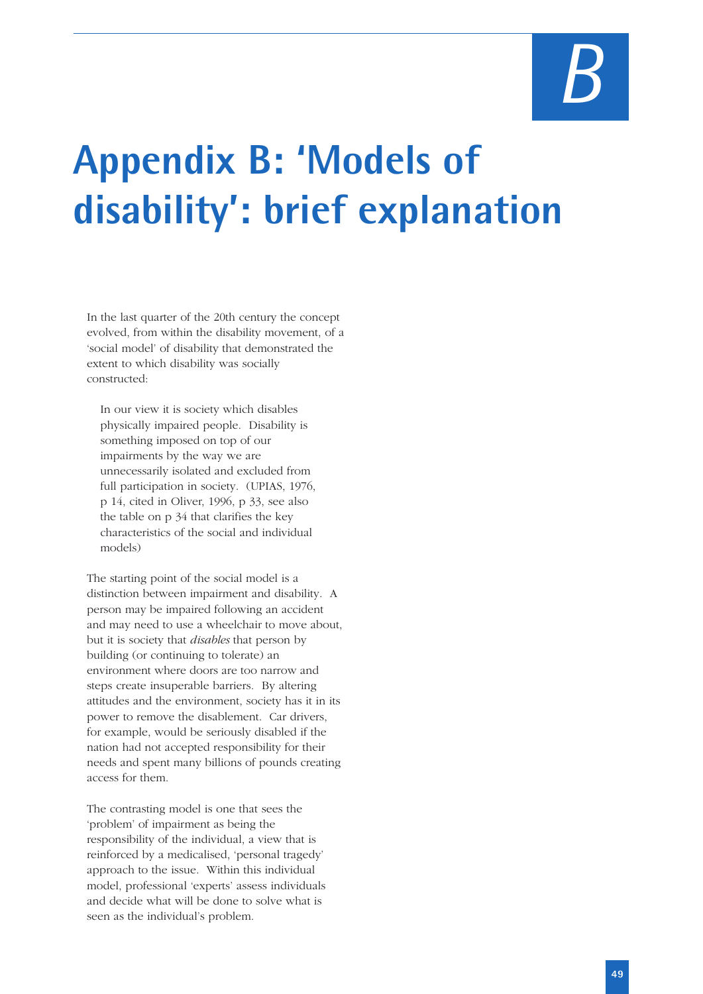# *B*

# **Appendix B: 'Models of disability': brief explanation**

In the last quarter of the 20th century the concept evolved, from within the disability movement, of a 'social model' of disability that demonstrated the extent to which disability was socially constructed:

In our view it is society which disables physically impaired people. Disability is something imposed on top of our impairments by the way we are unnecessarily isolated and excluded from full participation in society. (UPIAS, 1976, p 14, cited in Oliver, 1996, p 33, see also the table on p 34 that clarifies the key characteristics of the social and individual models)

The starting point of the social model is a distinction between impairment and disability. A person may be impaired following an accident and may need to use a wheelchair to move about, but it is society that *disables* that person by building (or continuing to tolerate) an environment where doors are too narrow and steps create insuperable barriers. By altering attitudes and the environment, society has it in its power to remove the disablement. Car drivers, for example, would be seriously disabled if the nation had not accepted responsibility for their needs and spent many billions of pounds creating access for them.

The contrasting model is one that sees the 'problem' of impairment as being the responsibility of the individual, a view that is reinforced by a medicalised, 'personal tragedy' approach to the issue. Within this individual model, professional 'experts' assess individuals and decide what will be done to solve what is seen as the individual's problem.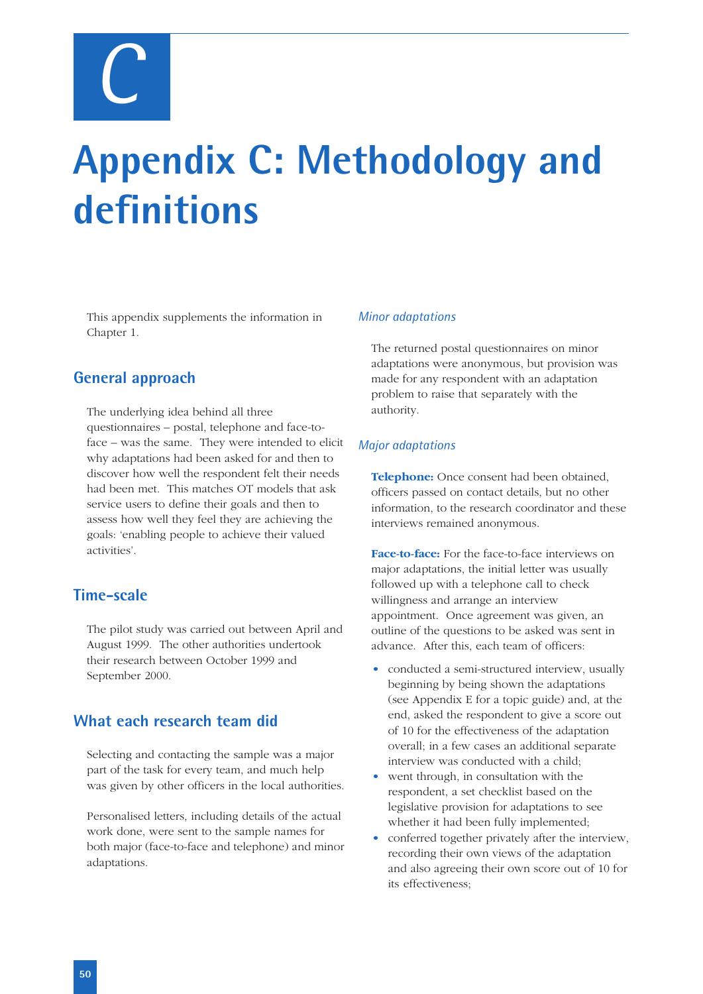*C*

# **Appendix C: Methodology and definitions**

This appendix supplements the information in Chapter 1.

# **General approach**

The underlying idea behind all three questionnaires – postal, telephone and face-toface – was the same. They were intended to elicit why adaptations had been asked for and then to discover how well the respondent felt their needs had been met. This matches OT models that ask service users to define their goals and then to assess how well they feel they are achieving the goals: 'enabling people to achieve their valued activities'.

# **Time-scale**

The pilot study was carried out between April and August 1999. The other authorities undertook their research between October 1999 and September 2000.

# **What each research team did**

Selecting and contacting the sample was a major part of the task for every team, and much help was given by other officers in the local authorities.

Personalised letters, including details of the actual work done, were sent to the sample names for both major (face-to-face and telephone) and minor adaptations.

#### *Minor adaptations*

The returned postal questionnaires on minor adaptations were anonymous, but provision was made for any respondent with an adaptation problem to raise that separately with the authority.

#### *Major adaptations*

**Telephone:** Once consent had been obtained, officers passed on contact details, but no other information, to the research coordinator and these interviews remained anonymous.

**Face-to-face:** For the face-to-face interviews on major adaptations, the initial letter was usually followed up with a telephone call to check willingness and arrange an interview appointment. Once agreement was given, an outline of the questions to be asked was sent in advance. After this, each team of officers:

- conducted a semi-structured interview, usually beginning by being shown the adaptations (see Appendix E for a topic guide) and, at the end, asked the respondent to give a score out of 10 for the effectiveness of the adaptation overall; in a few cases an additional separate interview was conducted with a child;
- went through, in consultation with the respondent, a set checklist based on the legislative provision for adaptations to see whether it had been fully implemented;
- conferred together privately after the interview, recording their own views of the adaptation and also agreeing their own score out of 10 for its effectiveness;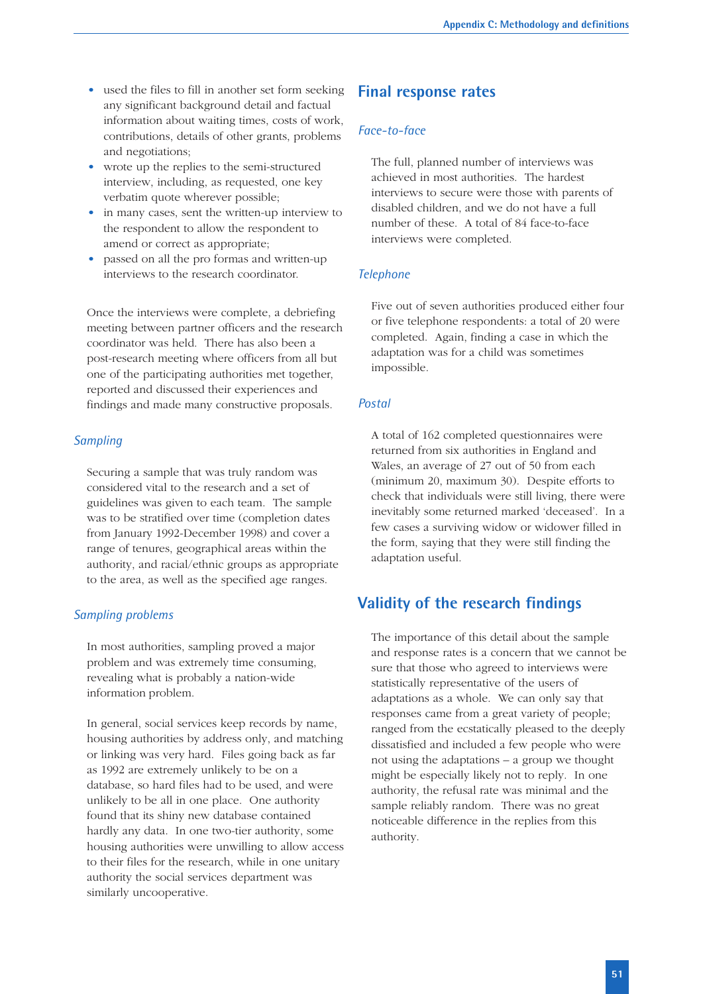- used the files to fill in another set form seeking any significant background detail and factual information about waiting times, costs of work, contributions, details of other grants, problems and negotiations;
- wrote up the replies to the semi-structured interview, including, as requested, one key verbatim quote wherever possible;
- in many cases, sent the written-up interview to the respondent to allow the respondent to amend or correct as appropriate;
- passed on all the pro formas and written-up interviews to the research coordinator.

Once the interviews were complete, a debriefing meeting between partner officers and the research coordinator was held. There has also been a post-research meeting where officers from all but one of the participating authorities met together, reported and discussed their experiences and findings and made many constructive proposals.

#### *Sampling*

Securing a sample that was truly random was considered vital to the research and a set of guidelines was given to each team. The sample was to be stratified over time (completion dates from January 1992-December 1998) and cover a range of tenures, geographical areas within the authority, and racial/ethnic groups as appropriate to the area, as well as the specified age ranges.

#### *Sampling problems*

In most authorities, sampling proved a major problem and was extremely time consuming, revealing what is probably a nation-wide information problem.

In general, social services keep records by name, housing authorities by address only, and matching or linking was very hard. Files going back as far as 1992 are extremely unlikely to be on a database, so hard files had to be used, and were unlikely to be all in one place. One authority found that its shiny new database contained hardly any data. In one two-tier authority, some housing authorities were unwilling to allow access to their files for the research, while in one unitary authority the social services department was similarly uncooperative.

#### **Final response rates**

#### *Face-to-face*

The full, planned number of interviews was achieved in most authorities. The hardest interviews to secure were those with parents of disabled children, and we do not have a full number of these. A total of 84 face-to-face interviews were completed.

#### *Telephone*

Five out of seven authorities produced either four or five telephone respondents: a total of 20 were completed. Again, finding a case in which the adaptation was for a child was sometimes impossible.

#### *Postal*

A total of 162 completed questionnaires were returned from six authorities in England and Wales, an average of 27 out of 50 from each (minimum 20, maximum 30). Despite efforts to check that individuals were still living, there were inevitably some returned marked 'deceased'. In a few cases a surviving widow or widower filled in the form, saying that they were still finding the adaptation useful.

## **Validity of the research findings**

The importance of this detail about the sample and response rates is a concern that we cannot be sure that those who agreed to interviews were statistically representative of the users of adaptations as a whole. We can only say that responses came from a great variety of people; ranged from the ecstatically pleased to the deeply dissatisfied and included a few people who were not using the adaptations – a group we thought might be especially likely not to reply. In one authority, the refusal rate was minimal and the sample reliably random. There was no great noticeable difference in the replies from this authority.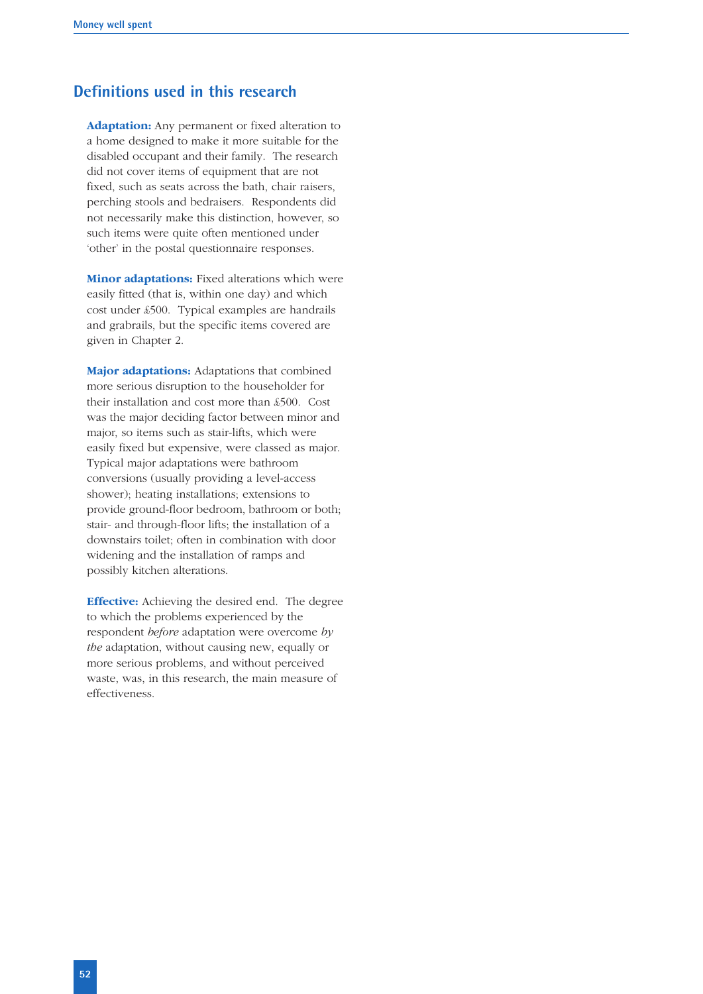## **Definitions used in this research**

**Adaptation:** Any permanent or fixed alteration to a home designed to make it more suitable for the disabled occupant and their family. The research did not cover items of equipment that are not fixed, such as seats across the bath, chair raisers, perching stools and bedraisers. Respondents did not necessarily make this distinction, however, so such items were quite often mentioned under 'other' in the postal questionnaire responses.

**Minor adaptations:** Fixed alterations which were easily fitted (that is, within one day) and which cost under £500. Typical examples are handrails and grabrails, but the specific items covered are given in Chapter 2.

**Major adaptations:** Adaptations that combined more serious disruption to the householder for their installation and cost more than £500. Cost was the major deciding factor between minor and major, so items such as stair-lifts, which were easily fixed but expensive, were classed as major. Typical major adaptations were bathroom conversions (usually providing a level-access shower); heating installations; extensions to provide ground-floor bedroom, bathroom or both; stair- and through-floor lifts; the installation of a downstairs toilet; often in combination with door widening and the installation of ramps and possibly kitchen alterations.

**Effective:** Achieving the desired end. The degree to which the problems experienced by the respondent *before* adaptation were overcome *by the* adaptation, without causing new, equally or more serious problems, and without perceived waste, was, in this research, the main measure of effectiveness.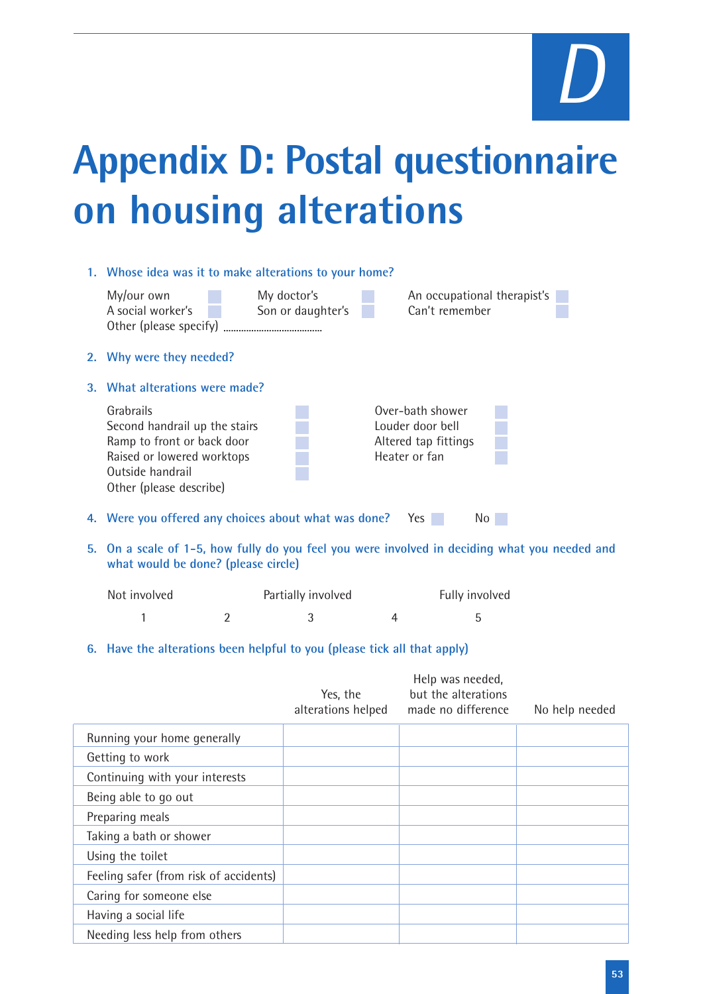

# **Appendix D: Postal questionnaire on housing alterations**

|    | 1. Whose idea was it to make alterations to your home?                                                                                                |   |                                  |                                   |                                               |  |  |  |
|----|-------------------------------------------------------------------------------------------------------------------------------------------------------|---|----------------------------------|-----------------------------------|-----------------------------------------------|--|--|--|
|    | My/our own<br>A social worker's                                                                                                                       |   | My doctor's<br>Son or daughter's |                                   | An occupational therapist's<br>Can't remember |  |  |  |
|    | 2. Why were they needed?                                                                                                                              |   |                                  |                                   |                                               |  |  |  |
| 3. | What alterations were made?                                                                                                                           |   |                                  |                                   |                                               |  |  |  |
|    | Grabrails<br>Second handrail up the stairs<br>Ramp to front or back door<br>Raised or lowered worktops<br>Outside handrail<br>Other (please describe) |   |                                  | Louder door bell<br>Heater or fan | Over-bath shower<br>Altered tap fittings      |  |  |  |
|    | 4. Were you offered any choices about what was done?<br>Yes l<br>No                                                                                   |   |                                  |                                   |                                               |  |  |  |
| 5. | On a scale of 1-5, how fully do you feel you were involved in deciding what you needed and<br>what would be done? (please circle)                     |   |                                  |                                   |                                               |  |  |  |
|    | Not involved                                                                                                                                          |   | Partially involved               |                                   | Fully involved                                |  |  |  |
|    | 1                                                                                                                                                     | 2 | 3                                | 4                                 | 5                                             |  |  |  |

**6. Have the alterations been helpful to you (please tick all that apply)**

|                                        | Yes, the<br>alterations helped | Help was needed,<br>but the alterations<br>made no difference | No help needed |
|----------------------------------------|--------------------------------|---------------------------------------------------------------|----------------|
| Running your home generally            |                                |                                                               |                |
| Getting to work                        |                                |                                                               |                |
| Continuing with your interests         |                                |                                                               |                |
| Being able to go out                   |                                |                                                               |                |
| Preparing meals                        |                                |                                                               |                |
| Taking a bath or shower                |                                |                                                               |                |
| Using the toilet                       |                                |                                                               |                |
| Feeling safer (from risk of accidents) |                                |                                                               |                |
| Caring for someone else                |                                |                                                               |                |
| Having a social life                   |                                |                                                               |                |
| Needing less help from others          |                                |                                                               |                |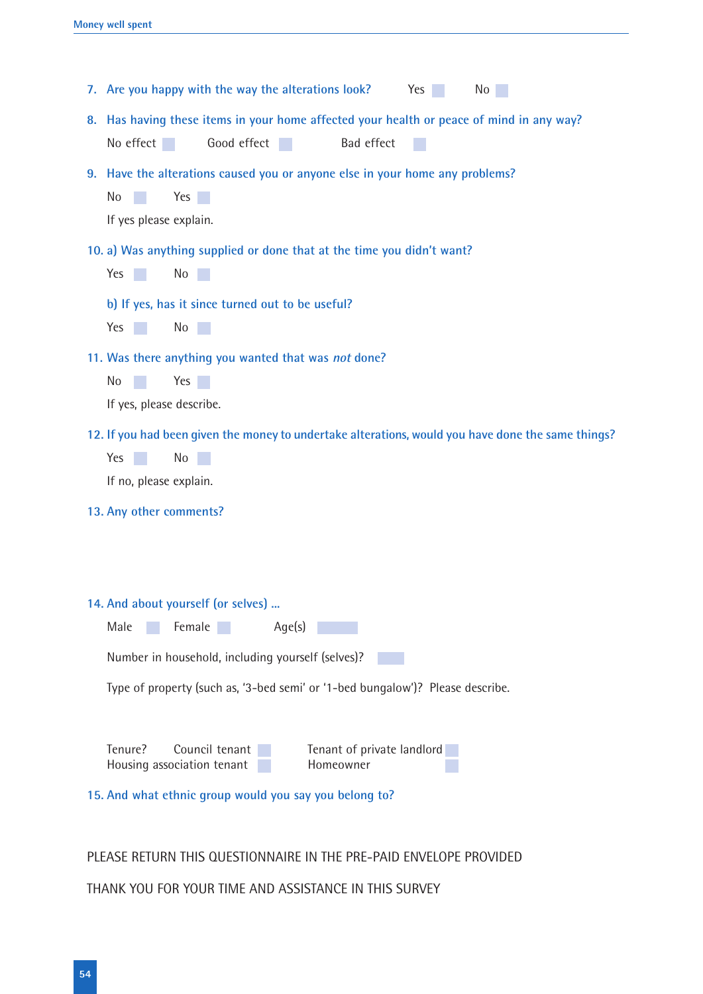| 7. Are you happy with the way the alterations look?<br>No No<br>Yes                                                                                          |  |  |  |  |  |  |  |
|--------------------------------------------------------------------------------------------------------------------------------------------------------------|--|--|--|--|--|--|--|
| 8. Has having these items in your home affected your health or peace of mind in any way?<br>Good effect<br>Bad effect<br>No effect                           |  |  |  |  |  |  |  |
| 9. Have the alterations caused you or anyone else in your home any problems?<br>Yes<br>No<br>If yes please explain.                                          |  |  |  |  |  |  |  |
| 10. a) Was anything supplied or done that at the time you didn't want?<br>Yes<br>No<br>b) If yes, has it since turned out to be useful?                      |  |  |  |  |  |  |  |
| Yes<br>No                                                                                                                                                    |  |  |  |  |  |  |  |
| 11. Was there anything you wanted that was not done?<br>No<br>Yes<br>$\sim$<br><b>Service Service</b><br>If yes, please describe.                            |  |  |  |  |  |  |  |
| 12. If you had been given the money to undertake alterations, would you have done the same things?<br>Yes<br>No<br>If no, please explain.                    |  |  |  |  |  |  |  |
| 13. Any other comments?                                                                                                                                      |  |  |  |  |  |  |  |
| 14. And about yourself (or selves).                                                                                                                          |  |  |  |  |  |  |  |
| Age(s)<br>Male<br>Female                                                                                                                                     |  |  |  |  |  |  |  |
| Number in household, including yourself (selves)?                                                                                                            |  |  |  |  |  |  |  |
| Type of property (such as, '3-bed semi' or '1-bed bungalow')? Please describe.                                                                               |  |  |  |  |  |  |  |
| Tenure?<br>Council tenant<br>Tenant of private landlord<br>Housing association tenant<br>Homeowner<br>15. And what ethnic group would you say you belong to? |  |  |  |  |  |  |  |
|                                                                                                                                                              |  |  |  |  |  |  |  |

PLEASE RETURN THIS QUESTIONNAIRE IN THE PRE-PAID ENVELOPE PROVIDED

THANK YOU FOR YOUR TIME AND ASSISTANCE IN THIS SURVEY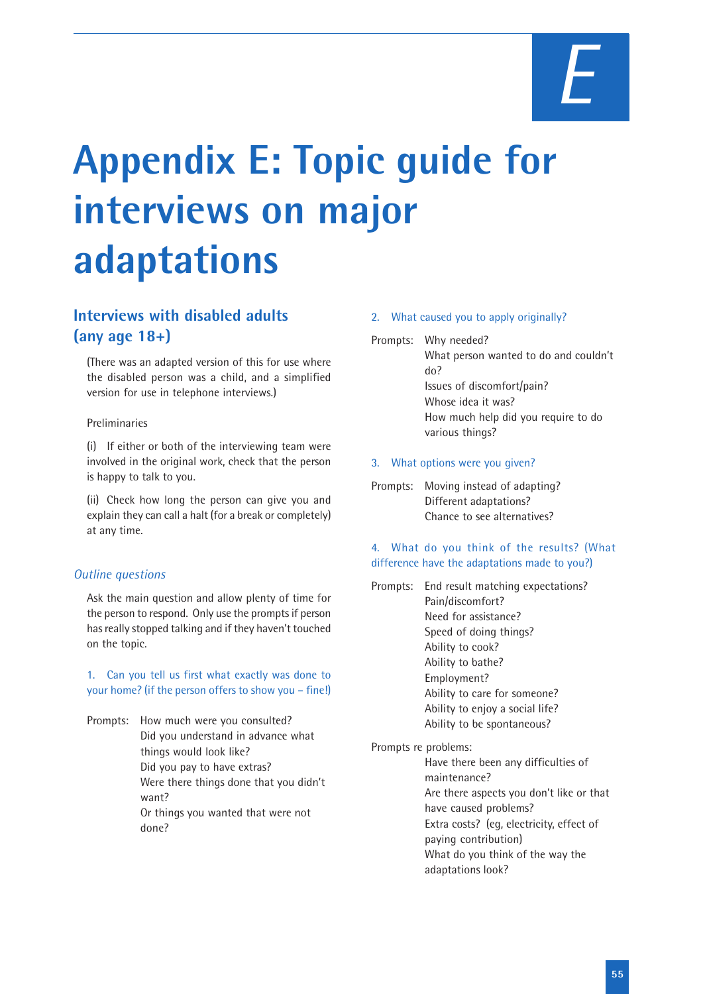

# **Appendix E: Topic guide for interviews on major adaptations**

# **Interviews with disabled adults (any age 18+)**

(There was an adapted version of this for use where the disabled person was a child, and a simplified version for use in telephone interviews.)

#### Preliminaries

(i) If either or both of the interviewing team were involved in the original work, check that the person is happy to talk to you.

(ii) Check how long the person can give you and explain they can call a halt (for a break or completely) at any time.

#### *Outline questions*

Ask the main question and allow plenty of time for the person to respond. Only use the prompts if person has really stopped talking and if they haven't touched on the topic.

1. Can you tell us first what exactly was done to your home? (if the person offers to show you – fine!)

Prompts: How much were you consulted? Did you understand in advance what things would look like? Did you pay to have extras? Were there things done that you didn't want? Or things you wanted that were not done?

#### 2. What caused you to apply originally?

Prompts: Why needed? What person wanted to do and couldn't do? Issues of discomfort/pain? Whose idea it was? How much help did you require to do various things?

#### 3. What options were you given?

Prompts: Moving instead of adapting? Different adaptations? Chance to see alternatives?

#### 4. What do you think of the results? (What difference have the adaptations made to you?)

Prompts: End result matching expectations? Pain/discomfort? Need for assistance? Speed of doing things? Ability to cook? Ability to bathe? Employment? Ability to care for someone? Ability to enjoy a social life? Ability to be spontaneous?

Prompts re problems:

Have there been any difficulties of maintenance? Are there aspects you don't like or that have caused problems? Extra costs? (eg, electricity, effect of paying contribution) What do you think of the way the adaptations look?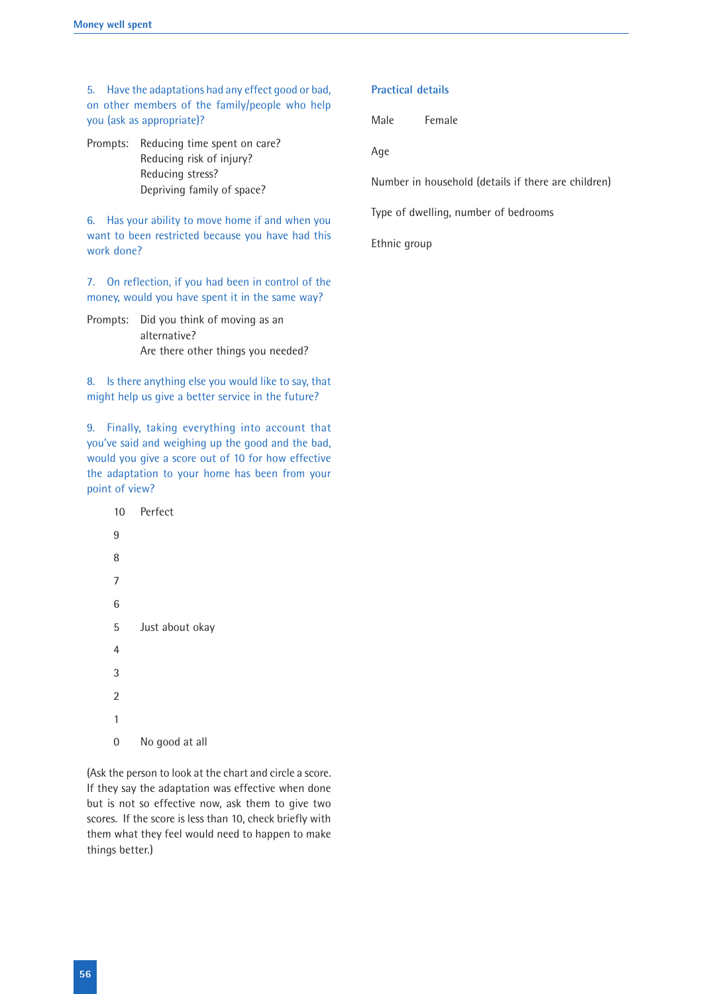5. Have the adaptations had any effect good or bad, on other members of the family/people who help you (ask as appropriate)?

Prompts: Reducing time spent on care? Reducing risk of injury? Reducing stress? Depriving family of space?

6. Has your ability to move home if and when you want to been restricted because you have had this work done?

7. On reflection, if you had been in control of the money, would you have spent it in the same way?

Prompts: Did you think of moving as an alternative? Are there other things you needed?

8. Is there anything else you would like to say, that might help us give a better service in the future?

9. Finally, taking everything into account that you've said and weighing up the good and the bad, would you give a score out of 10 for how effective the adaptation to your home has been from your point of view?

10 Perfect 9 8 7 6 5 Just about okay 4 3 2 1 0 No good at all

(Ask the person to look at the chart and circle a score. If they say the adaptation was effective when done but is not so effective now, ask them to give two scores. If the score is less than 10, check briefly with them what they feel would need to happen to make things better.)

#### **Practical details**

Male Female

Age

Number in household (details if there are children)

Type of dwelling, number of bedrooms

Ethnic group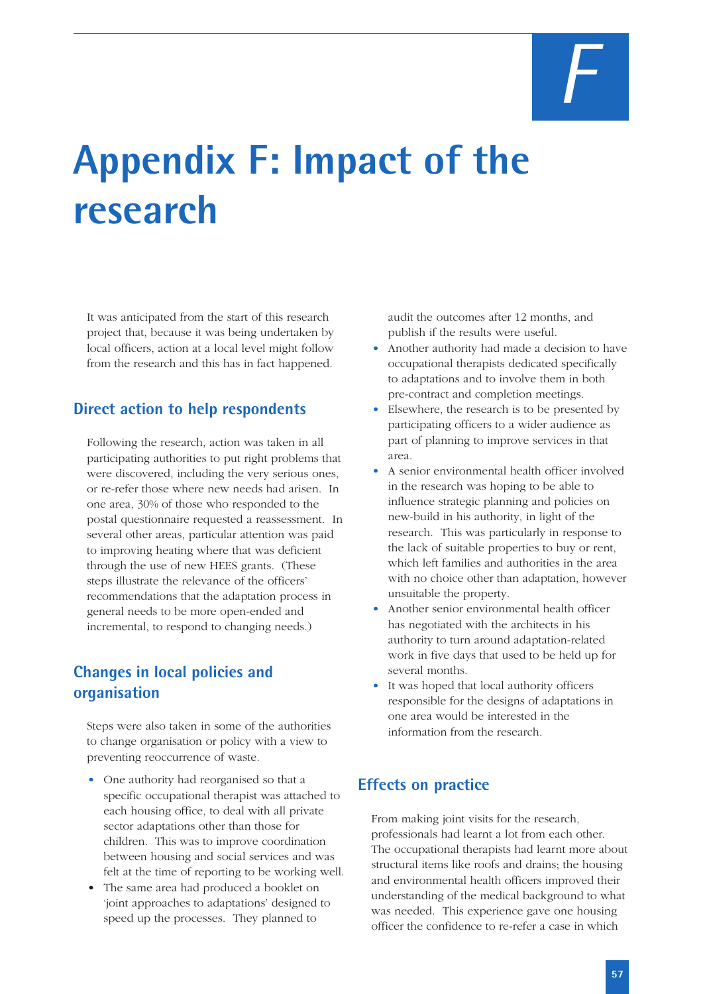*F*

# **Appendix F: Impact of the research**

It was anticipated from the start of this research project that, because it was being undertaken by local officers, action at a local level might follow from the research and this has in fact happened.

# **Direct action to help respondents**

Following the research, action was taken in all participating authorities to put right problems that were discovered, including the very serious ones, or re-refer those where new needs had arisen. In one area, 30% of those who responded to the postal questionnaire requested a reassessment. In several other areas, particular attention was paid to improving heating where that was deficient through the use of new HEES grants. (These steps illustrate the relevance of the officers' recommendations that the adaptation process in general needs to be more open-ended and incremental, to respond to changing needs.)

# **Changes in local policies and organisation**

Steps were also taken in some of the authorities to change organisation or policy with a view to preventing reoccurrence of waste.

- One authority had reorganised so that a specific occupational therapist was attached to each housing office, to deal with all private sector adaptations other than those for children. This was to improve coordination between housing and social services and was felt at the time of reporting to be working well.
- The same area had produced a booklet on 'joint approaches to adaptations' designed to speed up the processes. They planned to

audit the outcomes after 12 months, and publish if the results were useful.

- Another authority had made a decision to have occupational therapists dedicated specifically to adaptations and to involve them in both pre-contract and completion meetings.
- Elsewhere, the research is to be presented by participating officers to a wider audience as part of planning to improve services in that area.
- A senior environmental health officer involved in the research was hoping to be able to influence strategic planning and policies on new-build in his authority, in light of the research. This was particularly in response to the lack of suitable properties to buy or rent, which left families and authorities in the area with no choice other than adaptation, however unsuitable the property.
- Another senior environmental health officer has negotiated with the architects in his authority to turn around adaptation-related work in five days that used to be held up for several months.
- It was hoped that local authority officers responsible for the designs of adaptations in one area would be interested in the information from the research.

# **Effects on practice**

From making joint visits for the research, professionals had learnt a lot from each other. The occupational therapists had learnt more about structural items like roofs and drains; the housing and environmental health officers improved their understanding of the medical background to what was needed. This experience gave one housing officer the confidence to re-refer a case in which